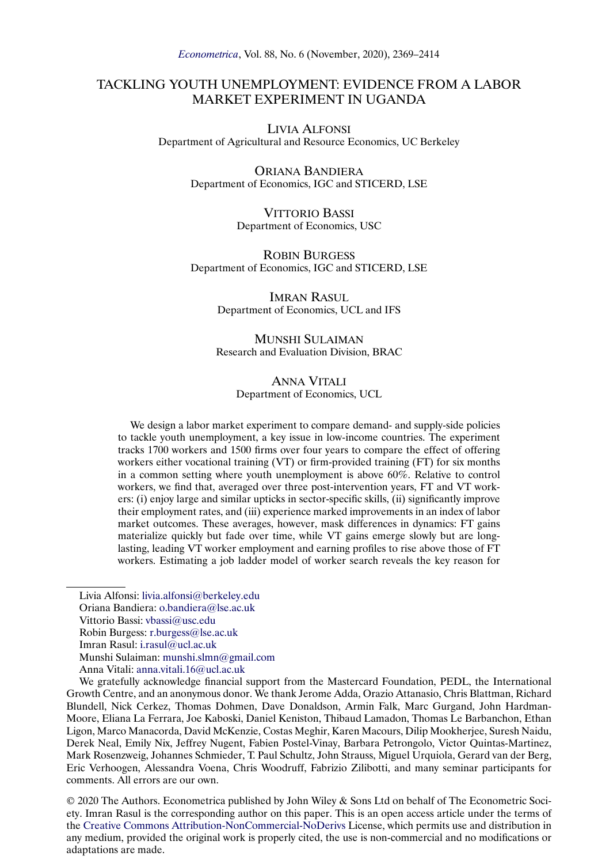## TACKLING YOUTH UNEMPLOYMENT: EVIDENCE FROM A LABOR MARKET EXPERIMENT IN UGANDA

LIVIA ALFONSI Department of Agricultural and Resource Economics, UC Berkeley

> ORIANA BANDIERA Department of Economics, IGC and STICERD, LSE

> > VITTORIO BASSI Department of Economics, USC

ROBIN BURGESS Department of Economics, IGC and STICERD, LSE

> IMRAN RASUL Department of Economics, UCL and IFS

> MUNSHI SULAIMAN Research and Evaluation Division, BRAC

#### ANNA VITALI Department of Economics, UCL

We design a labor market experiment to compare demand- and supply-side policies to tackle youth unemployment, a key issue in low-income countries. The experiment tracks 1700 workers and 1500 firms over four years to compare the effect of offering workers either vocational training (VT) or firm-provided training (FT) for six months in a common setting where youth unemployment is above 60%. Relative to control workers, we find that, averaged over three post-intervention years, FT and VT workers: (i) enjoy large and similar upticks in sector-specific skills, (ii) significantly improve their employment rates, and (iii) experience marked improvements in an index of labor market outcomes. These averages, however, mask differences in dynamics: FT gains materialize quickly but fade over time, while VT gains emerge slowly but are longlasting, leading VT worker employment and earning profiles to rise above those of FT workers. Estimating a job ladder model of worker search reveals the key reason for

Vittorio Bassi: [vbassi@usc.edu](mailto:vbassi@usc.edu)

© 2020 The Authors. Econometrica published by John Wiley & Sons Ltd on behalf of The Econometric Society. Imran Rasul is the corresponding author on this paper. This is an open access article under the terms of the [Creative Commons Attribution-NonCommercial-NoDerivs](https://creativecommons.org/licenses/by-nc-nd/4.0/) License, which permits use and distribution in any medium, provided the original work is properly cited, the use is non-commercial and no modifications or adaptations are made.

Livia Alfonsi: [livia.alfonsi@berkeley.edu](mailto:livia.alfonsi@berkeley.edu)

Oriana Bandiera: [o.bandiera@lse.ac.uk](mailto:o.bandiera@lse.ac.uk)

Robin Burgess: [r.burgess@lse.ac.uk](mailto:r.burgess@lse.ac.uk)

Imran Rasul: [i.rasul@ucl.ac.uk](mailto:i.rasul@ucl.ac.uk)

Munshi Sulaiman: [munshi.slmn@gmail.com](mailto:munshi.slmn@gmail.com)

Anna Vitali: [anna.vitali.16@ucl.ac.uk](mailto:anna.vitali.16@ucl.ac.uk)

We gratefully acknowledge financial support from the Mastercard Foundation, PEDL, the International Growth Centre, and an anonymous donor. We thank Jerome Adda, Orazio Attanasio, Chris Blattman, Richard Blundell, Nick Cerkez, Thomas Dohmen, Dave Donaldson, Armin Falk, Marc Gurgand, John Hardman-Moore, Eliana La Ferrara, Joe Kaboski, Daniel Keniston, Thibaud Lamadon, Thomas Le Barbanchon, Ethan Ligon, Marco Manacorda, David McKenzie, Costas Meghir, Karen Macours, Dilip Mookherjee, Suresh Naidu, Derek Neal, Emily Nix, Jeffrey Nugent, Fabien Postel-Vinay, Barbara Petrongolo, Victor Quintas-Martinez, Mark Rosenzweig, Johannes Schmieder, T. Paul Schultz, John Strauss, Miguel Urquiola, Gerard van der Berg, Eric Verhoogen, Alessandra Voena, Chris Woodruff, Fabrizio Zilibotti, and many seminar participants for comments. All errors are our own.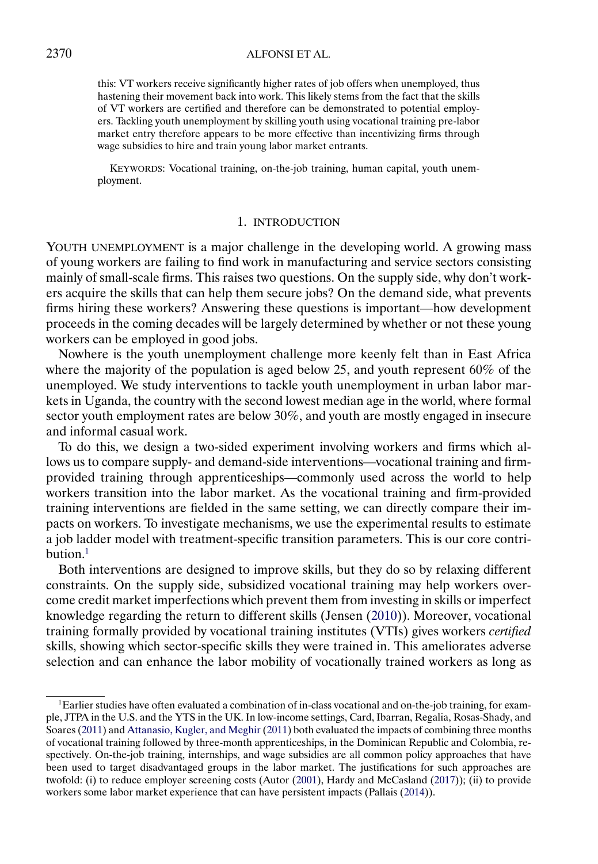<span id="page-1-0"></span>this: VT workers receive significantly higher rates of job offers when unemployed, thus hastening their movement back into work. This likely stems from the fact that the skills of VT workers are certified and therefore can be demonstrated to potential employers. Tackling youth unemployment by skilling youth using vocational training pre-labor market entry therefore appears to be more effective than incentivizing firms through wage subsidies to hire and train young labor market entrants.

KEYWORDS: Vocational training, on-the-job training, human capital, youth unemployment.

## 1. INTRODUCTION

YOUTH UNEMPLOYMENT is a major challenge in the developing world. A growing mass of young workers are failing to find work in manufacturing and service sectors consisting mainly of small-scale firms. This raises two questions. On the supply side, why don't workers acquire the skills that can help them secure jobs? On the demand side, what prevents firms hiring these workers? Answering these questions is important—how development proceeds in the coming decades will be largely determined by whether or not these young workers can be employed in good jobs.

Nowhere is the youth unemployment challenge more keenly felt than in East Africa where the majority of the population is aged below 25, and youth represent 60% of the unemployed. We study interventions to tackle youth unemployment in urban labor markets in Uganda, the country with the second lowest median age in the world, where formal sector youth employment rates are below 30%, and youth are mostly engaged in insecure and informal casual work.

To do this, we design a two-sided experiment involving workers and firms which allows us to compare supply- and demand-side interventions—vocational training and firmprovided training through apprenticeships—commonly used across the world to help workers transition into the labor market. As the vocational training and firm-provided training interventions are fielded in the same setting, we can directly compare their impacts on workers. To investigate mechanisms, we use the experimental results to estimate a job ladder model with treatment-specific transition parameters. This is our core contribution. $<sup>1</sup>$ </sup>

Both interventions are designed to improve skills, but they do so by relaxing different constraints. On the supply side, subsidized vocational training may help workers overcome credit market imperfections which prevent them from investing in skills or imperfect knowledge regarding the return to different skills (Jensen [\(2010\)](#page-45-0)). Moreover, vocational training formally provided by vocational training institutes (VTIs) gives workers *certified* skills, showing which sector-specific skills they were trained in. This ameliorates adverse selection and can enhance the labor mobility of vocationally trained workers as long as

<sup>1</sup>Earlier studies have often evaluated a combination of in-class vocational and on-the-job training, for example, JTPA in the U.S. and the YTS in the UK. In low-income settings, Card, Ibarran, Regalia, Rosas-Shady, and Soares [\(2011\)](#page-44-0) and [Attanasio, Kugler, and Meghir](#page-44-0) [\(2011\)](#page-44-0) both evaluated the impacts of combining three months of vocational training followed by three-month apprenticeships, in the Dominican Republic and Colombia, respectively. On-the-job training, internships, and wage subsidies are all common policy approaches that have been used to target disadvantaged groups in the labor market. The justifications for such approaches are twofold: (i) to reduce employer screening costs (Autor [\(2001\)](#page-44-0), Hardy and McCasland [\(2017\)](#page-45-0)); (ii) to provide workers some labor market experience that can have persistent impacts (Pallais [\(2014\)](#page-45-0)).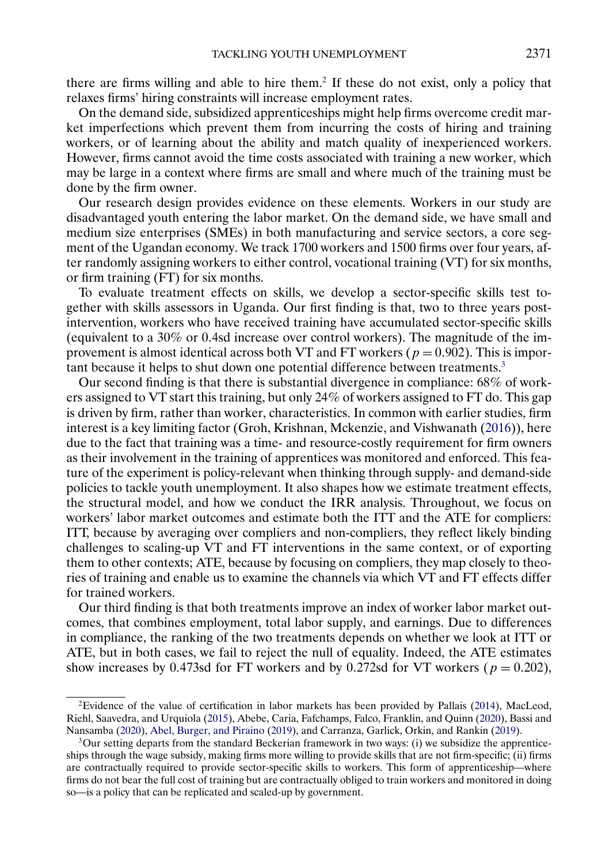<span id="page-2-0"></span>there are firms willing and able to hire them.<sup>2</sup> If these do not exist, only a policy that relaxes firms' hiring constraints will increase employment rates.

On the demand side, subsidized apprenticeships might help firms overcome credit market imperfections which prevent them from incurring the costs of hiring and training workers, or of learning about the ability and match quality of inexperienced workers. However, firms cannot avoid the time costs associated with training a new worker, which may be large in a context where firms are small and where much of the training must be done by the firm owner.

Our research design provides evidence on these elements. Workers in our study are disadvantaged youth entering the labor market. On the demand side, we have small and medium size enterprises (SMEs) in both manufacturing and service sectors, a core segment of the Ugandan economy. We track 1700 workers and 1500 firms over four years, after randomly assigning workers to either control, vocational training (VT) for six months, or firm training (FT) for six months.

To evaluate treatment effects on skills, we develop a sector-specific skills test together with skills assessors in Uganda. Our first finding is that, two to three years postintervention, workers who have received training have accumulated sector-specific skills (equivalent to a 30% or 0-4sd increase over control workers). The magnitude of the improvement is almost identical across both VT and FT workers ( $p = 0.902$ ). This is important because it helps to shut down one potential difference between treatments.<sup>3</sup>

Our second finding is that there is substantial divergence in compliance: 68% of workers assigned to VT start this training, but only 24% of workers assigned to FT do. This gap is driven by firm, rather than worker, characteristics. In common with earlier studies, firm interest is a key limiting factor (Groh, Krishnan, Mckenzie, and Vishwanath [\(2016\)](#page-45-0)), here due to the fact that training was a time- and resource-costly requirement for firm owners as their involvement in the training of apprentices was monitored and enforced. This feature of the experiment is policy-relevant when thinking through supply- and demand-side policies to tackle youth unemployment. It also shapes how we estimate treatment effects, the structural model, and how we conduct the IRR analysis. Throughout, we focus on workers' labor market outcomes and estimate both the ITT and the ATE for compliers: ITT, because by averaging over compliers and non-compliers, they reflect likely binding challenges to scaling-up VT and FT interventions in the same context, or of exporting them to other contexts; ATE, because by focusing on compliers, they map closely to theories of training and enable us to examine the channels via which VT and FT effects differ for trained workers.

Our third finding is that both treatments improve an index of worker labor market outcomes, that combines employment, total labor supply, and earnings. Due to differences in compliance, the ranking of the two treatments depends on whether we look at ITT or ATE, but in both cases, we fail to reject the null of equality. Indeed, the ATE estimates show increases by 0.473sd for FT workers and by 0.272sd for VT workers ( $p = 0.202$ ),

<sup>&</sup>lt;sup>2</sup>Evidence of the value of certification in labor markets has been provided by Pallais [\(2014\)](#page-45-0), MacLeod, Riehl, Saavedra, and Urquiola [\(2015\)](#page-45-0), Abebe, Caria, Fafchamps, Falco, Franklin, and Quinn [\(2020\)](#page-44-0), Bassi and Nansamba [\(2020\)](#page-44-0), [Abel, Burger, and Piraino](#page-44-0) [\(2019\)](#page-44-0), and Carranza, Garlick, Orkin, and Rankin [\(2019\)](#page-44-0).

 $3$ Our setting departs from the standard Beckerian framework in two ways: (i) we subsidize the apprenticeships through the wage subsidy, making firms more willing to provide skills that are not firm-specific; (ii) firms are contractually required to provide sector-specific skills to workers. This form of apprenticeship—where firms do not bear the full cost of training but are contractually obliged to train workers and monitored in doing so—is a policy that can be replicated and scaled-up by government.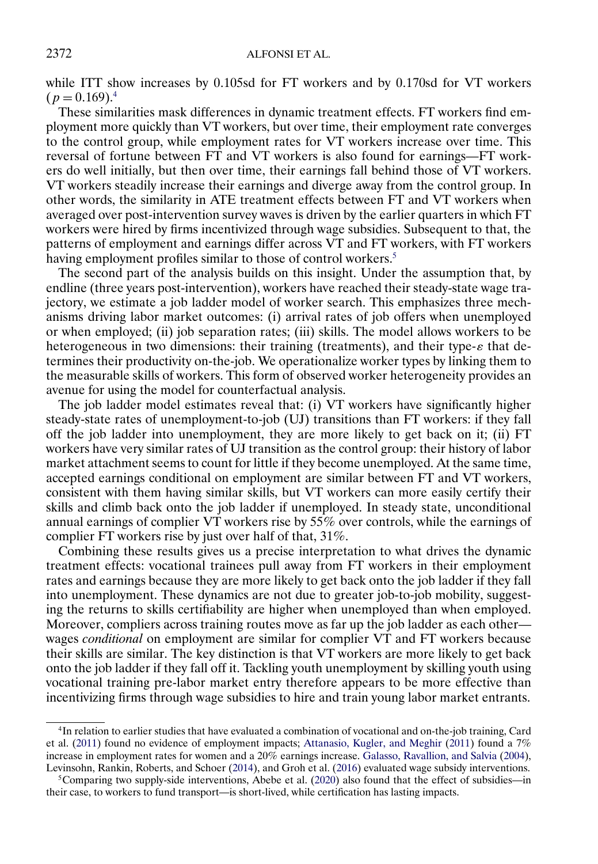<span id="page-3-0"></span>while ITT show increases by 0.105sd for FT workers and by 0.170sd for VT workers  $(p = 0.169)^{4}$ 

These similarities mask differences in dynamic treatment effects. FT workers find employment more quickly than VT workers, but over time, their employment rate converges to the control group, while employment rates for VT workers increase over time. This reversal of fortune between FT and VT workers is also found for earnings—FT workers do well initially, but then over time, their earnings fall behind those of VT workers. VT workers steadily increase their earnings and diverge away from the control group. In other words, the similarity in ATE treatment effects between FT and VT workers when averaged over post-intervention survey waves is driven by the earlier quarters in which FT workers were hired by firms incentivized through wage subsidies. Subsequent to that, the patterns of employment and earnings differ across VT and FT workers, with FT workers having employment profiles similar to those of control workers.<sup>5</sup>

The second part of the analysis builds on this insight. Under the assumption that, by endline (three years post-intervention), workers have reached their steady-state wage trajectory, we estimate a job ladder model of worker search. This emphasizes three mechanisms driving labor market outcomes: (i) arrival rates of job offers when unemployed or when employed; (ii) job separation rates; (iii) skills. The model allows workers to be heterogeneous in two dimensions: their training (treatments), and their type- $\varepsilon$  that determines their productivity on-the-job. We operationalize worker types by linking them to the measurable skills of workers. This form of observed worker heterogeneity provides an avenue for using the model for counterfactual analysis.

The job ladder model estimates reveal that: (i) VT workers have significantly higher steady-state rates of unemployment-to-job (UJ) transitions than FT workers: if they fall off the job ladder into unemployment, they are more likely to get back on it; (ii) FT workers have very similar rates of UJ transition as the control group: their history of labor market attachment seems to count for little if they become unemployed. At the same time, accepted earnings conditional on employment are similar between FT and VT workers, consistent with them having similar skills, but VT workers can more easily certify their skills and climb back onto the job ladder if unemployed. In steady state, unconditional annual earnings of complier VT workers rise by 55% over controls, while the earnings of complier FT workers rise by just over half of that, 31%.

Combining these results gives us a precise interpretation to what drives the dynamic treatment effects: vocational trainees pull away from FT workers in their employment rates and earnings because they are more likely to get back onto the job ladder if they fall into unemployment. These dynamics are not due to greater job-to-job mobility, suggesting the returns to skills certifiability are higher when unemployed than when employed. Moreover, compliers across training routes move as far up the job ladder as each other wages *conditional* on employment are similar for complier VT and FT workers because their skills are similar. The key distinction is that VT workers are more likely to get back onto the job ladder if they fall off it. Tackling youth unemployment by skilling youth using vocational training pre-labor market entry therefore appears to be more effective than incentivizing firms through wage subsidies to hire and train young labor market entrants.

<sup>4</sup>In relation to earlier studies that have evaluated a combination of vocational and on-the-job training, Card et al. [\(2011\)](#page-44-0) found no evidence of employment impacts; [Attanasio, Kugler, and Meghir](#page-44-0) [\(2011\)](#page-44-0) found a 7% increase in employment rates for women and a 20% earnings increase. [Galasso, Ravallion, and Salvia](#page-44-0) [\(2004\)](#page-44-0), Levinsohn, Rankin, Roberts, and Schoer [\(2014\)](#page-45-0), and Groh et al. [\(2016\)](#page-45-0) evaluated wage subsidy interventions.

<sup>&</sup>lt;sup>5</sup>Comparing two supply-side interventions, Abebe et al. [\(2020\)](#page-44-0) also found that the effect of subsidies—in their case, to workers to fund transport—is short-lived, while certification has lasting impacts.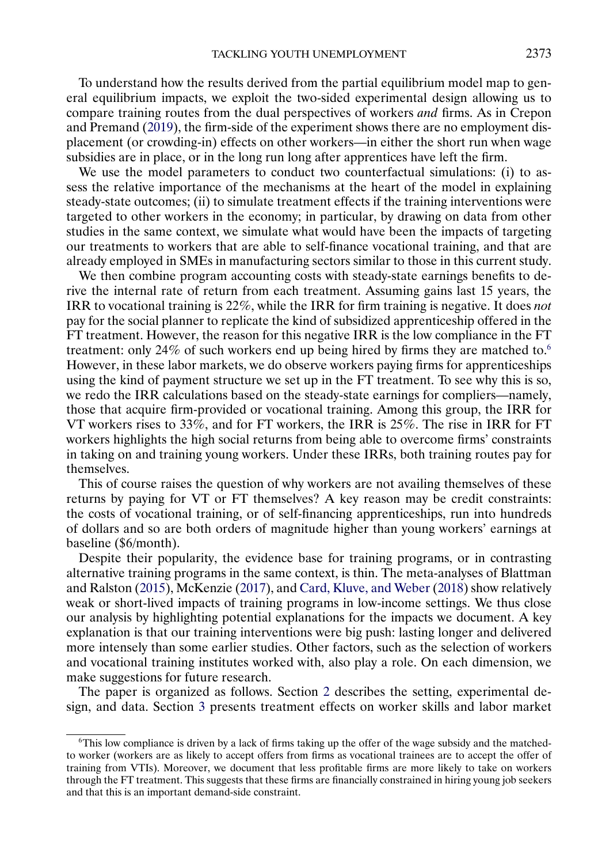<span id="page-4-0"></span>To understand how the results derived from the partial equilibrium model map to general equilibrium impacts, we exploit the two-sided experimental design allowing us to compare training routes from the dual perspectives of workers *and* firms. As in Crepon and Premand [\(2019\)](#page-44-0), the firm-side of the experiment shows there are no employment displacement (or crowding-in) effects on other workers—in either the short run when wage subsidies are in place, or in the long run long after apprentices have left the firm.

We use the model parameters to conduct two counterfactual simulations: (i) to assess the relative importance of the mechanisms at the heart of the model in explaining steady-state outcomes; (ii) to simulate treatment effects if the training interventions were targeted to other workers in the economy; in particular, by drawing on data from other studies in the same context, we simulate what would have been the impacts of targeting our treatments to workers that are able to self-finance vocational training, and that are already employed in SMEs in manufacturing sectors similar to those in this current study.

We then combine program accounting costs with steady-state earnings benefits to derive the internal rate of return from each treatment. Assuming gains last 15 years, the IRR to vocational training is 22%, while the IRR for firm training is negative. It does *not* pay for the social planner to replicate the kind of subsidized apprenticeship offered in the FT treatment. However, the reason for this negative IRR is the low compliance in the FT treatment: only 24% of such workers end up being hired by firms they are matched to.6 However, in these labor markets, we do observe workers paying firms for apprenticeships using the kind of payment structure we set up in the FT treatment. To see why this is so, we redo the IRR calculations based on the steady-state earnings for compliers—namely, those that acquire firm-provided or vocational training. Among this group, the IRR for VT workers rises to 33%, and for FT workers, the IRR is 25%. The rise in IRR for FT workers highlights the high social returns from being able to overcome firms' constraints in taking on and training young workers. Under these IRRs, both training routes pay for themselves.

This of course raises the question of why workers are not availing themselves of these returns by paying for VT or FT themselves? A key reason may be credit constraints: the costs of vocational training, or of self-financing apprenticeships, run into hundreds of dollars and so are both orders of magnitude higher than young workers' earnings at baseline (\$6/month).

Despite their popularity, the evidence base for training programs, or in contrasting alternative training programs in the same context, is thin. The meta-analyses of Blattman and Ralston [\(2015\)](#page-44-0), McKenzie [\(2017\)](#page-45-0), and [Card, Kluve, and Weber](#page-44-0) [\(2018\)](#page-44-0) show relatively weak or short-lived impacts of training programs in low-income settings. We thus close our analysis by highlighting potential explanations for the impacts we document. A key explanation is that our training interventions were big push: lasting longer and delivered more intensely than some earlier studies. Other factors, such as the selection of workers and vocational training institutes worked with, also play a role. On each dimension, we make suggestions for future research.

The paper is organized as follows. Section [2](#page-5-0) describes the setting, experimental design, and data. Section [3](#page-11-0) presents treatment effects on worker skills and labor market

<sup>6</sup>This low compliance is driven by a lack of firms taking up the offer of the wage subsidy and the matchedto worker (workers are as likely to accept offers from firms as vocational trainees are to accept the offer of training from VTIs). Moreover, we document that less profitable firms are more likely to take on workers through the FT treatment. This suggests that these firms are financially constrained in hiring young job seekers and that this is an important demand-side constraint.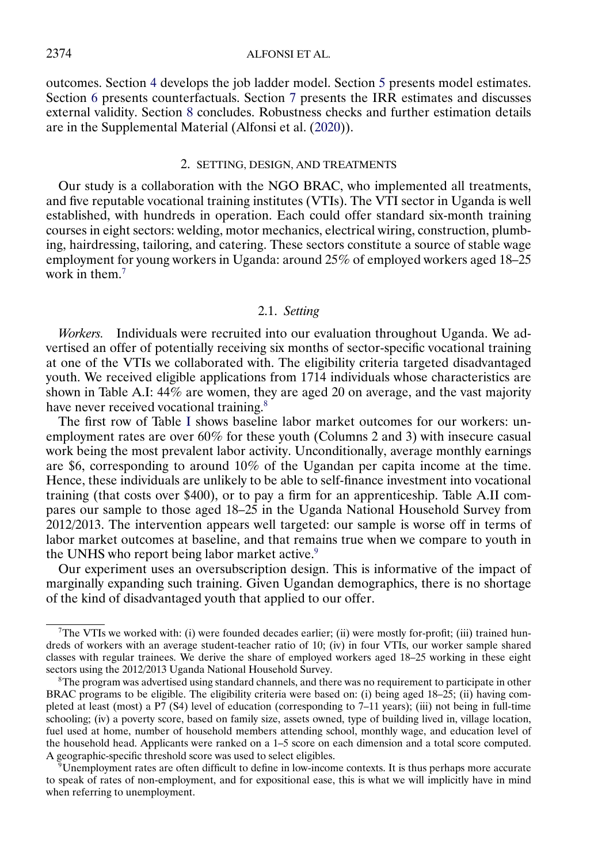<span id="page-5-0"></span>outcomes. Section [4](#page-22-0) develops the job ladder model. Section [5](#page-28-0) presents model estimates. Section [6](#page-33-0) presents counterfactuals. Section [7](#page-39-0) presents the IRR estimates and discusses external validity. Section [8](#page-43-0) concludes. Robustness checks and further estimation details are in the Supplemental Material (Alfonsi et al. [\(2020\)](#page-44-0)).

#### 2. SETTING, DESIGN, AND TREATMENTS

Our study is a collaboration with the NGO BRAC, who implemented all treatments, and five reputable vocational training institutes (VTIs). The VTI sector in Uganda is well established, with hundreds in operation. Each could offer standard six-month training courses in eight sectors: welding, motor mechanics, electrical wiring, construction, plumbing, hairdressing, tailoring, and catering. These sectors constitute a source of stable wage employment for young workers in Uganda: around 25% of employed workers aged 18–25 work in them.<sup>7</sup>

## 2.1. *Setting*

*Workers.* Individuals were recruited into our evaluation throughout Uganda. We advertised an offer of potentially receiving six months of sector-specific vocational training at one of the VTIs we collaborated with. The eligibility criteria targeted disadvantaged youth. We received eligible applications from 1714 individuals whose characteristics are shown in Table A.I: 44% are women, they are aged 20 on average, and the vast majority have never received vocational training.<sup>8</sup>

The first row of Table [I](#page-6-0) shows baseline labor market outcomes for our workers: unemployment rates are over 60% for these youth (Columns 2 and 3) with insecure casual work being the most prevalent labor activity. Unconditionally, average monthly earnings are \$6, corresponding to around 10% of the Ugandan per capita income at the time. Hence, these individuals are unlikely to be able to self-finance investment into vocational training (that costs over \$400), or to pay a firm for an apprenticeship. Table A.II compares our sample to those aged 18–25 in the Uganda National Household Survey from 2012/2013. The intervention appears well targeted: our sample is worse off in terms of labor market outcomes at baseline, and that remains true when we compare to youth in the UNHS who report being labor market active.<sup>9</sup>

Our experiment uses an oversubscription design. This is informative of the impact of marginally expanding such training. Given Ugandan demographics, there is no shortage of the kind of disadvantaged youth that applied to our offer.

<sup>7</sup>The VTIs we worked with: (i) were founded decades earlier; (ii) were mostly for-profit; (iii) trained hundreds of workers with an average student-teacher ratio of 10; (iv) in four VTIs, our worker sample shared classes with regular trainees. We derive the share of employed workers aged 18–25 working in these eight sectors using the 2012/2013 Uganda National Household Survey.

 $8$ The program was advertised using standard channels, and there was no requirement to participate in other BRAC programs to be eligible. The eligibility criteria were based on: (i) being aged 18–25; (ii) having completed at least (most) a P7 (S4) level of education (corresponding to 7–11 years); (iii) not being in full-time schooling; (iv) a poverty score, based on family size, assets owned, type of building lived in, village location, fuel used at home, number of household members attending school, monthly wage, and education level of the household head. Applicants were ranked on a 1–5 score on each dimension and a total score computed. A geographic-specific threshold score was used to select eligibles.

 $9$ Unemployment rates are often difficult to define in low-income contexts. It is thus perhaps more accurate to speak of rates of non-employment, and for expositional ease, this is what we will implicitly have in mind when referring to unemployment.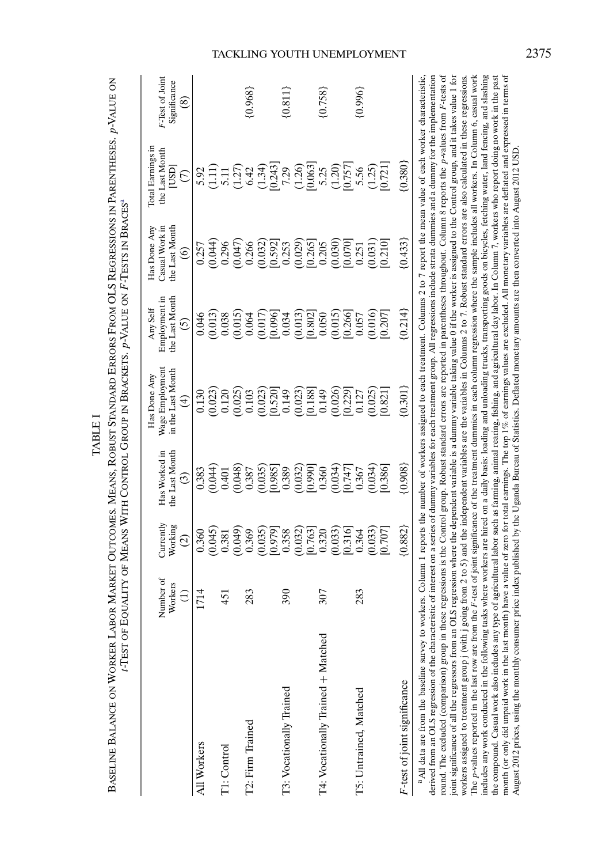|                                                                                                                                                                                                                                                                                                                                                                                                                                                                                                                                                                                                                                                                                                                                                                                                                                                                                                                                                                                                                                                                                         |           |                                                                  |                                                                                                                                                                                                                                                                    | -Test of Equality of Means With Control Group in Brackets. p-Value on F-Tests in Braces®                                                            |                                               |                                                                                                                                                                         |                                                                                                                                                                                                                                                                                             |                 |
|-----------------------------------------------------------------------------------------------------------------------------------------------------------------------------------------------------------------------------------------------------------------------------------------------------------------------------------------------------------------------------------------------------------------------------------------------------------------------------------------------------------------------------------------------------------------------------------------------------------------------------------------------------------------------------------------------------------------------------------------------------------------------------------------------------------------------------------------------------------------------------------------------------------------------------------------------------------------------------------------------------------------------------------------------------------------------------------------|-----------|------------------------------------------------------------------|--------------------------------------------------------------------------------------------------------------------------------------------------------------------------------------------------------------------------------------------------------------------|-----------------------------------------------------------------------------------------------------------------------------------------------------|-----------------------------------------------|-------------------------------------------------------------------------------------------------------------------------------------------------------------------------|---------------------------------------------------------------------------------------------------------------------------------------------------------------------------------------------------------------------------------------------------------------------------------------------|-----------------|
|                                                                                                                                                                                                                                                                                                                                                                                                                                                                                                                                                                                                                                                                                                                                                                                                                                                                                                                                                                                                                                                                                         | Number of | $_{\rm Currenty}$                                                | Has Worked in                                                                                                                                                                                                                                                      | Wage Employment<br>Has Done Any                                                                                                                     | Employment in<br>Any Self                     | Casual Work in<br>Has Done Any                                                                                                                                          | Total Earnings in<br>the Last Month                                                                                                                                                                                                                                                         | F-Test of Joint |
|                                                                                                                                                                                                                                                                                                                                                                                                                                                                                                                                                                                                                                                                                                                                                                                                                                                                                                                                                                                                                                                                                         | Workers   | Working                                                          | the Last Month                                                                                                                                                                                                                                                     | in the Last Month                                                                                                                                   | the Last Month                                | the Last Month                                                                                                                                                          | lasn                                                                                                                                                                                                                                                                                        | Significance    |
|                                                                                                                                                                                                                                                                                                                                                                                                                                                                                                                                                                                                                                                                                                                                                                                                                                                                                                                                                                                                                                                                                         | Ξ         | $\odot$                                                          | $\widehat{\mathcal{E}}$                                                                                                                                                                                                                                            | $\left( 4\right)$                                                                                                                                   | ତି                                            | $\widehat{\circ}$                                                                                                                                                       | $\widehat{\in}$                                                                                                                                                                                                                                                                             | ⊗               |
| All Workers                                                                                                                                                                                                                                                                                                                                                                                                                                                                                                                                                                                                                                                                                                                                                                                                                                                                                                                                                                                                                                                                             | 1714      | 0.360                                                            | 0.383                                                                                                                                                                                                                                                              | 0.130                                                                                                                                               | 0.046                                         | 0.257                                                                                                                                                                   |                                                                                                                                                                                                                                                                                             |                 |
|                                                                                                                                                                                                                                                                                                                                                                                                                                                                                                                                                                                                                                                                                                                                                                                                                                                                                                                                                                                                                                                                                         |           | (0.045)                                                          | (0.044)                                                                                                                                                                                                                                                            | $\begin{array}{c} (0.023) \\ 0.120 \end{array}$                                                                                                     | (0.013)                                       | (0.044)                                                                                                                                                                 | $\begin{array}{l} 0.9111 \\ 0.1111 \\ 0.1111 \\ 0.1111 \\ 0.1111 \\ 0.1111 \\ 0.1111 \\ 0.1111 \\ 0.1111 \\ 0.1111 \\ 0.1111 \\ 0.1111 \\ 0.1111 \\ 0.1111 \\ 0.1111 \\ 0.1111 \\ 0.1111 \\ 0.1111 \\ 0.1111 \\ 0.1111 \\ 0.1111 \\ 0.1111 \\ 0.1111 \\ 0.1111 \\ 0.1111 \\ 0.1111 \\ 0.11$ |                 |
| T1: Control                                                                                                                                                                                                                                                                                                                                                                                                                                                                                                                                                                                                                                                                                                                                                                                                                                                                                                                                                                                                                                                                             | 451       | 0.381                                                            | 0.401                                                                                                                                                                                                                                                              |                                                                                                                                                     |                                               | 0.296                                                                                                                                                                   |                                                                                                                                                                                                                                                                                             |                 |
|                                                                                                                                                                                                                                                                                                                                                                                                                                                                                                                                                                                                                                                                                                                                                                                                                                                                                                                                                                                                                                                                                         |           | (0.049)                                                          | (0.048)                                                                                                                                                                                                                                                            |                                                                                                                                                     | $\begin{array}{c} 0.038 \\ 0.015 \end{array}$ | (740, 0)                                                                                                                                                                |                                                                                                                                                                                                                                                                                             |                 |
| T2: Firm Trained                                                                                                                                                                                                                                                                                                                                                                                                                                                                                                                                                                                                                                                                                                                                                                                                                                                                                                                                                                                                                                                                        | 283       | 0.369                                                            |                                                                                                                                                                                                                                                                    |                                                                                                                                                     |                                               |                                                                                                                                                                         |                                                                                                                                                                                                                                                                                             | ${0.968}$       |
|                                                                                                                                                                                                                                                                                                                                                                                                                                                                                                                                                                                                                                                                                                                                                                                                                                                                                                                                                                                                                                                                                         |           | $\begin{smallmatrix} (0.035) \ 0.979] \ 0.358 \end{smallmatrix}$ | $\begin{array}{l} 0.387\\ 0.0350\\ 0.0851\\ 0.0853\\ 0.0332\\ 0.0370\\ 0.0370\\ 0.034\\ 0.034\\ 0.034\\ 0.034\\ 0.034)\\ 0.034)\\ 0.034)\\ 0.034)\\ 0.034)\\ 0.034)\\ 0.034)\\ 0.034)\\ 0.034)\\ 0.034)\\ 0.035)\\ 0.035)\\ 0.035)\\ 0.035)\\ 0.036)\\ 0.037)\\ 0$ | $\begin{array}{l} (0.025)\\ (0.103)\\ (0.023)\\ (0.520)\\ (0.149)\\ (0.023)\\ (0.0149)\\ (0.149)\\ (0.149)\\ \end{array}$                           |                                               | $\left( \begin{smallmatrix} 0.266 \ 0.0320 \ 0.0521 \ 0.0269 \ 0.0269 \ 0.0269 \ 0.0269 \ 0.0209 \ 0.0209 \ 0.0209 \ 0.0209 \ 0.0209 \ 0.021 \end{smallmatrix} \right)$ |                                                                                                                                                                                                                                                                                             |                 |
|                                                                                                                                                                                                                                                                                                                                                                                                                                                                                                                                                                                                                                                                                                                                                                                                                                                                                                                                                                                                                                                                                         |           |                                                                  |                                                                                                                                                                                                                                                                    |                                                                                                                                                     |                                               |                                                                                                                                                                         |                                                                                                                                                                                                                                                                                             |                 |
| T3: Vocationally Trained                                                                                                                                                                                                                                                                                                                                                                                                                                                                                                                                                                                                                                                                                                                                                                                                                                                                                                                                                                                                                                                                | 390       |                                                                  |                                                                                                                                                                                                                                                                    |                                                                                                                                                     |                                               |                                                                                                                                                                         |                                                                                                                                                                                                                                                                                             | ${0.811}$       |
|                                                                                                                                                                                                                                                                                                                                                                                                                                                                                                                                                                                                                                                                                                                                                                                                                                                                                                                                                                                                                                                                                         |           | (0.032)                                                          |                                                                                                                                                                                                                                                                    |                                                                                                                                                     |                                               |                                                                                                                                                                         |                                                                                                                                                                                                                                                                                             |                 |
|                                                                                                                                                                                                                                                                                                                                                                                                                                                                                                                                                                                                                                                                                                                                                                                                                                                                                                                                                                                                                                                                                         |           | $\frac{0.763}{0.320}$                                            |                                                                                                                                                                                                                                                                    |                                                                                                                                                     |                                               |                                                                                                                                                                         |                                                                                                                                                                                                                                                                                             |                 |
| T4: Vocationally Trained + Matched                                                                                                                                                                                                                                                                                                                                                                                                                                                                                                                                                                                                                                                                                                                                                                                                                                                                                                                                                                                                                                                      | 307       |                                                                  |                                                                                                                                                                                                                                                                    |                                                                                                                                                     |                                               |                                                                                                                                                                         |                                                                                                                                                                                                                                                                                             | ${0.758}$       |
|                                                                                                                                                                                                                                                                                                                                                                                                                                                                                                                                                                                                                                                                                                                                                                                                                                                                                                                                                                                                                                                                                         |           | (0.033)                                                          |                                                                                                                                                                                                                                                                    |                                                                                                                                                     |                                               |                                                                                                                                                                         |                                                                                                                                                                                                                                                                                             |                 |
|                                                                                                                                                                                                                                                                                                                                                                                                                                                                                                                                                                                                                                                                                                                                                                                                                                                                                                                                                                                                                                                                                         |           | 0.316                                                            |                                                                                                                                                                                                                                                                    | $\begin{array}{c} (0.026) \\ (0.229) \\ 0.127 \\ 0.025) \end{array}$                                                                                |                                               |                                                                                                                                                                         |                                                                                                                                                                                                                                                                                             |                 |
| T5: Untrained, Matched                                                                                                                                                                                                                                                                                                                                                                                                                                                                                                                                                                                                                                                                                                                                                                                                                                                                                                                                                                                                                                                                  | 283       | 0.364                                                            |                                                                                                                                                                                                                                                                    |                                                                                                                                                     | 0.057                                         |                                                                                                                                                                         |                                                                                                                                                                                                                                                                                             | (0.996)         |
|                                                                                                                                                                                                                                                                                                                                                                                                                                                                                                                                                                                                                                                                                                                                                                                                                                                                                                                                                                                                                                                                                         |           | (0.033)                                                          |                                                                                                                                                                                                                                                                    |                                                                                                                                                     | (0.016)                                       |                                                                                                                                                                         |                                                                                                                                                                                                                                                                                             |                 |
|                                                                                                                                                                                                                                                                                                                                                                                                                                                                                                                                                                                                                                                                                                                                                                                                                                                                                                                                                                                                                                                                                         |           | [0.707]                                                          | 0.386                                                                                                                                                                                                                                                              | 0.821                                                                                                                                               | [0.207]                                       | [0.210]                                                                                                                                                                 |                                                                                                                                                                                                                                                                                             |                 |
| F-test of joint significance                                                                                                                                                                                                                                                                                                                                                                                                                                                                                                                                                                                                                                                                                                                                                                                                                                                                                                                                                                                                                                                            |           | (0.882)                                                          | ${0.908}$                                                                                                                                                                                                                                                          | (0.301)                                                                                                                                             | ${0.214}$                                     | (0.433)                                                                                                                                                                 | (0.380)                                                                                                                                                                                                                                                                                     |                 |
| round. The excluded (comparison) group in these regressions is the Control group. Robust standard errors are reported in parentheses throughout. Column 8 reports the p-values from F-tests of<br><sup>a</sup> All data are from the baseline survey to workers. Column 1 reports the number of workers assigned to each treatment. Columns 2 to 7 report the mean value of each worker characteristic,<br>derived from an OLS regression of the characteristic of interest on a series of dummy variables for each treatment group. All regressions include strata dummics and a dummy for the implementation<br>joint significance of all the regressors from an OLS regression where the dependent variable is a dummy variable taking value 0 if the worker is assigned to the Control group, and it takes value 1 for<br>workers assigned to treatment group j (with j going from 2 to 5) and the independent variables are the variables in Columns 2 to 7. Robust standard errors are also calculated in these regressions.<br>The $p$ -values reported in the last row are from |           |                                                                  |                                                                                                                                                                                                                                                                    |                                                                                                                                                     |                                               |                                                                                                                                                                         |                                                                                                                                                                                                                                                                                             |                 |
|                                                                                                                                                                                                                                                                                                                                                                                                                                                                                                                                                                                                                                                                                                                                                                                                                                                                                                                                                                                                                                                                                         |           |                                                                  |                                                                                                                                                                                                                                                                    | the F-test of joint significance of the treatment dummies in each column regression where the sample includes all workers. In Column 6, casual work |                                               |                                                                                                                                                                         |                                                                                                                                                                                                                                                                                             |                 |

<span id="page-6-0"></span>PARENTHESES. p-VALUE ON FROM OLS REGRESSIONS IN ERRORS OUTCOMES. MEANS, ROBUST STANDARD **TABLE** TABLE I MARKET LABOR WORKER BALANCE ON

## TACKLING YOUTH UNEMPLOYMENT 2375

includes any work conducted in the following tasks where workers are hired on a daily basis: loading and unloading trucks, transporting goods on bicycles, fetching water, land fencing, and slashing the compound. Casual work also includes any type of agricultural labor such as farming, animal rearing, fishing, and agricultural day labor. In Column 7, workers who report doing no work in the past month (or only did unpaid work in the last month) have a value of zero for total earnings. The top 1% of earnings values are excluded. All monetary variables are deflated and expressed in terms of

includes any work conducted in the following tasks where workers are hired on a daily basis: loading and unloading trucks, transporting goods on bicycles, fetching water, land fencing, and slashing<br>the compound. Casual wor month (or only did unpaid work in the last month) have a value of zero for total earnings. The top 1% of earnings values are excluded. All monetary variables are deflated and expressed in terms of<br>August 2012 prices, using

August 2012 prices, using the monthly consumer price index published by the Uganda Bureau of Statistics. Deflated monetary amounts are then converted into August 2012 USD.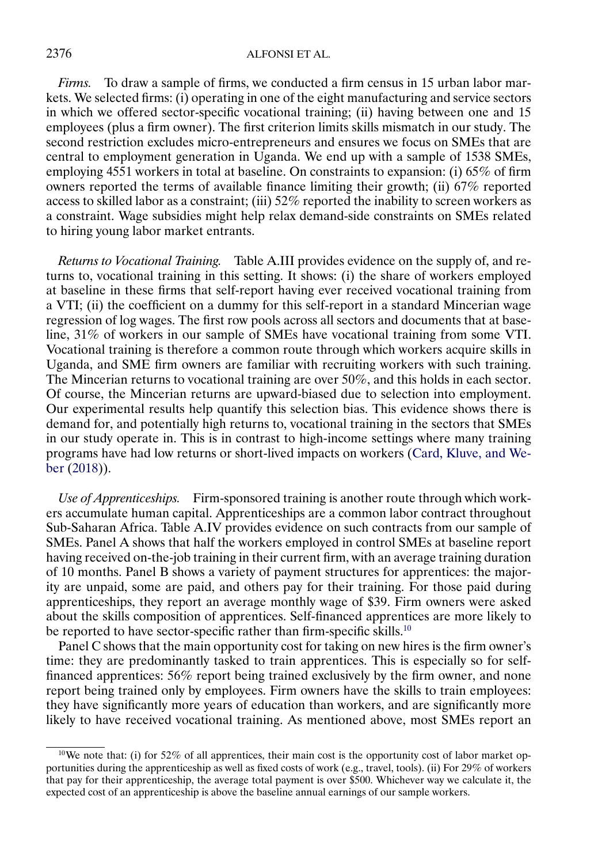<span id="page-7-0"></span>*Firms.* To draw a sample of firms, we conducted a firm census in 15 urban labor markets. We selected firms: (i) operating in one of the eight manufacturing and service sectors in which we offered sector-specific vocational training; (ii) having between one and 15 employees (plus a firm owner). The first criterion limits skills mismatch in our study. The second restriction excludes micro-entrepreneurs and ensures we focus on SMEs that are central to employment generation in Uganda. We end up with a sample of 1538 SMEs, employing 4551 workers in total at baseline. On constraints to expansion: (i) 65% of firm owners reported the terms of available finance limiting their growth; (ii) 67% reported access to skilled labor as a constraint; (iii) 52% reported the inability to screen workers as a constraint. Wage subsidies might help relax demand-side constraints on SMEs related to hiring young labor market entrants.

*Returns to Vocational Training.* Table A.III provides evidence on the supply of, and returns to, vocational training in this setting. It shows: (i) the share of workers employed at baseline in these firms that self-report having ever received vocational training from a VTI; (ii) the coefficient on a dummy for this self-report in a standard Mincerian wage regression of log wages. The first row pools across all sectors and documents that at baseline, 31% of workers in our sample of SMEs have vocational training from some VTI. Vocational training is therefore a common route through which workers acquire skills in Uganda, and SME firm owners are familiar with recruiting workers with such training. The Mincerian returns to vocational training are over 50%, and this holds in each sector. Of course, the Mincerian returns are upward-biased due to selection into employment. Our experimental results help quantify this selection bias. This evidence shows there is demand for, and potentially high returns to, vocational training in the sectors that SMEs in our study operate in. This is in contrast to high-income settings where many training programs have had low returns or short-lived impacts on workers [\(Card, Kluve, and We](#page-44-0)[ber](#page-44-0) [\(2018\)](#page-44-0)).

*Use of Apprenticeships.* Firm-sponsored training is another route through which workers accumulate human capital. Apprenticeships are a common labor contract throughout Sub-Saharan Africa. Table A.IV provides evidence on such contracts from our sample of SMEs. Panel A shows that half the workers employed in control SMEs at baseline report having received on-the-job training in their current firm, with an average training duration of 10 months. Panel B shows a variety of payment structures for apprentices: the majority are unpaid, some are paid, and others pay for their training. For those paid during apprenticeships, they report an average monthly wage of \$39. Firm owners were asked about the skills composition of apprentices. Self-financed apprentices are more likely to be reported to have sector-specific rather than firm-specific skills.<sup>10</sup>

Panel C shows that the main opportunity cost for taking on new hires is the firm owner's time: they are predominantly tasked to train apprentices. This is especially so for selffinanced apprentices: 56% report being trained exclusively by the firm owner, and none report being trained only by employees. Firm owners have the skills to train employees: they have significantly more years of education than workers, and are significantly more likely to have received vocational training. As mentioned above, most SMEs report an

<sup>&</sup>lt;sup>10</sup>We note that: (i) for 52% of all apprentices, their main cost is the opportunity cost of labor market opportunities during the apprenticeship as well as fixed costs of work (e.g., travel, tools). (ii) For 29% of workers that pay for their apprenticeship, the average total payment is over \$500. Whichever way we calculate it, the expected cost of an apprenticeship is above the baseline annual earnings of our sample workers.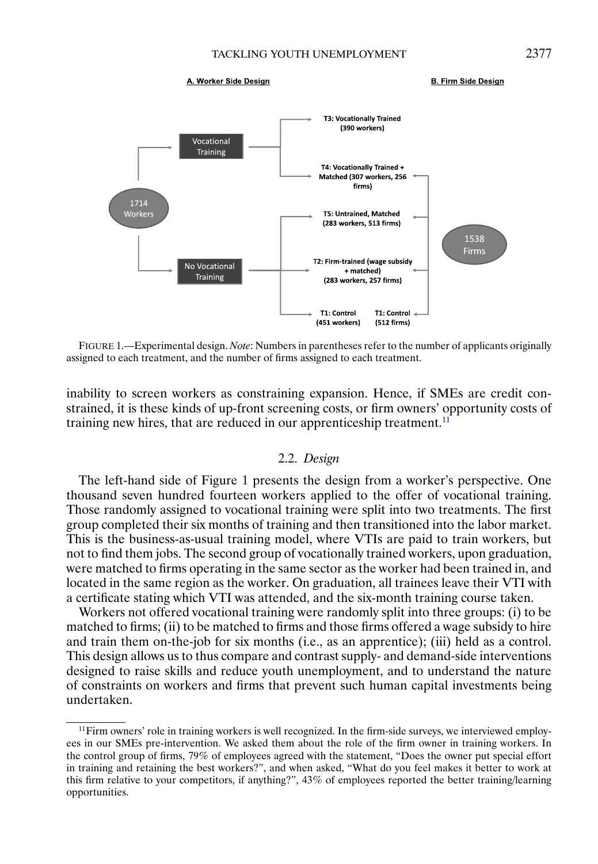#### A. Worker Side Design

**B. Firm Side Design** 

<span id="page-8-0"></span>

FIGURE 1.—Experimental design. *Note*: Numbers in parentheses refer to the number of applicants originally assigned to each treatment, and the number of firms assigned to each treatment.

inability to screen workers as constraining expansion. Hence, if SMEs are credit constrained, it is these kinds of up-front screening costs, or firm owners' opportunity costs of training new hires, that are reduced in our apprenticeship treatment.<sup>11</sup>

#### 2.2. *Design*

The left-hand side of Figure 1 presents the design from a worker's perspective. One thousand seven hundred fourteen workers applied to the offer of vocational training. Those randomly assigned to vocational training were split into two treatments. The first group completed their six months of training and then transitioned into the labor market. This is the business-as-usual training model, where VTIs are paid to train workers, but not to find them jobs. The second group of vocationally trained workers, upon graduation, were matched to firms operating in the same sector as the worker had been trained in, and located in the same region as the worker. On graduation, all trainees leave their VTI with a certificate stating which VTI was attended, and the six-month training course taken.

Workers not offered vocational training were randomly split into three groups: (i) to be matched to firms; (ii) to be matched to firms and those firms offered a wage subsidy to hire and train them on-the-job for six months (i.e., as an apprentice); (iii) held as a control. This design allows us to thus compare and contrast supply- and demand-side interventions designed to raise skills and reduce youth unemployment, and to understand the nature of constraints on workers and firms that prevent such human capital investments being undertaken.

 $11$  Firm owners' role in training workers is well recognized. In the firm-side surveys, we interviewed employees in our SMEs pre-intervention. We asked them about the role of the firm owner in training workers. In the control group of firms, 79% of employees agreed with the statement, "Does the owner put special effort in training and retaining the best workers?", and when asked, "What do you feel makes it better to work at this firm relative to your competitors, if anything?", 43% of employees reported the better training/learning opportunities.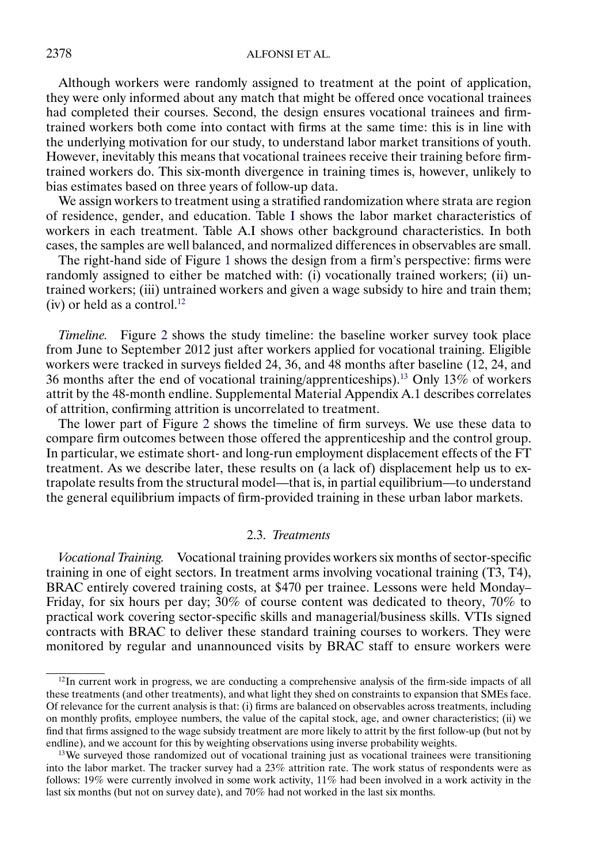Although workers were randomly assigned to treatment at the point of application, they were only informed about any match that might be offered once vocational trainees had completed their courses. Second, the design ensures vocational trainees and firmtrained workers both come into contact with firms at the same time: this is in line with the underlying motivation for our study, to understand labor market transitions of youth. However, inevitably this means that vocational trainees receive their training before firmtrained workers do. This six-month divergence in training times is, however, unlikely to bias estimates based on three years of follow-up data.

We assign workers to treatment using a stratified randomization where strata are region of residence, gender, and education. Table [I](#page-6-0) shows the labor market characteristics of workers in each treatment. Table A.I shows other background characteristics. In both cases, the samples are well balanced, and normalized differences in observables are small.

The right-hand side of Figure [1](#page-8-0) shows the design from a firm's perspective: firms were randomly assigned to either be matched with: (i) vocationally trained workers; (ii) untrained workers; (iii) untrained workers and given a wage subsidy to hire and train them; (iv) or held as a control.<sup>12</sup>

*Timeline.* Figure [2](#page-10-0) shows the study timeline: the baseline worker survey took place from June to September 2012 just after workers applied for vocational training. Eligible workers were tracked in surveys fielded 24, 36, and 48 months after baseline (12, 24, and 36 months after the end of vocational training/apprenticeships).13 Only 13% of workers attrit by the 48-month endline. Supplemental Material Appendix A.1 describes correlates of attrition, confirming attrition is uncorrelated to treatment.

The lower part of Figure [2](#page-10-0) shows the timeline of firm surveys. We use these data to compare firm outcomes between those offered the apprenticeship and the control group. In particular, we estimate short- and long-run employment displacement effects of the FT treatment. As we describe later, these results on (a lack of) displacement help us to extrapolate results from the structural model—that is, in partial equilibrium—to understand the general equilibrium impacts of firm-provided training in these urban labor markets.

## 2.3. *Treatments*

*Vocational Training.* Vocational training provides workers six months of sector-specific training in one of eight sectors. In treatment arms involving vocational training (T3, T4), BRAC entirely covered training costs, at \$470 per trainee. Lessons were held Monday– Friday, for six hours per day; 30% of course content was dedicated to theory, 70% to practical work covering sector-specific skills and managerial/business skills. VTIs signed contracts with BRAC to deliver these standard training courses to workers. They were monitored by regular and unannounced visits by BRAC staff to ensure workers were

 $12$ In current work in progress, we are conducting a comprehensive analysis of the firm-side impacts of all these treatments (and other treatments), and what light they shed on constraints to expansion that SMEs face. Of relevance for the current analysis is that: (i) firms are balanced on observables across treatments, including on monthly profits, employee numbers, the value of the capital stock, age, and owner characteristics; (ii) we find that firms assigned to the wage subsidy treatment are more likely to attrit by the first follow-up (but not by endline), and we account for this by weighting observations using inverse probability weights.

<sup>&</sup>lt;sup>13</sup>We surveyed those randomized out of vocational training just as vocational trainees were transitioning into the labor market. The tracker survey had a 23% attrition rate. The work status of respondents were as follows: 19% were currently involved in some work activity, 11% had been involved in a work activity in the last six months (but not on survey date), and 70% had not worked in the last six months.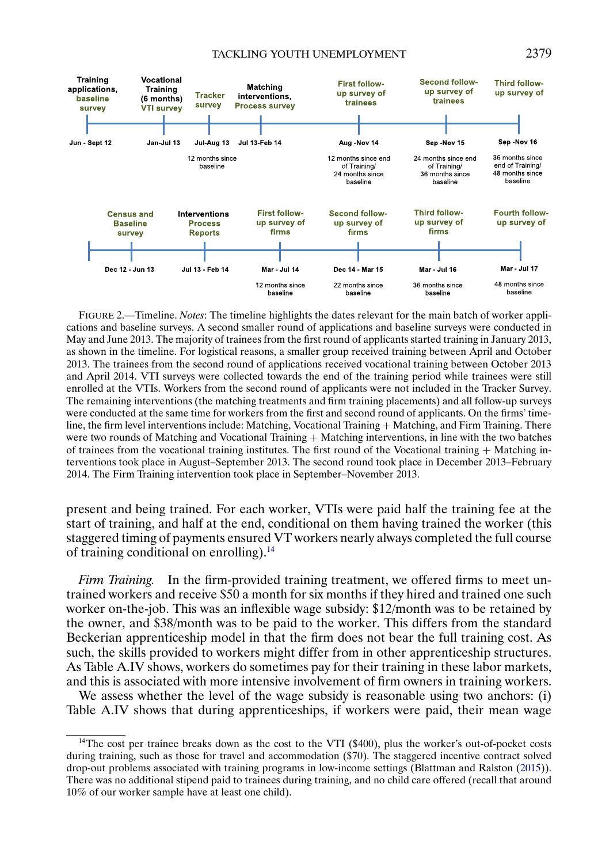#### TACKLING YOUTH UNEMPLOYMENT 2379

<span id="page-10-0"></span>

FIGURE 2.—Timeline. *Notes*: The timeline highlights the dates relevant for the main batch of worker applications and baseline surveys. A second smaller round of applications and baseline surveys were conducted in May and June 2013. The majority of trainees from the first round of applicants started training in January 2013, as shown in the timeline. For logistical reasons, a smaller group received training between April and October 2013. The trainees from the second round of applications received vocational training between October 2013 and April 2014. VTI surveys were collected towards the end of the training period while trainees were still enrolled at the VTIs. Workers from the second round of applicants were not included in the Tracker Survey. The remaining interventions (the matching treatments and firm training placements) and all follow-up surveys were conducted at the same time for workers from the first and second round of applicants. On the firms' timeline, the firm level interventions include: Matching, Vocational Training + Matching, and Firm Training. There were two rounds of Matching and Vocational Training + Matching interventions, in line with the two batches of trainees from the vocational training institutes. The first round of the Vocational training + Matching interventions took place in August–September 2013. The second round took place in December 2013–February 2014. The Firm Training intervention took place in September–November 2013.

present and being trained. For each worker, VTIs were paid half the training fee at the start of training, and half at the end, conditional on them having trained the worker (this staggered timing of payments ensured VT workers nearly always completed the full course of training conditional on enrolling).14

*Firm Training.* In the firm-provided training treatment, we offered firms to meet untrained workers and receive \$50 a month for six months if they hired and trained one such worker on-the-job. This was an inflexible wage subsidy: \$12/month was to be retained by the owner, and \$38/month was to be paid to the worker. This differs from the standard Beckerian apprenticeship model in that the firm does not bear the full training cost. As such, the skills provided to workers might differ from in other apprenticeship structures. As Table A.IV shows, workers do sometimes pay for their training in these labor markets, and this is associated with more intensive involvement of firm owners in training workers.

We assess whether the level of the wage subsidy is reasonable using two anchors: (i) Table A.IV shows that during apprenticeships, if workers were paid, their mean wage

<sup>&</sup>lt;sup>14</sup>The cost per trainee breaks down as the cost to the VTI (\$400), plus the worker's out-of-pocket costs during training, such as those for travel and accommodation (\$70). The staggered incentive contract solved drop-out problems associated with training programs in low-income settings (Blattman and Ralston [\(2015\)](#page-44-0)). There was no additional stipend paid to trainees during training, and no child care offered (recall that around 10% of our worker sample have at least one child).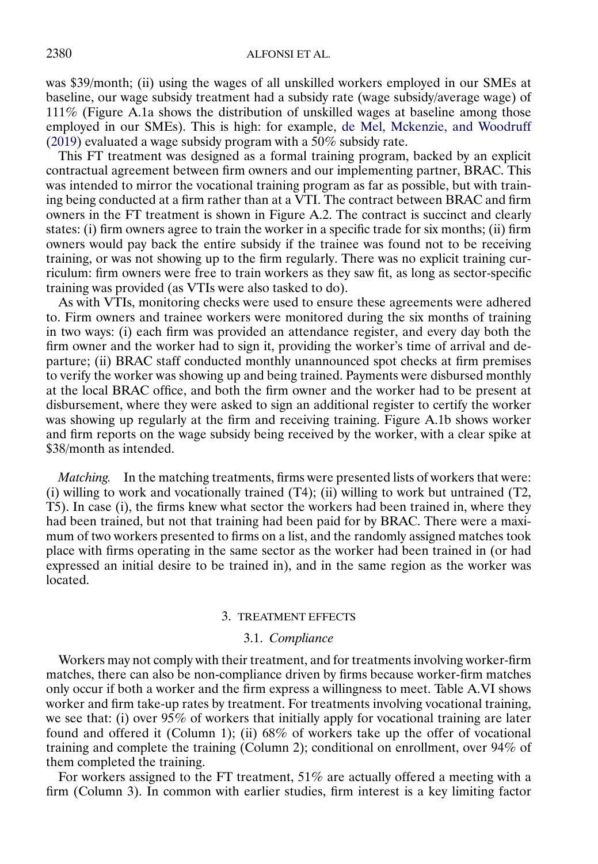<span id="page-11-0"></span>was \$39/month; (ii) using the wages of all unskilled workers employed in our SMEs at baseline, our wage subsidy treatment had a subsidy rate (wage subsidy/average wage) of 111% (Figure A.1a shows the distribution of unskilled wages at baseline among those employed in our SMEs). This is high: for example, [de Mel, Mckenzie, and Woodruff](#page-44-0) [\(2019\)](#page-44-0) evaluated a wage subsidy program with a 50% subsidy rate.

This FT treatment was designed as a formal training program, backed by an explicit contractual agreement between firm owners and our implementing partner, BRAC. This was intended to mirror the vocational training program as far as possible, but with training being conducted at a firm rather than at a VTI. The contract between BRAC and firm owners in the FT treatment is shown in Figure A.2. The contract is succinct and clearly states: (i) firm owners agree to train the worker in a specific trade for six months; (ii) firm owners would pay back the entire subsidy if the trainee was found not to be receiving training, or was not showing up to the firm regularly. There was no explicit training curriculum: firm owners were free to train workers as they saw fit, as long as sector-specific training was provided (as VTIs were also tasked to do).

As with VTIs, monitoring checks were used to ensure these agreements were adhered to. Firm owners and trainee workers were monitored during the six months of training in two ways: (i) each firm was provided an attendance register, and every day both the firm owner and the worker had to sign it, providing the worker's time of arrival and departure; (ii) BRAC staff conducted monthly unannounced spot checks at firm premises to verify the worker was showing up and being trained. Payments were disbursed monthly at the local BRAC office, and both the firm owner and the worker had to be present at disbursement, where they were asked to sign an additional register to certify the worker was showing up regularly at the firm and receiving training. Figure A.1b shows worker and firm reports on the wage subsidy being received by the worker, with a clear spike at \$38/month as intended.

*Matching.* In the matching treatments, firms were presented lists of workers that were: (i) willing to work and vocationally trained  $(T4)$ ; (ii) willing to work but untrained  $(T2)$ , T5). In case (i), the firms knew what sector the workers had been trained in, where they had been trained, but not that training had been paid for by BRAC. There were a maximum of two workers presented to firms on a list, and the randomly assigned matches took place with firms operating in the same sector as the worker had been trained in (or had expressed an initial desire to be trained in), and in the same region as the worker was located.

#### 3. TREATMENT EFFECTS

## 3.1. *Compliance*

Workers may not comply with their treatment, and for treatments involving worker-firm matches, there can also be non-compliance driven by firms because worker-firm matches only occur if both a worker and the firm express a willingness to meet. Table A.VI shows worker and firm take-up rates by treatment. For treatments involving vocational training, we see that: (i) over 95% of workers that initially apply for vocational training are later found and offered it (Column 1); (ii) 68% of workers take up the offer of vocational training and complete the training (Column 2); conditional on enrollment, over 94% of them completed the training.

For workers assigned to the FT treatment, 51% are actually offered a meeting with a firm (Column 3). In common with earlier studies, firm interest is a key limiting factor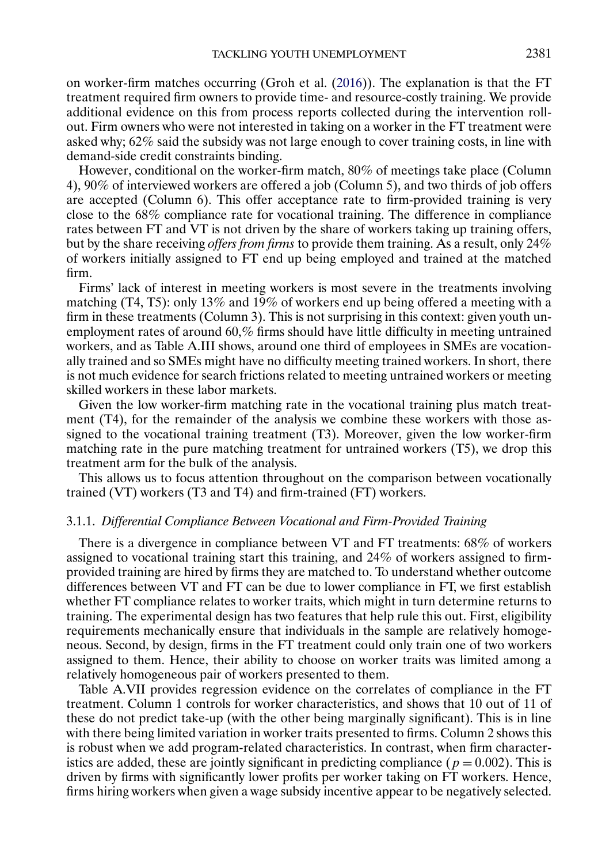<span id="page-12-0"></span>on worker-firm matches occurring (Groh et al. [\(2016\)](#page-45-0)). The explanation is that the FT treatment required firm owners to provide time- and resource-costly training. We provide additional evidence on this from process reports collected during the intervention rollout. Firm owners who were not interested in taking on a worker in the FT treatment were asked why; 62% said the subsidy was not large enough to cover training costs, in line with demand-side credit constraints binding.

However, conditional on the worker-firm match, 80% of meetings take place (Column 4), 90% of interviewed workers are offered a job (Column 5), and two thirds of job offers are accepted (Column 6). This offer acceptance rate to firm-provided training is very close to the 68% compliance rate for vocational training. The difference in compliance rates between FT and VT is not driven by the share of workers taking up training offers, but by the share receiving *offers from firms* to provide them training. As a result, only 24% of workers initially assigned to FT end up being employed and trained at the matched firm.

Firms' lack of interest in meeting workers is most severe in the treatments involving matching (T4, T5): only 13% and 19% of workers end up being offered a meeting with a firm in these treatments (Column 3). This is not surprising in this context: given youth unemployment rates of around 60,% firms should have little difficulty in meeting untrained workers, and as Table A.III shows, around one third of employees in SMEs are vocationally trained and so SMEs might have no difficulty meeting trained workers. In short, there is not much evidence for search frictions related to meeting untrained workers or meeting skilled workers in these labor markets.

Given the low worker-firm matching rate in the vocational training plus match treatment (T4), for the remainder of the analysis we combine these workers with those assigned to the vocational training treatment (T3). Moreover, given the low worker-firm matching rate in the pure matching treatment for untrained workers (T5), we drop this treatment arm for the bulk of the analysis.

This allows us to focus attention throughout on the comparison between vocationally trained (VT) workers (T3 and T4) and firm-trained (FT) workers.

## 3.1.1. *Differential Compliance Between Vocational and Firm-Provided Training*

There is a divergence in compliance between VT and FT treatments: 68% of workers assigned to vocational training start this training, and 24% of workers assigned to firmprovided training are hired by firms they are matched to. To understand whether outcome differences between VT and FT can be due to lower compliance in FT, we first establish whether FT compliance relates to worker traits, which might in turn determine returns to training. The experimental design has two features that help rule this out. First, eligibility requirements mechanically ensure that individuals in the sample are relatively homogeneous. Second, by design, firms in the FT treatment could only train one of two workers assigned to them. Hence, their ability to choose on worker traits was limited among a relatively homogeneous pair of workers presented to them.

Table A.VII provides regression evidence on the correlates of compliance in the FT treatment. Column 1 controls for worker characteristics, and shows that 10 out of 11 of these do not predict take-up (with the other being marginally significant). This is in line with there being limited variation in worker traits presented to firms. Column 2 shows this is robust when we add program-related characteristics. In contrast, when firm characteristics are added, these are jointly significant in predicting compliance ( $p = 0.002$ ). This is driven by firms with significantly lower profits per worker taking on FT workers. Hence, firms hiring workers when given a wage subsidy incentive appear to be negatively selected.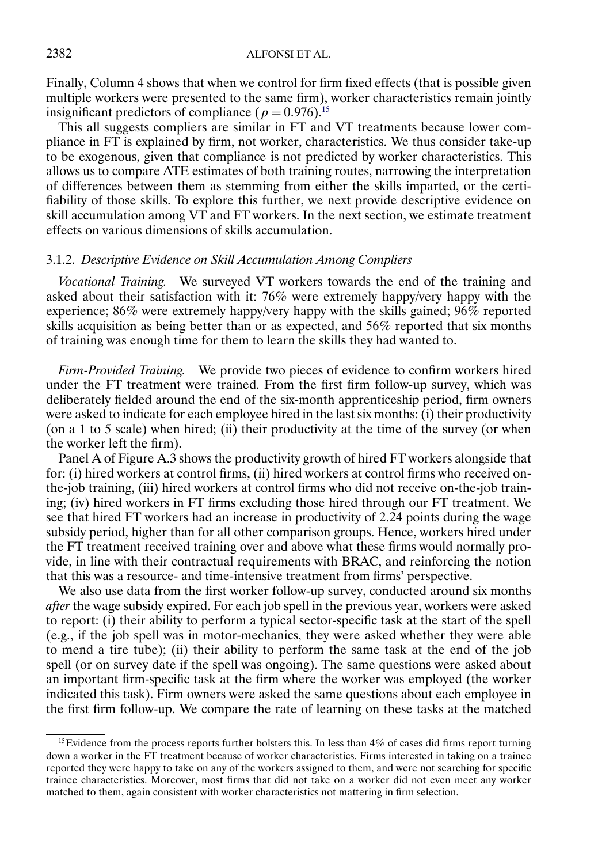Finally, Column 4 shows that when we control for firm fixed effects (that is possible given multiple workers were presented to the same firm), worker characteristics remain jointly insignificant predictors of compliance ( $p = 0.976$ ).<sup>15</sup>

This all suggests compliers are similar in FT and VT treatments because lower compliance in FT is explained by firm, not worker, characteristics. We thus consider take-up to be exogenous, given that compliance is not predicted by worker characteristics. This allows us to compare ATE estimates of both training routes, narrowing the interpretation of differences between them as stemming from either the skills imparted, or the certifiability of those skills. To explore this further, we next provide descriptive evidence on skill accumulation among  $VT$  and  $FT$  workers. In the next section, we estimate treatment effects on various dimensions of skills accumulation.

## 3.1.2. *Descriptive Evidence on Skill Accumulation Among Compliers*

*Vocational Training.* We surveyed VT workers towards the end of the training and asked about their satisfaction with it: 76% were extremely happy/very happy with the experience; 86% were extremely happy/very happy with the skills gained; 96% reported skills acquisition as being better than or as expected, and 56% reported that six months of training was enough time for them to learn the skills they had wanted to.

*Firm-Provided Training.* We provide two pieces of evidence to confirm workers hired under the FT treatment were trained. From the first firm follow-up survey, which was deliberately fielded around the end of the six-month apprenticeship period, firm owners were asked to indicate for each employee hired in the last six months: (i) their productivity (on a 1 to 5 scale) when hired; (ii) their productivity at the time of the survey (or when the worker left the firm).

Panel A of Figure A.3 shows the productivity growth of hired FT workers alongside that for: (i) hired workers at control firms, (ii) hired workers at control firms who received onthe-job training, (iii) hired workers at control firms who did not receive on-the-job training; (iv) hired workers in FT firms excluding those hired through our FT treatment. We see that hired FT workers had an increase in productivity of 2-24 points during the wage subsidy period, higher than for all other comparison groups. Hence, workers hired under the FT treatment received training over and above what these firms would normally provide, in line with their contractual requirements with BRAC, and reinforcing the notion that this was a resource- and time-intensive treatment from firms' perspective.

We also use data from the first worker follow-up survey, conducted around six months *after* the wage subsidy expired. For each job spell in the previous year, workers were asked to report: (i) their ability to perform a typical sector-specific task at the start of the spell (e.g., if the job spell was in motor-mechanics, they were asked whether they were able to mend a tire tube); (ii) their ability to perform the same task at the end of the job spell (or on survey date if the spell was ongoing). The same questions were asked about an important firm-specific task at the firm where the worker was employed (the worker indicated this task). Firm owners were asked the same questions about each employee in the first firm follow-up. We compare the rate of learning on these tasks at the matched

<sup>&</sup>lt;sup>15</sup>Evidence from the process reports further bolsters this. In less than  $4\%$  of cases did firms report turning down a worker in the FT treatment because of worker characteristics. Firms interested in taking on a trainee reported they were happy to take on any of the workers assigned to them, and were not searching for specific trainee characteristics. Moreover, most firms that did not take on a worker did not even meet any worker matched to them, again consistent with worker characteristics not mattering in firm selection.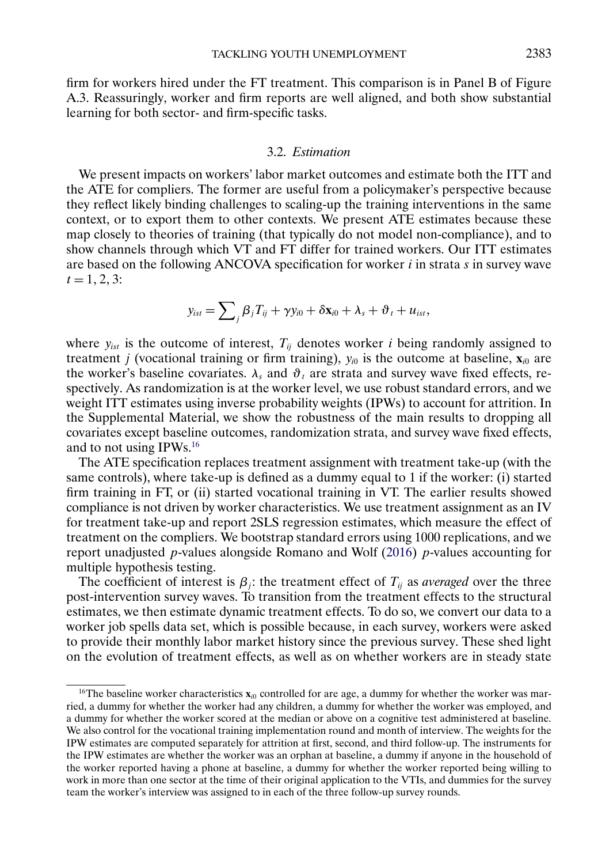<span id="page-14-0"></span>firm for workers hired under the FT treatment. This comparison is in Panel B of Figure A.3. Reassuringly, worker and firm reports are well aligned, and both show substantial learning for both sector- and firm-specific tasks.

## 3.2. *Estimation*

We present impacts on workers' labor market outcomes and estimate both the ITT and the ATE for compliers. The former are useful from a policymaker's perspective because they reflect likely binding challenges to scaling-up the training interventions in the same context, or to export them to other contexts. We present ATE estimates because these map closely to theories of training (that typically do not model non-compliance), and to show channels through which VT and FT differ for trained workers. Our ITT estimates are based on the following ANCOVA specification for worker  $i$  in strata  $s$  in survey wave  $t = 1, 2, 3$ :

$$
y_{ist} = \sum_{j} \beta_j T_{ij} + \gamma y_{i0} + \delta \mathbf{x}_{i0} + \lambda_s + \vartheta_t + u_{ist},
$$

where  $y_{ist}$  is the outcome of interest,  $T_{ij}$  denotes worker i being randomly assigned to treatment *j* (vocational training or firm training),  $y_{i0}$  is the outcome at baseline,  $\mathbf{x}_{i0}$  are the worker's baseline covariates.  $\lambda_s$  and  $\vartheta_t$  are strata and survey wave fixed effects, respectively. As randomization is at the worker level, we use robust standard errors, and we weight ITT estimates using inverse probability weights (IPWs) to account for attrition. In the Supplemental Material, we show the robustness of the main results to dropping all covariates except baseline outcomes, randomization strata, and survey wave fixed effects, and to not using IPWs.16

The ATE specification replaces treatment assignment with treatment take-up (with the same controls), where take-up is defined as a dummy equal to 1 if the worker: (i) started firm training in FT, or (ii) started vocational training in VT. The earlier results showed compliance is not driven by worker characteristics. We use treatment assignment as an IV for treatment take-up and report 2SLS regression estimates, which measure the effect of treatment on the compliers. We bootstrap standard errors using 1000 replications, and we report unadjusted  $p$ -values alongside Romano and Wolf [\(2016\)](#page-45-0)  $p$ -values accounting for multiple hypothesis testing.

The coefficient of interest is  $\beta_i$ : the treatment effect of  $T_{ij}$  as *averaged* over the three post-intervention survey waves. To transition from the treatment effects to the structural estimates, we then estimate dynamic treatment effects. To do so, we convert our data to a worker job spells data set, which is possible because, in each survey, workers were asked to provide their monthly labor market history since the previous survey. These shed light on the evolution of treatment effects, as well as on whether workers are in steady state

<sup>&</sup>lt;sup>16</sup>The baseline worker characteristics  $\mathbf{x}_{i0}$  controlled for are age, a dummy for whether the worker was married, a dummy for whether the worker had any children, a dummy for whether the worker was employed, and a dummy for whether the worker scored at the median or above on a cognitive test administered at baseline. We also control for the vocational training implementation round and month of interview. The weights for the IPW estimates are computed separately for attrition at first, second, and third follow-up. The instruments for the IPW estimates are whether the worker was an orphan at baseline, a dummy if anyone in the household of the worker reported having a phone at baseline, a dummy for whether the worker reported being willing to work in more than one sector at the time of their original application to the VTIs, and dummies for the survey team the worker's interview was assigned to in each of the three follow-up survey rounds.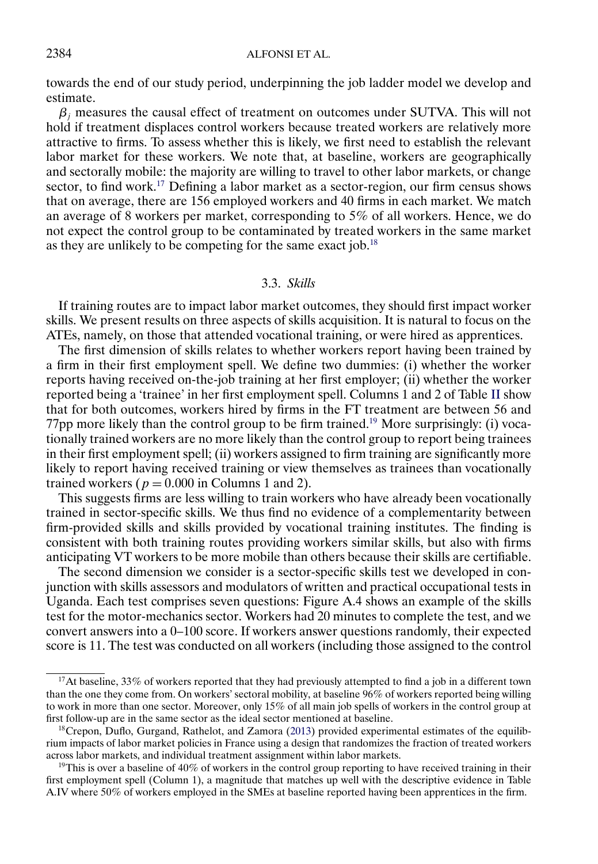<span id="page-15-0"></span>towards the end of our study period, underpinning the job ladder model we develop and estimate.

 $\beta_i$  measures the causal effect of treatment on outcomes under SUTVA. This will not hold if treatment displaces control workers because treated workers are relatively more attractive to firms. To assess whether this is likely, we first need to establish the relevant labor market for these workers. We note that, at baseline, workers are geographically and sectorally mobile: the majority are willing to travel to other labor markets, or change sector, to find work.<sup>17</sup> Defining a labor market as a sector-region, our firm census shows that on average, there are 156 employed workers and 40 firms in each market. We match an average of 8 workers per market, corresponding to 5% of all workers. Hence, we do not expect the control group to be contaminated by treated workers in the same market as they are unlikely to be competing for the same exact job.<sup>18</sup>

## 3.3. *Skills*

If training routes are to impact labor market outcomes, they should first impact worker skills. We present results on three aspects of skills acquisition. It is natural to focus on the ATEs, namely, on those that attended vocational training, or were hired as apprentices.

The first dimension of skills relates to whether workers report having been trained by a firm in their first employment spell. We define two dummies: (i) whether the worker reports having received on-the-job training at her first employer; (ii) whether the worker reported being a 'trainee' in her first employment spell. Columns 1 and 2 of Table [II](#page-16-0) show that for both outcomes, workers hired by firms in the FT treatment are between 56 and 77pp more likely than the control group to be firm trained.<sup>19</sup> More surprisingly: (i) vocationally trained workers are no more likely than the control group to report being trainees in their first employment spell; (ii) workers assigned to firm training are significantly more likely to report having received training or view themselves as trainees than vocationally trained workers ( $p = 0.000$  in Columns 1 and 2).

This suggests firms are less willing to train workers who have already been vocationally trained in sector-specific skills. We thus find no evidence of a complementarity between firm-provided skills and skills provided by vocational training institutes. The finding is consistent with both training routes providing workers similar skills, but also with firms anticipating VT workers to be more mobile than others because their skills are certifiable.

The second dimension we consider is a sector-specific skills test we developed in conjunction with skills assessors and modulators of written and practical occupational tests in Uganda. Each test comprises seven questions: Figure A.4 shows an example of the skills test for the motor-mechanics sector. Workers had 20 minutes to complete the test, and we convert answers into a 0–100 score. If workers answer questions randomly, their expected score is 11. The test was conducted on all workers (including those assigned to the control

<sup>&</sup>lt;sup>17</sup>At baseline, 33% of workers reported that they had previously attempted to find a job in a different town than the one they come from. On workers' sectoral mobility, at baseline 96% of workers reported being willing to work in more than one sector. Moreover, only 15% of all main job spells of workers in the control group at first follow-up are in the same sector as the ideal sector mentioned at baseline.

 $18C$ repon, Duflo, Gurgand, Rathelot, and Zamora [\(2013\)](#page-44-0) provided experimental estimates of the equilibrium impacts of labor market policies in France using a design that randomizes the fraction of treated workers across labor markets, and individual treatment assignment within labor markets.

<sup>&</sup>lt;sup>19</sup>This is over a baseline of  $40\%$  of workers in the control group reporting to have received training in their first employment spell (Column 1), a magnitude that matches up well with the descriptive evidence in Table A.IV where 50% of workers employed in the SMEs at baseline reported having been apprentices in the firm.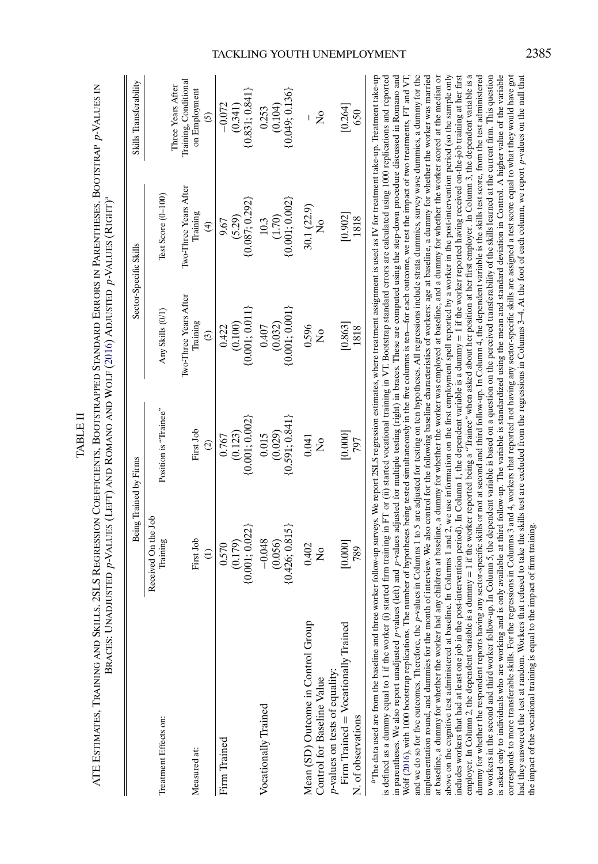|                                     |                                 |                                 | Braces: Unadjusted p-Values (Left) and Romano and Wolf (2016) Adjusted p-Values (Right)ª |                                               |                                            |
|-------------------------------------|---------------------------------|---------------------------------|------------------------------------------------------------------------------------------|-----------------------------------------------|--------------------------------------------|
|                                     | Being Trained by Firms          |                                 | Sector-Specific Skills                                                                   |                                               | Skills Transferability                     |
| Treatment Effects on:               | Received On the Job<br>Training | Position is "Trainee"           | Any Skills (0/1)                                                                         | Test Score (0-100)                            |                                            |
|                                     |                                 |                                 | Iwo-Three Years After                                                                    | Iwo-Three Years After                         | Training, Conditional<br>Three Years After |
| Measured at:                        | First Job                       | First Job                       | Training                                                                                 | Training                                      | on Employment                              |
|                                     | $\widehat{E}$                   | $\odot$                         | $\odot$                                                                                  | $\widehat{f}$                                 | $\odot$                                    |
| Firm Trained                        | (0.179)<br>0.570                | 0.767                           | 0.422                                                                                    | (5.29)<br>9.67                                | $-0.072$<br>(0.341)                        |
|                                     | ${0.001; 0.022}$                | $(0.123)$<br>$\{0.001; 0.002\}$ | $(0.100)$<br>$\{0.001; 0.011\}$                                                          | ${0.087; 0.292}$                              | (0.831; 0.841)                             |
| Vocationally Trained                | $-0.048$                        | 0.015                           | 0.407                                                                                    | 10.3                                          | 0.253                                      |
|                                     | (0.056)                         | $(0.029)$<br>$\{0.591; 0.841\}$ | (0.032)                                                                                  | $(1.70)$<br>$\{0.001; 0.002\}$                | (0.104)                                    |
|                                     | ${0.426; 0.815}$                |                                 | (0.001; 0.001)                                                                           |                                               | 0.049; 0.136                               |
| Mean (SD) Outcome in Control Group  | 0.402                           | 0.041                           | 0.596                                                                                    | 30.1 (22.9)                                   |                                            |
| Control for Baseline Value          | $\overline{\mathsf{z}}$         | $\frac{1}{2}$                   | $\frac{1}{2}$                                                                            | $\mathsf{S}^{\mathsf{O}}$                     | $\tilde{z}$                                |
| p-values on tests of equality:      |                                 |                                 |                                                                                          |                                               |                                            |
| Firm Trained = Vocationally Trained | [0.000]                         | [0.000]                         | $\begin{bmatrix} 0.863 \\ 1818 \end{bmatrix}$                                            | $\begin{bmatrix} 0.902 \\ 1818 \end{bmatrix}$ | $[0.264]$<br>650                           |
| N. of observations                  | 789                             | 797                             |                                                                                          |                                               |                                            |
|                                     |                                 |                                 |                                                                                          |                                               |                                            |

TABLE II

COEFFICIENTS, BOOTSTRAPPED STANDARD

<span id="page-16-0"></span>ATE Estimates, Training and Skills. 2SLS Regression Coefficients, Bootstrapped Standard Errors in Parentheses. Bootstrap p-Values in **INBLEI** 

ERRORS IN

PARENTHESES. BOOTSTRAP

p-VALUES IN

ATE ESTIMATES, TRAINING AND SKILLS. 2SLS REGRESSION

<sup>a</sup>The data used are from the baseline and three worker follow-up surveys. We report 2SLS regression estimates, where treatment assignment is used as IV for treatment take-up. Treatment take-up and we do so for five outcomes. Therefore, the p-values in Columns 1 to 5 are adjusted for testing on ten hypotheses. All regressions include strata dummies, survey wave dummies, a dummy for the implementation round, and dummies for the month of interview. We also control for the following baseline characteristics of workers: age at baseline, a dummy for whether the worker was married above on the cognitive test administered at baseline. In Columns 1 and 2, we use information on the first employment spell reported by a worker in the post-intervention period (so the sample only employer. In Column 2, the dependent variable is a dummy = 1 if the worker reported being a "Trainee" when asked about her position at her first employer. In Column 3, the dependent variable is a is defined as a dummy equal to 1 if the worker (i) started firm training in FT or (ii) started vocational training in VT. Bootstrap standard errors are calculated using 1000 replications and reported in parentheses. We also report unadjusted p-values (left) and p-values adjusted for multiple testing (right) in braces. These are computed using the step-down procedure discussed in Romano and Wolf (2016), with 1000 bootstrap replications. The number of hypotheses being tested simultaneously in the five columns is ten-for each outcome, we test the impact of two treatments, FT and VT, at baseline, a dummy for whether the worker had any children at baseline, a dummy for whether the worker was employed at baseline, and a dummy for whether the worker scored at the median or includes workers that had at least one job in the post-intervention period). In Column 1, the dependent variable is a dummy = 1 if the worker reported having received on-the-job training at her first dummy for whether the respondent reports having any sector-specific skills or not at second and third follow-up. In Column 4, the dependent variable is the skills test score, from the test administered to workers in the second and third worker follow-up. In Column 5, the dependent variable is based on a question on the perceived transferability of the skills learned at the current firm. This question is asked only to individuals who are working and is only available at third follow-up. The variable is standardized using the mean and standard deviation in Control. A higher value of the variable aThe data used are from the baseline and three worker follow-up surveys. We report 2SLS regression estimates, where treatment assignment is used as IV for treatment take-up. Treatment take-up is defined as a dummy equal to 1 if the worker (i) started firm training in FT or (ii) started vocational training in VT. Bootstrap standard errors are calculated using 1000 replications and reported in parentheses. We also report unadjusted p-values (left) and p-values adjusted for multiple testing (right) in braces. These are computed using the step-down procedure discussed in Romano and Wolf ([2016](#page-45-0)), with 1000 bootstrap replications. The number of hypotheses being tested simultaneously in the five columns is ten—for each outcome, we test the impact of two treatments, FT and VT, and we do so for five outcomes. Therefore, the p-values in Columns 1 to 5 are adjusted for testing on ten hypotheses. All regressions include strata dummies, survey wave dummies, a dummy for the implementation round, and dummies for the month of interview. We also control for the following baseline characteristics of workers: age at baseline, a dummy for whether the worker was married at baseline, a dummy for whether the worker had any children at baseline, a dummy for whether the worker was employed at baseline, and a dummy for whether the worker scored at the median or above on the cognitive test administered at baseline. In Columns 1 and 2, we use information on the first employment spell reported by a worker in the post-intervention period (so the sample only 1 if the worker reported having received on-the-job training at her first = 1 if the worker reported being a "Trainee" when asked about her position at her first employer. In Column 3, the dependent variable is a dummy for whether the respondent reports having any sector-specific skills or not at second and third follow-up. In Column 4, the dependent variable is the skills test score, from the test administered to workers in the second and third worker follow-up. In Column 5, the dependent variable is based on a question on the perceived transferability of the skills learned at the current firm. This question is asked only to individuals who are working and is only available at third follow-up. The variable is standardized using the mean and standard deviation in Control. A higher value of the variable corresponds to more transferable skills. For the regressions in Columns 3 and 4, workers that reported not having any sector-specific skills are assigned a test score equal to what they would have got corresponds to more transferable skills. For the regressions in Columns 3 and 4, workers that reported not having any sector-specific skills are assigned a test score equal to what they would have got aad they answered the test at random. Workers that refused to take the skills test are excluded from the regressions in Columns 3-4. At the foot of each column, we report p-values on the null that had they answered the test at random. Workers that refused to take the skills test are excluded from the regressions in Columns 3–4. At the foot of each column, we report p-values on the null that includes workers that had at least one job in the post-intervention period). In Column 1, the dependent variable is a dummy he impact of the vocational training is equal to the impact of firm training. the impact of the vocational training is equal to the impact of firm training.employer. In Column 2, the dependent variable is a dummy

## TACKLING YOUTH UNEMPLOYMENT 2385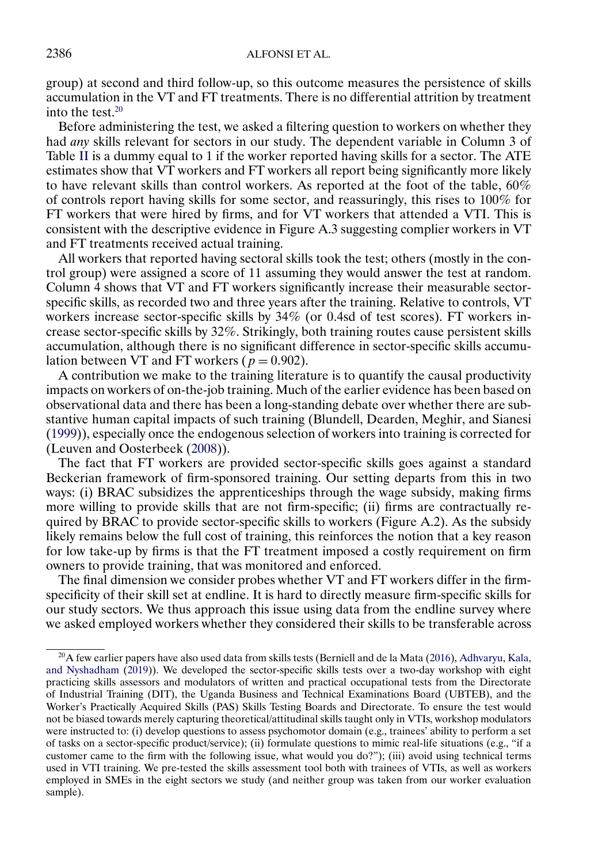<span id="page-17-0"></span>group) at second and third follow-up, so this outcome measures the persistence of skills accumulation in the VT and FT treatments. There is no differential attrition by treatment into the test. $20$ 

Before administering the test, we asked a filtering question to workers on whether they had *any* skills relevant for sectors in our study. The dependent variable in Column 3 of Table [II](#page-16-0) is a dummy equal to 1 if the worker reported having skills for a sector. The ATE estimates show that VT workers and FT workers all report being significantly more likely to have relevant skills than control workers. As reported at the foot of the table,  $60\%$ of controls report having skills for some sector, and reassuringly, this rises to 100% for FT workers that were hired by firms, and for VT workers that attended a VTI. This is consistent with the descriptive evidence in Figure A.3 suggesting complier workers in VT and FT treatments received actual training.

All workers that reported having sectoral skills took the test; others (mostly in the control group) were assigned a score of 11 assuming they would answer the test at random. Column 4 shows that VT and FT workers significantly increase their measurable sectorspecific skills, as recorded two and three years after the training. Relative to controls, VT workers increase sector-specific skills by  $34\%$  (or 0.4sd of test scores). FT workers increase sector-specific skills by 32%. Strikingly, both training routes cause persistent skills accumulation, although there is no significant difference in sector-specific skills accumulation between VT and FT workers ( $p = 0.902$ ).

A contribution we make to the training literature is to quantify the causal productivity impacts on workers of on-the-job training. Much of the earlier evidence has been based on observational data and there has been a long-standing debate over whether there are substantive human capital impacts of such training (Blundell, Dearden, Meghir, and Sianesi [\(1999\)](#page-44-0)), especially once the endogenous selection of workers into training is corrected for (Leuven and Oosterbeek [\(2008\)](#page-45-0)).

The fact that FT workers are provided sector-specific skills goes against a standard Beckerian framework of firm-sponsored training. Our setting departs from this in two ways: (i) BRAC subsidizes the apprenticeships through the wage subsidy, making firms more willing to provide skills that are not firm-specific; (ii) firms are contractually required by BRAC to provide sector-specific skills to workers (Figure A.2). As the subsidy likely remains below the full cost of training, this reinforces the notion that a key reason for low take-up by firms is that the FT treatment imposed a costly requirement on firm owners to provide training, that was monitored and enforced.

The final dimension we consider probes whether VT and FT workers differ in the firmspecificity of their skill set at endline. It is hard to directly measure firm-specific skills for our study sectors. We thus approach this issue using data from the endline survey where we asked employed workers whether they considered their skills to be transferable across

 $^{20}$ A few earlier papers have also used data from skills tests (Berniell and de la Mata [\(2016\)](#page-44-0), [Adhvaryu, Kala,](#page-44-0) [and Nyshadham](#page-44-0) [\(2019\)](#page-44-0)). We developed the sector-specific skills tests over a two-day workshop with eight practicing skills assessors and modulators of written and practical occupational tests from the Directorate of Industrial Training (DIT), the Uganda Business and Technical Examinations Board (UBTEB), and the Worker's Practically Acquired Skills (PAS) Skills Testing Boards and Directorate. To ensure the test would not be biased towards merely capturing theoretical/attitudinal skills taught only in VTIs, workshop modulators were instructed to: (i) develop questions to assess psychomotor domain (e.g., trainees' ability to perform a set of tasks on a sector-specific product/service); (ii) formulate questions to mimic real-life situations (e.g., "if a customer came to the firm with the following issue, what would you do?"); (iii) avoid using technical terms used in VTI training. We pre-tested the skills assessment tool both with trainees of VTIs, as well as workers employed in SMEs in the eight sectors we study (and neither group was taken from our worker evaluation sample).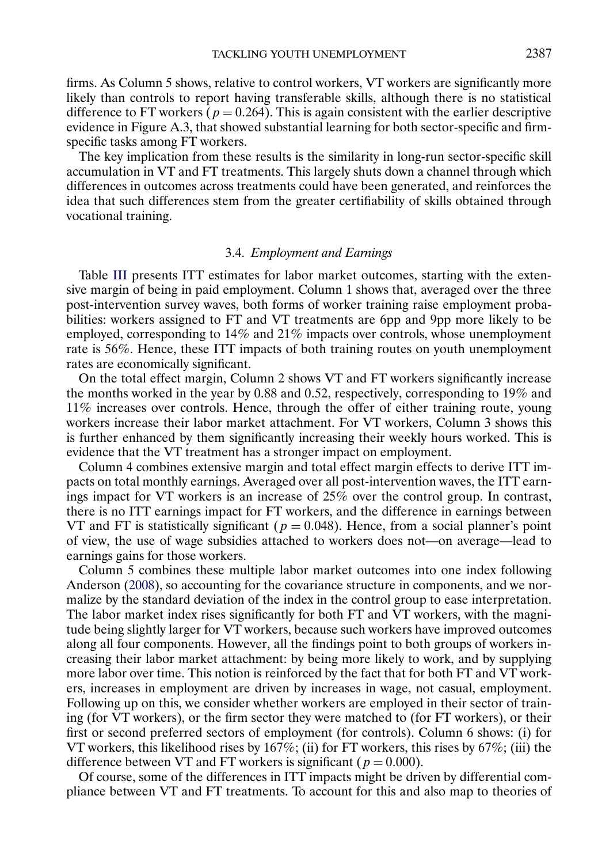<span id="page-18-0"></span>firms. As Column 5 shows, relative to control workers, VT workers are significantly more likely than controls to report having transferable skills, although there is no statistical difference to FT workers ( $p = 0.264$ ). This is again consistent with the earlier descriptive evidence in Figure A.3, that showed substantial learning for both sector-specific and firmspecific tasks among FT workers.

The key implication from these results is the similarity in long-run sector-specific skill accumulation in VT and FT treatments. This largely shuts down a channel through which differences in outcomes across treatments could have been generated, and reinforces the idea that such differences stem from the greater certifiability of skills obtained through vocational training.

#### 3.4. *Employment and Earnings*

Table [III](#page-19-0) presents ITT estimates for labor market outcomes, starting with the extensive margin of being in paid employment. Column 1 shows that, averaged over the three post-intervention survey waves, both forms of worker training raise employment probabilities: workers assigned to FT and VT treatments are 6pp and 9pp more likely to be employed, corresponding to 14% and 21% impacts over controls, whose unemployment rate is 56%. Hence, these ITT impacts of both training routes on youth unemployment rates are economically significant.

On the total effect margin, Column 2 shows VT and FT workers significantly increase the months worked in the year by 0-88 and 0-52, respectively, corresponding to 19% and 11% increases over controls. Hence, through the offer of either training route, young workers increase their labor market attachment. For VT workers, Column 3 shows this is further enhanced by them significantly increasing their weekly hours worked. This is evidence that the VT treatment has a stronger impact on employment.

Column 4 combines extensive margin and total effect margin effects to derive ITT impacts on total monthly earnings. Averaged over all post-intervention waves, the ITT earnings impact for VT workers is an increase of 25% over the control group. In contrast, there is no ITT earnings impact for FT workers, and the difference in earnings between VT and FT is statistically significant ( $p = 0.048$ ). Hence, from a social planner's point of view, the use of wage subsidies attached to workers does not—on average—lead to earnings gains for those workers.

Column 5 combines these multiple labor market outcomes into one index following Anderson [\(2008\)](#page-44-0), so accounting for the covariance structure in components, and we normalize by the standard deviation of the index in the control group to ease interpretation. The labor market index rises significantly for both FT and VT workers, with the magnitude being slightly larger for VT workers, because such workers have improved outcomes along all four components. However, all the findings point to both groups of workers increasing their labor market attachment: by being more likely to work, and by supplying more labor over time. This notion is reinforced by the fact that for both FT and VT workers, increases in employment are driven by increases in wage, not casual, employment. Following up on this, we consider whether workers are employed in their sector of training (for VT workers), or the firm sector they were matched to (for FT workers), or their first or second preferred sectors of employment (for controls). Column 6 shows: (i) for VT workers, this likelihood rises by  $167\%$ ; (ii) for FT workers, this rises by  $67\%$ ; (iii) the difference between VT and FT workers is significant ( $p = 0.000$ ).

Of course, some of the differences in ITT impacts might be driven by differential compliance between VT and FT treatments. To account for this and also map to theories of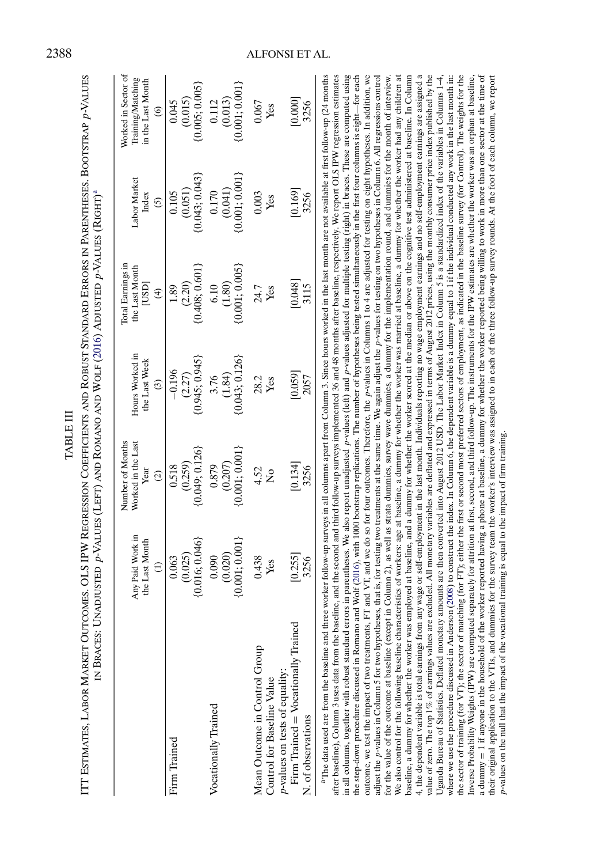<span id="page-19-0"></span>

| IITI Estimates, Labor Market Outcomes. OLS IPW Regression Coefficients and Robust Standard Errors in Parentheses. Bootstrap p-Values<br>IN BRACES:                                                                                                                                                                                                                                                                                                                                                                                                                                                                                                                                                                                                                                                                                                                                                                                                                                                                                                                                                                                                                                                                                                                                                                                                                                                                                                                                                                                                                                                                                                                                                                                                                                                                                                                                                                                                                                                                                                                                                                                                                                                                                                                                                                                                                                                                                                                                                                                                                                                                                                                                                                                                                                          |                                                     |                                                                 |                                                   | Unadiusted p-Values (Left) and Romano and Wolf (2016) Adjusted p-Values (Right)ª                                                                                                                                                                                                                        |                                          |                                                                          |
|---------------------------------------------------------------------------------------------------------------------------------------------------------------------------------------------------------------------------------------------------------------------------------------------------------------------------------------------------------------------------------------------------------------------------------------------------------------------------------------------------------------------------------------------------------------------------------------------------------------------------------------------------------------------------------------------------------------------------------------------------------------------------------------------------------------------------------------------------------------------------------------------------------------------------------------------------------------------------------------------------------------------------------------------------------------------------------------------------------------------------------------------------------------------------------------------------------------------------------------------------------------------------------------------------------------------------------------------------------------------------------------------------------------------------------------------------------------------------------------------------------------------------------------------------------------------------------------------------------------------------------------------------------------------------------------------------------------------------------------------------------------------------------------------------------------------------------------------------------------------------------------------------------------------------------------------------------------------------------------------------------------------------------------------------------------------------------------------------------------------------------------------------------------------------------------------------------------------------------------------------------------------------------------------------------------------------------------------------------------------------------------------------------------------------------------------------------------------------------------------------------------------------------------------------------------------------------------------------------------------------------------------------------------------------------------------------------------------------------------------------------------------------------------------|-----------------------------------------------------|-----------------------------------------------------------------|---------------------------------------------------|---------------------------------------------------------------------------------------------------------------------------------------------------------------------------------------------------------------------------------------------------------------------------------------------------------|------------------------------------------|--------------------------------------------------------------------------|
|                                                                                                                                                                                                                                                                                                                                                                                                                                                                                                                                                                                                                                                                                                                                                                                                                                                                                                                                                                                                                                                                                                                                                                                                                                                                                                                                                                                                                                                                                                                                                                                                                                                                                                                                                                                                                                                                                                                                                                                                                                                                                                                                                                                                                                                                                                                                                                                                                                                                                                                                                                                                                                                                                                                                                                                             | Any Paid Work in<br>the Last Month<br>$\widehat{E}$ | Number of Months<br>Worked in the Last<br>Year<br>$\widehat{c}$ | Hours Worked in<br>the Last Week<br>$\widehat{c}$ | <b>Iotal Earnings in</b><br>the Last Month<br>[USD]<br>$\widehat{f}$                                                                                                                                                                                                                                    | Labor Market<br>Index<br>$\overline{6}$  | Worked in Sector of<br>Training/Matching<br>in the Last Month<br>$\circ$ |
| Firm Trained                                                                                                                                                                                                                                                                                                                                                                                                                                                                                                                                                                                                                                                                                                                                                                                                                                                                                                                                                                                                                                                                                                                                                                                                                                                                                                                                                                                                                                                                                                                                                                                                                                                                                                                                                                                                                                                                                                                                                                                                                                                                                                                                                                                                                                                                                                                                                                                                                                                                                                                                                                                                                                                                                                                                                                                | $(0.025)$<br>$\{0.016; 0.046\}$<br>0.063            | ${0.049; 0.126}$<br>(0.259)<br>0.518                            | $(2.27)$<br>{0.945; 0.945}<br>$-0.196$            | $(2.20)$<br>{0.408; 0.601}<br>1.89                                                                                                                                                                                                                                                                      | $(0.051)$<br>$\{0.043; 0.043\}$<br>0.105 | $(0.015)$<br>$\{0.005; 0.005\}$<br>0.045                                 |
| Vocationally Trained                                                                                                                                                                                                                                                                                                                                                                                                                                                                                                                                                                                                                                                                                                                                                                                                                                                                                                                                                                                                                                                                                                                                                                                                                                                                                                                                                                                                                                                                                                                                                                                                                                                                                                                                                                                                                                                                                                                                                                                                                                                                                                                                                                                                                                                                                                                                                                                                                                                                                                                                                                                                                                                                                                                                                                        | ${0.001; 0.001}$<br>(0.020)<br>0.090                | $\{0.001; 0.001\}$<br>(0.207)<br>0.879                          | ${0.043; 0.126}$<br>(1.84)<br>3.76                | ${0.001; 0.005}$<br>(1.80)<br>6.10                                                                                                                                                                                                                                                                      | ${0.001; 0.001}$<br>(0.041)<br>0.170     | ${0.001; 0.001}$<br>(0.013)<br>0.112                                     |
| Mean Outcome in Control Group<br>p-values on tests of equality:<br>Control for Baseline Value                                                                                                                                                                                                                                                                                                                                                                                                                                                                                                                                                                                                                                                                                                                                                                                                                                                                                                                                                                                                                                                                                                                                                                                                                                                                                                                                                                                                                                                                                                                                                                                                                                                                                                                                                                                                                                                                                                                                                                                                                                                                                                                                                                                                                                                                                                                                                                                                                                                                                                                                                                                                                                                                                               | 0.438<br>Yes                                        | 4.52<br>$\frac{1}{2}$                                           | 28.2<br>Yes                                       | 24.7<br>Yes                                                                                                                                                                                                                                                                                             | 0.003<br>Yes                             | 0.067<br>Yes                                                             |
| Firm Trained = Vocationally Trained<br>N. of observations                                                                                                                                                                                                                                                                                                                                                                                                                                                                                                                                                                                                                                                                                                                                                                                                                                                                                                                                                                                                                                                                                                                                                                                                                                                                                                                                                                                                                                                                                                                                                                                                                                                                                                                                                                                                                                                                                                                                                                                                                                                                                                                                                                                                                                                                                                                                                                                                                                                                                                                                                                                                                                                                                                                                   | [0.255]<br>3256                                     | [0.134]<br>3256                                                 | [0.059]<br>2057                                   | [0.048]<br>3115                                                                                                                                                                                                                                                                                         | [0.169]<br>3256                          | [0.000]<br>3256                                                          |
| value of zero. The top 1% of earnings values are excluded. All monetary variables are deflated and expressed in terms of August 2012 prices, using the monthly consumer price index published by the<br>the sector of training (for VT); the sector of matching (for FT); either the first or second most preferred sectors of employment, as indicated in the baseline survey (for Control). The weights for the<br><sup>a</sup> The data used are from the baseline and three worker follow-up surveys in all columns apart from Column 3. Since hours worked in the last month are not available at first follow-up (24 months<br>after baseline), Column 3 uses data from the baseline, and the second and third follow-up surveys implemented 36 and 48 months after baseline, respectively. We report OLS IPW regression estimates<br>in all columns, together with robust standard errors in parentheses. We also report unadjusted (eft) and p-values adjusted for multiple testing (right) in braces. These are computed using<br>4, the dependent variable is total earnings from any wage or self-employment in the last month. Individuals reporting no wage employment earnings and no self-employment earnings are assigned a<br>where we use the procedure discussed in Anderson (2008) to construct the index. In Column 6, the dependent variable is a dummy equal to 1 if the individual conducted any work in the last month in:<br>Inverse Probability Weights (IPW) are computed separately for attrition at first, second, and third follow-up. The instruments for the IPW estimates are whether the worker was an orphan at baseline,<br>outcome, we test the impact of two treatments, FT and VT, and we do so for four outcomes. Therefore, the <i>p</i> -values in Columns 1 to 4 are adjusted for testing on eight hypotheses. In addition, we<br>adjust the p-values in Column 5 for two hypotheses, that is, for testing two treatments at the same time. We again adjust the p-values for testing on two hypotheses in Column 6. All regressions control<br>We also control for the following baseline characteristics of workers: age at baseline, a dummy for whether the worker was married at baseline, a dummy for whether the worker had any children at<br>Uganda Bureau of Statistics. Deflated monetary amounts are then converted into August 2012 USD. The Labor Market Index in Column 5 is a standardized index of the variables in Columns 1–4,<br>for the value of the outcome at baseline (except in Column 2), as well as strata dummies, survey wave dummies, a dummy for the implementation round, and dummies for the month of interview.<br>the step-down procedure discussed in Romano<br>baseline, a dummy for whether the worker was |                                                     |                                                                 |                                                   | and Wolf (2016), with 1000 bootstrap replications. The number of hypotheses being tested simultaneously in the first four columns is eight-for each<br>employed at baseline, and a dummy for whether the worker scored at the median or above on the cognitive test administered at baseline. In Column |                                          |                                                                          |

the sector of training (for VT); the sector of matching (for FT); either the first or second most preferred sectors of employment, as indicated in the baseline survey (for Control). The weights for the Inverse Probability Weights (IPW) are computed separately for attrition at first, second, and third follow-up. The instruments for the IPW estimates are whether the worker was an orphan at baseline, a dummy = 1 if anyone in the household of the worker reported having a phone at baseline, a dummy for whether the worker reported being willing to work in more than one sector at the time of their original application to the VTIs, and dummies for the survey team the worker's interview was assigned to in each of the three follow-up survey rounds. At the foot of each column, we report

a dummy = 1 if anyone in the household of the worker reported having a phone at baseline, a dummy for whether the worker reported being willing to work in more than one sector at the time of<br>their original application to t

p-values on the null that the impact of the vocational training is equal to the impact of firm training.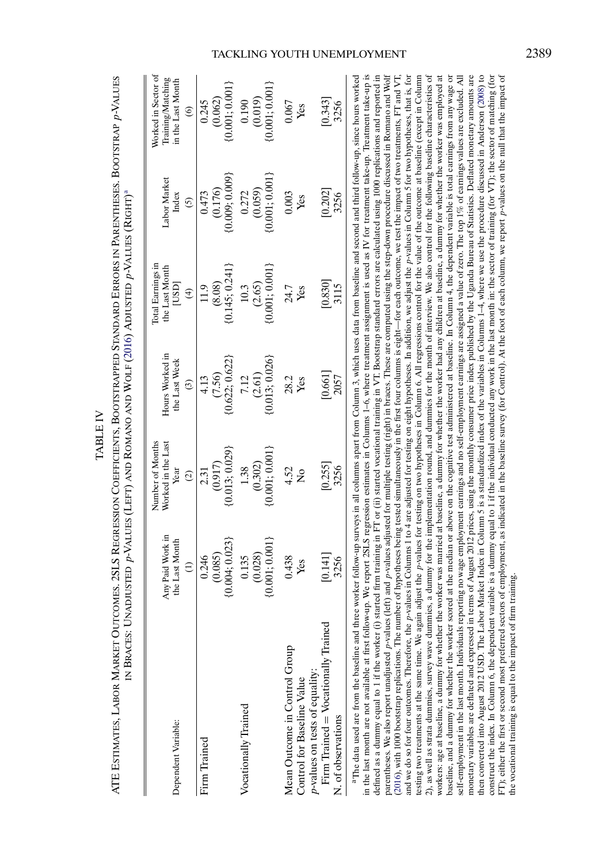<span id="page-20-0"></span>

| esseror Coeperonare Roomera appe Vraana app. Epp.ops in Dapperments Roomera app. Values<br>$\frac{1}{2}$<br>$\Gamma$ . The moment $\sim$ $\Gamma/\mu$ and $\Gamma$ even) axial axia axia $\Gamma/\mu$ and $\Gamma/\mu$ and $\Gamma/\mu$ and $\Gamma/\mu$<br>$\frac{1}{2}$<br>and P-VALUD with the complete the complete of the set of the set of the set of the set of the set of the set of the set of the set of the set of the set of the set of the set of the set of the set of the set of the set of<br>ミニュニュ<br>ונו נטעמיוט .<br><b>THOODS</b><br><b>i</b><br>;<br>]<br> <br> <br> <br> <br> |
|-----------------------------------------------------------------------------------------------------------------------------------------------------------------------------------------------------------------------------------------------------------------------------------------------------------------------------------------------------------------------------------------------------------------------------------------------------------------------------------------------------------------------------------------------------------------------------------------------------|
|                                                                                                                                                                                                                                                                                                                                                                                                                                                                                                                                                                                                     |
|                                                                                                                                                                                                                                                                                                                                                                                                                                                                                                                                                                                                     |

TABLE IV

**TABLE IV** 

|                                                                                                                                                                                                          |                                                                  | Number of Months                |                                  | Iotal Earnings in              |                                                                 | Worked in Sector of                                         |
|----------------------------------------------------------------------------------------------------------------------------------------------------------------------------------------------------------|------------------------------------------------------------------|---------------------------------|----------------------------------|--------------------------------|-----------------------------------------------------------------|-------------------------------------------------------------|
| Dependent Variable:                                                                                                                                                                                      | Any Paid Work in<br>the Last Month                               | Worked in the Last<br>Year      | Hours Worked in<br>the Last Week | the Last Month<br>lasp         | Labor Marke<br>Index                                            | Training/Matching<br>in the Last Month                      |
|                                                                                                                                                                                                          | $\widehat{z}$                                                    | $\odot$                         | $\odot$                          | $\oplus$                       | $\odot$                                                         | $\odot$                                                     |
| Firm Trained                                                                                                                                                                                             | 0.246                                                            | 2.31                            | 4.13                             | 11.9                           | 0.473                                                           | 0.245                                                       |
|                                                                                                                                                                                                          | (0.085)                                                          | (0.917)                         | (7.56)                           | (8.08)                         |                                                                 | (0.062)                                                     |
|                                                                                                                                                                                                          | ${0.004; 0.023}$                                                 | (0.013; 0.029)                  | (0.622; 0.622)                   | $\{0.145, 0.241,$              | $(0.176)$<br>$\{0.009; 0.009\}$                                 | [0.001; 0.001]                                              |
| Vocationally Trained                                                                                                                                                                                     |                                                                  | 1.38                            | 7.12                             | 10.3                           |                                                                 |                                                             |
|                                                                                                                                                                                                          |                                                                  |                                 |                                  |                                |                                                                 |                                                             |
|                                                                                                                                                                                                          | $\begin{array}{c} 0.135 \ (0.028) \ 0.001; 0.001 \} \end{array}$ | $(0.302)$<br>$\{0.001; 0.001\}$ | $(2.61)$<br>$\{0.013; 0.026\}$   | $(2.65)$<br>$\{0.001; 0.001\}$ | $\begin{array}{c} 0.272 \ (0.059) \ (0.001; 0.001) \end{array}$ | $\begin{array}{c} 0.190\ (0.019)\ 0.001; 0.001 \end{array}$ |
| Mean Outcome in Control Group                                                                                                                                                                            | 0.438                                                            | $4.52$<br>No                    | 28.2<br>Yes                      |                                | 0.003                                                           | 0.067                                                       |
| Control for Baseline Value                                                                                                                                                                               | Yes                                                              |                                 |                                  | 24.7<br>Yes                    | Yes                                                             | Yes                                                         |
| p-values on tests of equality:                                                                                                                                                                           |                                                                  |                                 |                                  |                                |                                                                 |                                                             |
| Firm Trained = Vocationally Trained                                                                                                                                                                      | 0.141                                                            | [0.255]                         | [0.661]                          | 0.830                          | [0.202]                                                         | [643]                                                       |
| N. of observations                                                                                                                                                                                       | 3256                                                             | 3256                            | 2057                             | 3115                           | 3256                                                            | 3256                                                        |
| <sup>a</sup> The data used are from the baseline and three worker follow-in surveys in all columns apart from Column 3, which uses data from baseline and second and third follow-in, since hours worked |                                                                  |                                 |                                  |                                |                                                                 |                                                             |

in the last month are not available at first follow-up. We report 2SLS regression estimates in Columns 1-6, where treatment assignment is used as IV for treatment take-up. Treatment take-up is defined as a dummy equal to 1 if the worker (i) started firm training in FT or (ii) started vocational training in VT. Bootstrap standard errors are calculated using 1000 replications and reported in esting two treatments at the same time. We again adjust the p-values for testing on two hypotheses in Column 6. All regressions control for the value of the outcome at baseline (except in Column 2), as well as strata dummies, survey wave dummies, a dummy for the implementation round, and dummies for the month of interview. We also control for the following baseline characteristics of workers: age at baseline, a dummy for whether the worker was married at baseline, a dummy for whether the worker had any children at baseline, a dummy for whether the worker was employed at oaseline, and a dummy for whether the worker scored at the median or above on the cognitive test administered at baseline. In Column 4, the dependent variable is total earnings from any wage or self-employment in the last month. Individuals reporting no wage employment earnings and no self-employment earnings are assigned a value of zero. The top 1% of earnings values are excluded. All then converted into August 2012 USD. The Labor Market Index in Column 5 is a standardized index of the variables in Columns 1-4, where we use the procedure discussed in Anderson (2008) to construct the index. In Column 6, the dependent variable is a dummy equal to 1 if the individual conducted any work in the last month in: the sector of training (for VT); the sector of matching (for FT); either the first or second most preferred sectors of employment, as indicated in the baseline survey (for Control). At the foot of each column, we report p-values on the null that the impact of parentheses. We also report unadjusted p-values (left) and p-values adjusted for multiple testing (right) in braces. These are computed using the step-down procedure discussed in Romano and Wolf (2016), with 1000 bootstrap replications. The number of hypotheses being tested simultaneously in the first four columns is eight-for each outcome, we test the impact of two treatments, FT and VT, and we do so for four outcomes. Therefore, the p-values in Columns 1 to 4 are adjusted for testing on eight hypotheses. In addition, we adjust the p-values in Column 5 for two hypotheses, that is, for monetary variables are deflated and expressed in terms of August 2012 prices, using the monthly consumer price index published by the Uganda Bureau of Statistics. Deflated monetary amounts are aThe data used are from the baseline and three worker follow-up surveys in all columns apart from Column 3, which uses data from baseline and second and third follow-up, since hours worked in the last month are not available at first follow-up. We report 2SLS regression estimates in Columns 1–6, where treatment assignment is used as IV for treatment take-up. Treatment take-up is defined as a dummy equal to 1 if the worker (i) started firm training in FT or (ii) started vocational training in VT. Bootstrap standard errors are calculated using 1000 replications and reported in parentheses. We also report unadjusted p-values (left) and p-values adjusted for multiple testing (right) in braces. These are computed using the step-down procedure discussed in Romano and Wolf ([2016](#page-45-0)), with 1000 bootstrap replications. The number of hypotheses being tested simultaneously in the first four columns is eight—for each outcome, we test the impact of two treatments, FT and VT, and we do so for four outcomes. Therefore, the p-values in Columns 1 to 4 are adjusted for testing on eight hypotheses. In addition, we adjust the p-values in Column 5 for two hypotheses, that is, for testing two treatments at the same time. We again adjust the p-values for testing on two hypotheses in Column 6. All regressions control for the value of the outcome at baseline (except in Column 2), as well as strata dummies, survey wave dummies, a dummy for the implementation round, and dummies for the month of interview. We also control for the following baseline characteristics of workers: age at baseline, a dummy for whether the worker was married at baseline, a dummy for whether the worker had any children at baseline, a dummy for whether the worker was employed at baseline, and a dummy for whether the worker scored at the median or above on the cognitive test administered at baseline. In Column 4, the dependent variable is total earnings from any wage or self-employment in the last month. Individuals reporting no wage employment earnings and no self-employment earnings are avalue of zero. The top 1% of earnings values are excluded. All monetary variables are deflated and expressed in terms of August 2012 prices, using the monthly consumer price index published by the Uganda Bureau of Statistics. Deflated monetary amounts are then converted into August 2012 USD. The Labor Market Index in Column 5 is a standardized index of the variables in Columns 1–4, where we use the procedure discussed in Anderson [\(2008](#page-44-0)) to construct the index. In Column 6, the dependent variable is a dummy equal to 1 if the individual conducted any work in the last month in: the sector of training (for VT); the sector of matching (for FT); either the first or second most preferred sectors of employment, as indicated in the baseline survey (for Control). At the foot of each column, we report p-values on the null that the impact of he vocational training is equal to the impact of firm training. the vocational training is equal to the impact of firm training.

## TACKLING YOUTH UNEMPLOYMENT 2389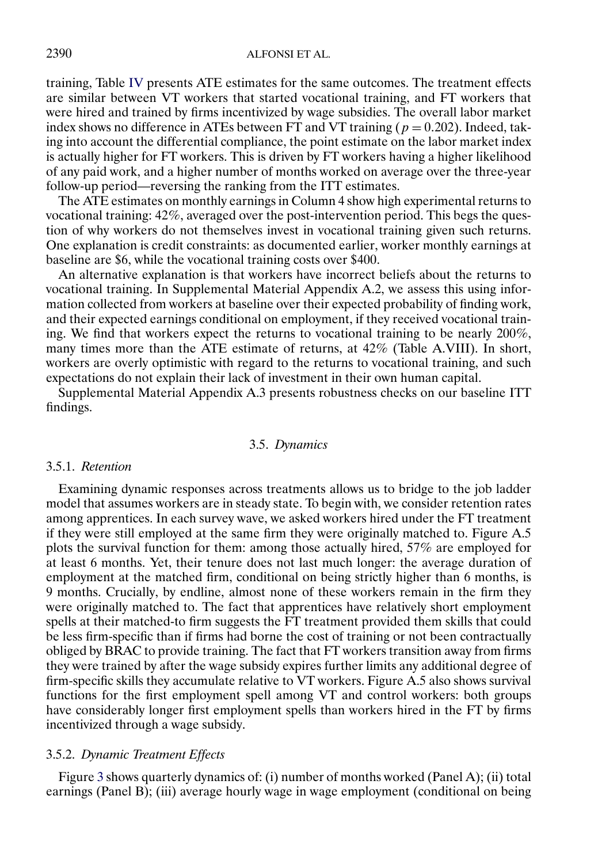training, Table [IV](#page-20-0) presents ATE estimates for the same outcomes. The treatment effects are similar between VT workers that started vocational training, and FT workers that were hired and trained by firms incentivized by wage subsidies. The overall labor market index shows no difference in ATEs between FT and VT training ( $p = 0.202$ ). Indeed, taking into account the differential compliance, the point estimate on the labor market index is actually higher for FT workers. This is driven by FT workers having a higher likelihood of any paid work, and a higher number of months worked on average over the three-year follow-up period—reversing the ranking from the ITT estimates.

The ATE estimates on monthly earnings in Column 4 show high experimental returns to vocational training: 42%, averaged over the post-intervention period. This begs the question of why workers do not themselves invest in vocational training given such returns. One explanation is credit constraints: as documented earlier, worker monthly earnings at baseline are \$6, while the vocational training costs over \$400.

An alternative explanation is that workers have incorrect beliefs about the returns to vocational training. In Supplemental Material Appendix A.2, we assess this using information collected from workers at baseline over their expected probability of finding work, and their expected earnings conditional on employment, if they received vocational training. We find that workers expect the returns to vocational training to be nearly 200%, many times more than the ATE estimate of returns, at 42% (Table A.VIII). In short, workers are overly optimistic with regard to the returns to vocational training, and such expectations do not explain their lack of investment in their own human capital.

Supplemental Material Appendix A.3 presents robustness checks on our baseline ITT findings.

## 3.5. *Dynamics*

## 3.5.1. *Retention*

Examining dynamic responses across treatments allows us to bridge to the job ladder model that assumes workers are in steady state. To begin with, we consider retention rates among apprentices. In each survey wave, we asked workers hired under the FT treatment if they were still employed at the same firm they were originally matched to. Figure A.5 plots the survival function for them: among those actually hired, 57% are employed for at least 6 months. Yet, their tenure does not last much longer: the average duration of employment at the matched firm, conditional on being strictly higher than 6 months, is 9 months. Crucially, by endline, almost none of these workers remain in the firm they were originally matched to. The fact that apprentices have relatively short employment spells at their matched-to firm suggests the FT treatment provided them skills that could be less firm-specific than if firms had borne the cost of training or not been contractually obliged by BRAC to provide training. The fact that FT workers transition away from firms they were trained by after the wage subsidy expires further limits any additional degree of firm-specific skills they accumulate relative to VT workers. Figure A.5 also shows survival functions for the first employment spell among VT and control workers: both groups have considerably longer first employment spells than workers hired in the FT by firms incentivized through a wage subsidy.

## 3.5.2. *Dynamic Treatment Effects*

Figure [3](#page-23-0) shows quarterly dynamics of: (i) number of months worked (Panel A); (ii) total earnings (Panel B); (iii) average hourly wage in wage employment (conditional on being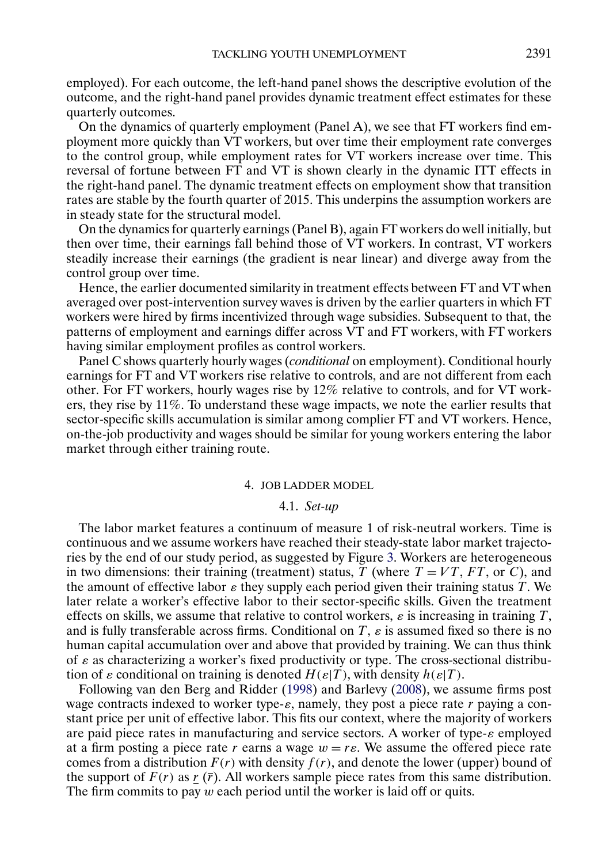<span id="page-22-0"></span>employed). For each outcome, the left-hand panel shows the descriptive evolution of the outcome, and the right-hand panel provides dynamic treatment effect estimates for these quarterly outcomes.

On the dynamics of quarterly employment (Panel A), we see that FT workers find employment more quickly than VT workers, but over time their employment rate converges to the control group, while employment rates for VT workers increase over time. This reversal of fortune between FT and VT is shown clearly in the dynamic ITT effects in the right-hand panel. The dynamic treatment effects on employment show that transition rates are stable by the fourth quarter of 2015. This underpins the assumption workers are in steady state for the structural model.

On the dynamics for quarterly earnings (Panel B), again FT workers do well initially, but then over time, their earnings fall behind those of VT workers. In contrast, VT workers steadily increase their earnings (the gradient is near linear) and diverge away from the control group over time.

Hence, the earlier documented similarity in treatment effects between FT and VT when averaged over post-intervention survey waves is driven by the earlier quarters in which FT workers were hired by firms incentivized through wage subsidies. Subsequent to that, the patterns of employment and earnings differ across VT and FT workers, with FT workers having similar employment profiles as control workers.

Panel C shows quarterly hourly wages (*conditional* on employment). Conditional hourly earnings for FT and VT workers rise relative to controls, and are not different from each other. For FT workers, hourly wages rise by 12% relative to controls, and for VT workers, they rise by 11%. To understand these wage impacts, we note the earlier results that sector-specific skills accumulation is similar among complier FT and VT workers. Hence, on-the-job productivity and wages should be similar for young workers entering the labor market through either training route.

#### 4. JOB LADDER MODEL

## 4.1. *Set-up*

The labor market features a continuum of measure 1 of risk-neutral workers. Time is continuous and we assume workers have reached their steady-state labor market trajectories by the end of our study period, as suggested by Figure [3.](#page-23-0) Workers are heterogeneous in two dimensions: their training (treatment) status, T (where  $T = VT$ , FT, or C), and the amount of effective labor  $\varepsilon$  they supply each period given their training status T. We later relate a worker's effective labor to their sector-specific skills. Given the treatment effects on skills, we assume that relative to control workers,  $\varepsilon$  is increasing in training T, and is fully transferable across firms. Conditional on  $T$ ,  $\varepsilon$  is assumed fixed so there is no human capital accumulation over and above that provided by training. We can thus think of  $\varepsilon$  as characterizing a worker's fixed productivity or type. The cross-sectional distribution of  $\varepsilon$  conditional on training is denoted  $H(\varepsilon|T)$ , with density  $h(\varepsilon|T)$ .

Following van den Berg and Ridder [\(1998\)](#page-45-0) and Barlevy [\(2008\)](#page-44-0), we assume firms post wage contracts indexed to worker type- $\varepsilon$ , namely, they post a piece rate r paying a constant price per unit of effective labor. This fits our context, where the majority of workers are paid piece rates in manufacturing and service sectors. A worker of type- $\varepsilon$  employed at a firm posting a piece rate r earns a wage  $w = r\varepsilon$ . We assume the offered piece rate comes from a distribution  $F(r)$  with density  $f(r)$ , and denote the lower (upper) bound of the support of  $F(r)$  as r  $(\bar{r})$ . All workers sample piece rates from this same distribution. The firm commits to pay  $w$  each period until the worker is laid off or quits.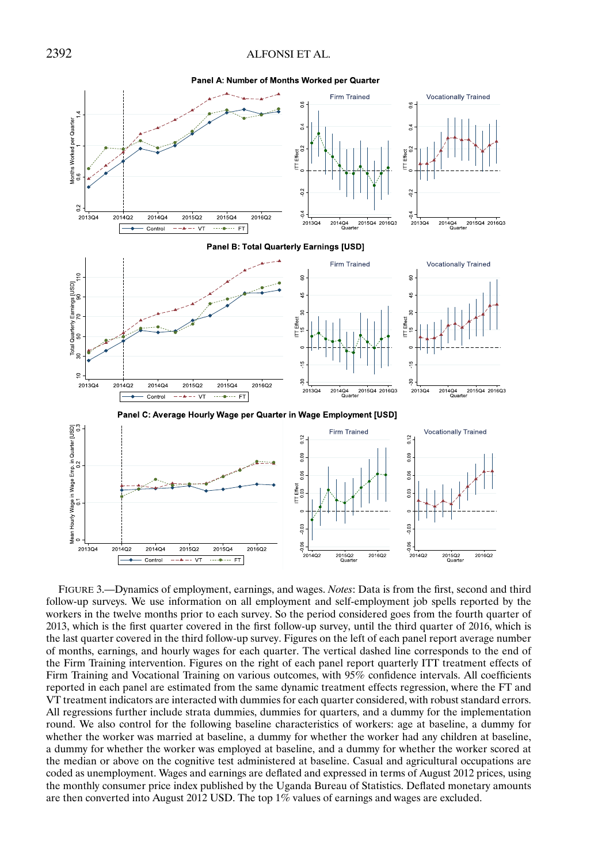Panel A: Number of Months Worked per Quarter

<span id="page-23-0"></span>

FIGURE 3.—Dynamics of employment, earnings, and wages. *Notes*: Data is from the first, second and third follow-up surveys. We use information on all employment and self-employment job spells reported by the workers in the twelve months prior to each survey. So the period considered goes from the fourth quarter of 2013, which is the first quarter covered in the first follow-up survey, until the third quarter of 2016, which is the last quarter covered in the third follow-up survey. Figures on the left of each panel report average number of months, earnings, and hourly wages for each quarter. The vertical dashed line corresponds to the end of the Firm Training intervention. Figures on the right of each panel report quarterly ITT treatment effects of Firm Training and Vocational Training on various outcomes, with 95% confidence intervals. All coefficients reported in each panel are estimated from the same dynamic treatment effects regression, where the FT and VT treatment indicators are interacted with dummies for each quarter considered, with robust standard errors. All regressions further include strata dummies, dummies for quarters, and a dummy for the implementation round. We also control for the following baseline characteristics of workers: age at baseline, a dummy for whether the worker was married at baseline, a dummy for whether the worker had any children at baseline, a dummy for whether the worker was employed at baseline, and a dummy for whether the worker scored at the median or above on the cognitive test administered at baseline. Casual and agricultural occupations are coded as unemployment. Wages and earnings are deflated and expressed in terms of August 2012 prices, using the monthly consumer price index published by the Uganda Bureau of Statistics. Deflated monetary amounts are then converted into August 2012 USD. The top 1% values of earnings and wages are excluded.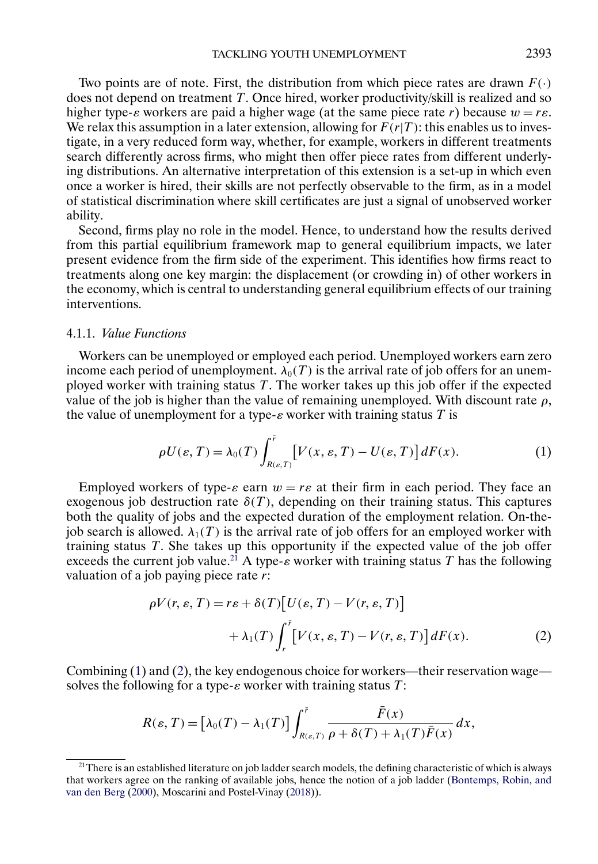<span id="page-24-0"></span>Two points are of note. First, the distribution from which piece rates are drawn  $F(\cdot)$ does not depend on treatment  $T$ . Once hired, worker productivity/skill is realized and so higher type- $\varepsilon$  workers are paid a higher wage (at the same piece rate r) because  $w = r\varepsilon$ . We relax this assumption in a later extension, allowing for  $F(r|T)$ : this enables us to investigate, in a very reduced form way, whether, for example, workers in different treatments search differently across firms, who might then offer piece rates from different underlying distributions. An alternative interpretation of this extension is a set-up in which even once a worker is hired, their skills are not perfectly observable to the firm, as in a model of statistical discrimination where skill certificates are just a signal of unobserved worker ability.

Second, firms play no role in the model. Hence, to understand how the results derived from this partial equilibrium framework map to general equilibrium impacts, we later present evidence from the firm side of the experiment. This identifies how firms react to treatments along one key margin: the displacement (or crowding in) of other workers in the economy, which is central to understanding general equilibrium effects of our training interventions.

## 4.1.1. *Value Functions*

Workers can be unemployed or employed each period. Unemployed workers earn zero income each period of unemployment.  $\lambda_0(T)$  is the arrival rate of job offers for an unemployed worker with training status  $T$ . The worker takes up this job offer if the expected value of the job is higher than the value of remaining unemployed. With discount rate  $\rho$ , the value of unemployment for a type- $\varepsilon$  worker with training status T is

$$
\rho U(\varepsilon, T) = \lambda_0(T) \int_{R(\varepsilon, T)}^{\bar{r}} \left[ V(x, \varepsilon, T) - U(\varepsilon, T) \right] dF(x). \tag{1}
$$

Employed workers of type- $\varepsilon$  earn  $w = r\varepsilon$  at their firm in each period. They face an exogenous job destruction rate  $\delta(T)$ , depending on their training status. This captures both the quality of jobs and the expected duration of the employment relation. On-thejob search is allowed.  $\lambda_1(T)$  is the arrival rate of job offers for an employed worker with training status T. She takes up this opportunity if the expected value of the job offer exceeds the current job value.<sup>21</sup> A type- $\epsilon$  worker with training status T has the following valuation of a job paying piece rate r:

$$
\rho V(r, \varepsilon, T) = r\varepsilon + \delta(T) \left[ U(\varepsilon, T) - V(r, \varepsilon, T) \right] + \lambda_1(T) \int_r^{\bar{r}} \left[ V(x, \varepsilon, T) - V(r, \varepsilon, T) \right] dF(x).
$$
 (2)

Combining (1) and (2), the key endogenous choice for workers—their reservation wage solves the following for a type- $\varepsilon$  worker with training status T:

$$
R(\varepsilon,T) = \left[\lambda_0(T) - \lambda_1(T)\right] \int_{R(\varepsilon,T)}^{\bar{r}} \frac{\bar{F}(x)}{\rho + \delta(T) + \lambda_1(T)\bar{F}(x)} dx,
$$

<sup>&</sup>lt;sup>21</sup>There is an established literature on job ladder search models, the defining characteristic of which is always that workers agree on the ranking of available jobs, hence the notion of a job ladder [\(Bontemps, Robin, and](#page-44-0) [van den Berg](#page-44-0) [\(2000\)](#page-44-0), Moscarini and Postel-Vinay [\(2018\)](#page-45-0)).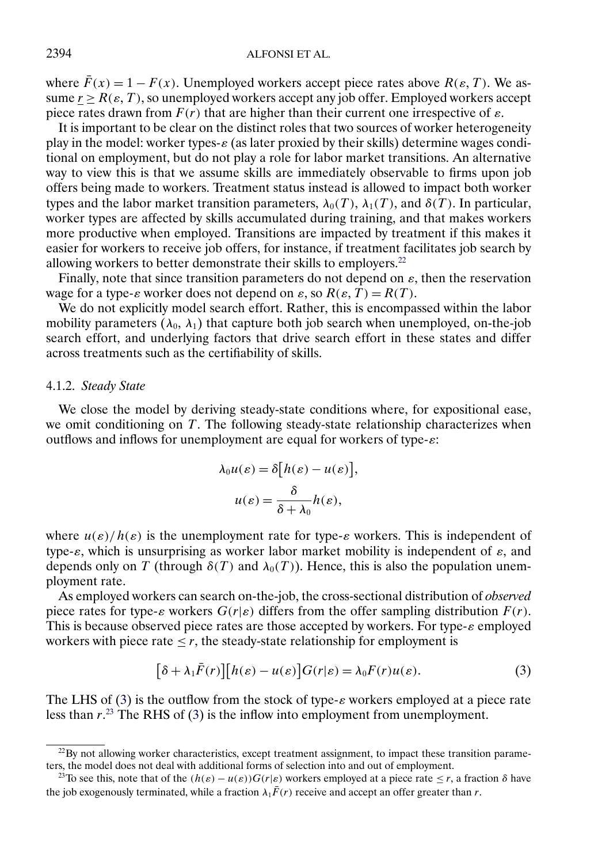where  $\bar{F}(x) = 1 - F(x)$ . Unemployed workers accept piece rates above  $R(\varepsilon, T)$ . We assume  $r \ge R(\varepsilon, T)$ , so unemployed workers accept any job offer. Employed workers accept piece rates drawn from  $F(r)$  that are higher than their current one irrespective of  $\varepsilon$ .

It is important to be clear on the distinct roles that two sources of worker heterogeneity play in the model: worker types- $\varepsilon$  (as later proxied by their skills) determine wages conditional on employment, but do not play a role for labor market transitions. An alternative way to view this is that we assume skills are immediately observable to firms upon job offers being made to workers. Treatment status instead is allowed to impact both worker types and the labor market transition parameters,  $\lambda_0(T)$ ,  $\lambda_1(T)$ , and  $\delta(T)$ . In particular, worker types are affected by skills accumulated during training, and that makes workers more productive when employed. Transitions are impacted by treatment if this makes it easier for workers to receive job offers, for instance, if treatment facilitates job search by allowing workers to better demonstrate their skills to employers. $^{22}$ 

Finally, note that since transition parameters do not depend on  $\varepsilon$ , then the reservation wage for a type- $\varepsilon$  worker does not depend on  $\varepsilon$ , so  $R(\varepsilon, T) = R(T)$ .

We do not explicitly model search effort. Rather, this is encompassed within the labor mobility parameters  $(\lambda_0, \lambda_1)$  that capture both job search when unemployed, on-the-job search effort, and underlying factors that drive search effort in these states and differ across treatments such as the certifiability of skills.

#### 4.1.2. *Steady State*

We close the model by deriving steady-state conditions where, for expositional ease, we omit conditioning on T. The following steady-state relationship characterizes when outflows and inflows for unemployment are equal for workers of type- $\varepsilon$ :

$$
\lambda_0 u(\varepsilon) = \delta \big[ h(\varepsilon) - u(\varepsilon) \big],
$$
  

$$
u(\varepsilon) = \frac{\delta}{\delta + \lambda_0} h(\varepsilon),
$$

where  $u(\varepsilon)/h(\varepsilon)$  is the unemployment rate for type- $\varepsilon$  workers. This is independent of type- $\varepsilon$ , which is unsurprising as worker labor market mobility is independent of  $\varepsilon$ , and depends only on T (through  $\delta(T)$  and  $\lambda_0(T)$ ). Hence, this is also the population unemployment rate.

As employed workers can search on-the-job, the cross-sectional distribution of *observed* piece rates for type- $\varepsilon$  workers  $G(r|\varepsilon)$  differs from the offer sampling distribution  $F(r)$ . This is because observed piece rates are those accepted by workers. For type- $\varepsilon$  employed workers with piece rate  $\leq r$ , the steady-state relationship for employment is

$$
[\delta + \lambda_1 \bar{F}(r)][h(\varepsilon) - u(\varepsilon)]G(r|\varepsilon) = \lambda_0 F(r)u(\varepsilon).
$$
 (3)

The LHS of (3) is the outflow from the stock of type- $\varepsilon$  workers employed at a piece rate less than  $r^{23}$ . The RHS of (3) is the inflow into employment from unemployment.

 $22$ By not allowing worker characteristics, except treatment assignment, to impact these transition parameters, the model does not deal with additional forms of selection into and out of employment.

<sup>&</sup>lt;sup>23</sup>To see this, note that of the  $(h(\varepsilon) - u(\varepsilon))G(r|\varepsilon)$  workers employed at a piece rate  $\leq r$ , a fraction  $\delta$  have the job exogenously terminated, while a fraction  $\lambda_1 \bar{F}(r)$  receive and accept an offer greater than r.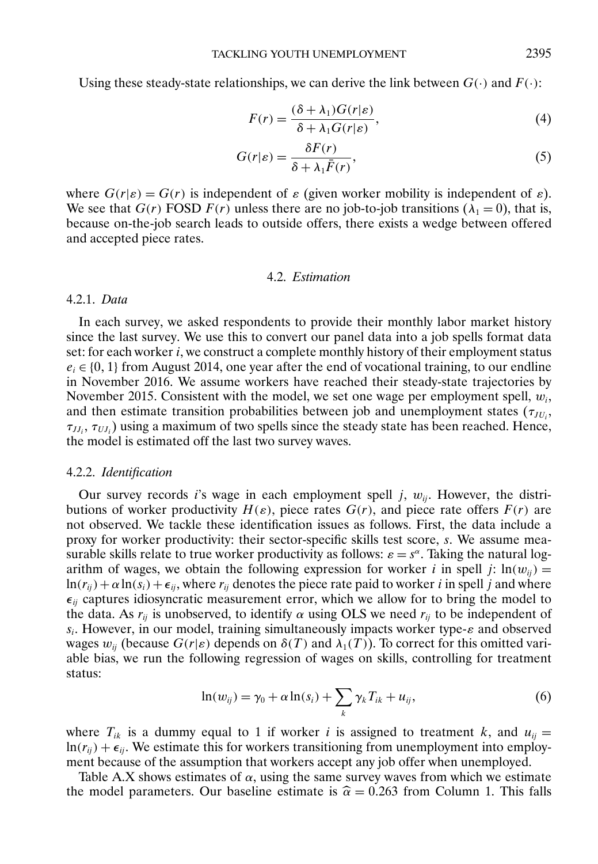<span id="page-26-0"></span>Using these steady-state relationships, we can derive the link between  $G(\cdot)$  and  $F(\cdot)$ :

$$
F(r) = \frac{(\delta + \lambda_1)G(r|\varepsilon)}{\delta + \lambda_1 G(r|\varepsilon)},
$$
\n(4)

$$
G(r|\varepsilon) = \frac{\delta F(r)}{\delta + \lambda_1 \bar{F}(r)},
$$
\n(5)

where  $G(r|\varepsilon) = G(r)$  is independent of  $\varepsilon$  (given worker mobility is independent of  $\varepsilon$ ). We see that  $G(r)$  FOSD  $F(r)$  unless there are no job-to-job transitions ( $\lambda_1 = 0$ ), that is, because on-the-job search leads to outside offers, there exists a wedge between offered and accepted piece rates.

## 4.2. *Estimation*

#### 4.2.1. *Data*

In each survey, we asked respondents to provide their monthly labor market history since the last survey. We use this to convert our panel data into a job spells format data set: for each worker i, we construct a complete monthly history of their employment status  $e_i \in \{0, 1\}$  from August 2014, one year after the end of vocational training, to our endline in November 2016. We assume workers have reached their steady-state trajectories by November 2015. Consistent with the model, we set one wage per employment spell,  $w_i$ , and then estimate transition probabilities between job and unemployment states  $(\tau_{JU_i},$  $\tau_{JJ_i}, \tau_{UI_i}$ ) using a maximum of two spells since the steady state has been reached. Hence, the model is estimated off the last two survey waves.

#### 4.2.2. *Identification*

Our survey records is wage in each employment spell j,  $w_{ii}$ . However, the distributions of worker productivity  $H(\varepsilon)$ , piece rates  $G(r)$ , and piece rate offers  $F(r)$  are not observed. We tackle these identification issues as follows. First, the data include a proxy for worker productivity: their sector-specific skills test score, s. We assume measurable skills relate to true worker productivity as follows:  $\varepsilon = s^{\alpha}$ . Taking the natural logarithm of wages, we obtain the following expression for worker i in spell j:  $ln(w_{ij}) =$  $\ln(r_{ii}) + \alpha \ln(s_i) + \epsilon_{ii}$ , where  $r_{ii}$  denotes the piece rate paid to worker i in spell j and where  $\epsilon_{ii}$  captures idiosyncratic measurement error, which we allow for to bring the model to the data. As  $r_{ii}$  is unobserved, to identify  $\alpha$  using OLS we need  $r_{ii}$  to be independent of  $s_i$ . However, in our model, training simultaneously impacts worker type- $\varepsilon$  and observed wages  $w_{ii}$  (because  $G(r|\varepsilon)$  depends on  $\delta(T)$  and  $\lambda_1(T)$ ). To correct for this omitted variable bias, we run the following regression of wages on skills, controlling for treatment status:

$$
\ln(w_{ij}) = \gamma_0 + \alpha \ln(s_i) + \sum_k \gamma_k T_{ik} + u_{ij}, \qquad (6)
$$

where  $T_{ik}$  is a dummy equal to 1 if worker i is assigned to treatment k, and  $u_{ij} =$  $\ln(r_{ii}) + \epsilon_{ii}$ . We estimate this for workers transitioning from unemployment into employment because of the assumption that workers accept any job offer when unemployed.

Table A.X shows estimates of  $\alpha$ , using the same survey waves from which we estimate the model parameters. Our baseline estimate is  $\hat{\alpha} = 0.263$  from Column 1. This falls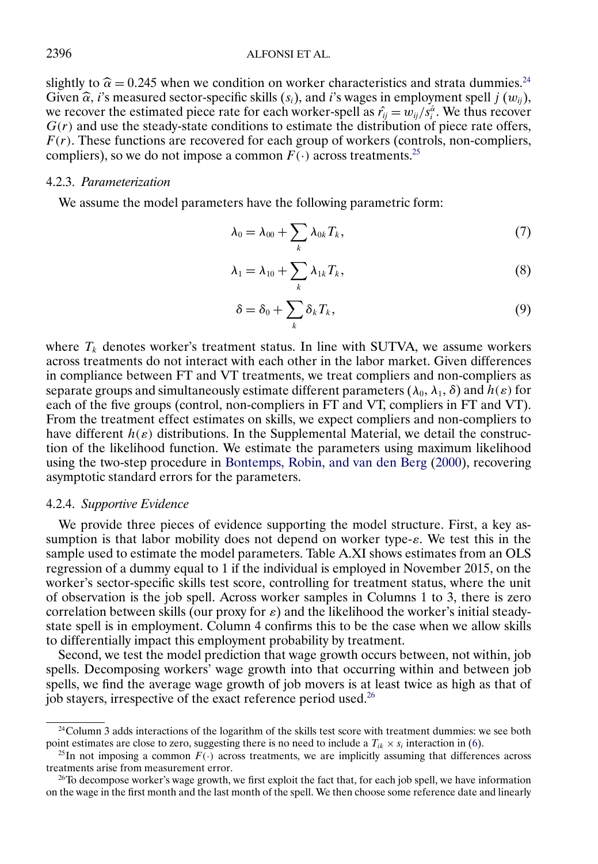<span id="page-27-0"></span>slightly to  $\hat{\alpha} = 0.245$  when we condition on worker characteristics and strata dummies.<sup>24</sup><br>City a  $\hat{\beta}$  is magazing against grazific slidle (c) and is useres in employment spell i.(*s*) Given  $\hat{\alpha}$ , i's measured sector-specific skills  $(s_i)$ , and i's wages in employment spell j  $(w_{ij})$ , we recover the estimated piece rate for each worker-spell as  $\hat{r}_{ij} = w_{ij}/s_i^{\hat{\alpha}}$ . We thus recover  $G(r)$  and use the steady-state conditions to estimate the distribution of piece rate offers,  $F(r)$ . These functions are recovered for each group of workers (controls, non-compliers, compliers), so we do not impose a common  $F(\cdot)$  across treatments.<sup>25</sup>

## 4.2.3. *Parameterization*

We assume the model parameters have the following parametric form:

$$
\lambda_0 = \lambda_{00} + \sum_k \lambda_{0k} T_k, \qquad (7)
$$

$$
\lambda_1 = \lambda_{10} + \sum_k \lambda_{1k} T_k, \tag{8}
$$

$$
\delta = \delta_0 + \sum_k \delta_k T_k, \tag{9}
$$

where  $T_k$  denotes worker's treatment status. In line with SUTVA, we assume workers across treatments do not interact with each other in the labor market. Given differences in compliance between FT and VT treatments, we treat compliers and non-compliers as separate groups and simultaneously estimate different parameters  $(\lambda_0, \lambda_1, \delta)$  and  $h(\varepsilon)$  for each of the five groups (control, non-compliers in FT and VT, compliers in FT and VT). From the treatment effect estimates on skills, we expect compliers and non-compliers to have different  $h(\varepsilon)$  distributions. In the Supplemental Material, we detail the construction of the likelihood function. We estimate the parameters using maximum likelihood using the two-step procedure in [Bontemps, Robin, and van den Berg](#page-44-0) [\(2000\)](#page-44-0), recovering asymptotic standard errors for the parameters.

#### 4.2.4. *Supportive Evidence*

We provide three pieces of evidence supporting the model structure. First, a key assumption is that labor mobility does not depend on worker type- $\varepsilon$ . We test this in the sample used to estimate the model parameters. Table A.XI shows estimates from an OLS regression of a dummy equal to 1 if the individual is employed in November 2015, on the worker's sector-specific skills test score, controlling for treatment status, where the unit of observation is the job spell. Across worker samples in Columns 1 to 3, there is zero correlation between skills (our proxy for  $\varepsilon$ ) and the likelihood the worker's initial steadystate spell is in employment. Column 4 confirms this to be the case when we allow skills to differentially impact this employment probability by treatment.

Second, we test the model prediction that wage growth occurs between, not within, job spells. Decomposing workers' wage growth into that occurring within and between job spells, we find the average wage growth of job movers is at least twice as high as that of job stayers, irrespective of the exact reference period used.<sup>26</sup>

 $24$ Column 3 adds interactions of the logarithm of the skills test score with treatment dummies: we see both point estimates are close to zero, suggesting there is no need to include a  $T_{ik} \times s_i$  interaction in [\(6\)](#page-26-0).

<sup>&</sup>lt;sup>25</sup>In not imposing a common  $F(\cdot)$  across treatments, we are implicitly assuming that differences across treatments arise from measurement error.

 $^{26}$ To decompose worker's wage growth, we first exploit the fact that, for each job spell, we have information on the wage in the first month and the last month of the spell. We then choose some reference date and linearly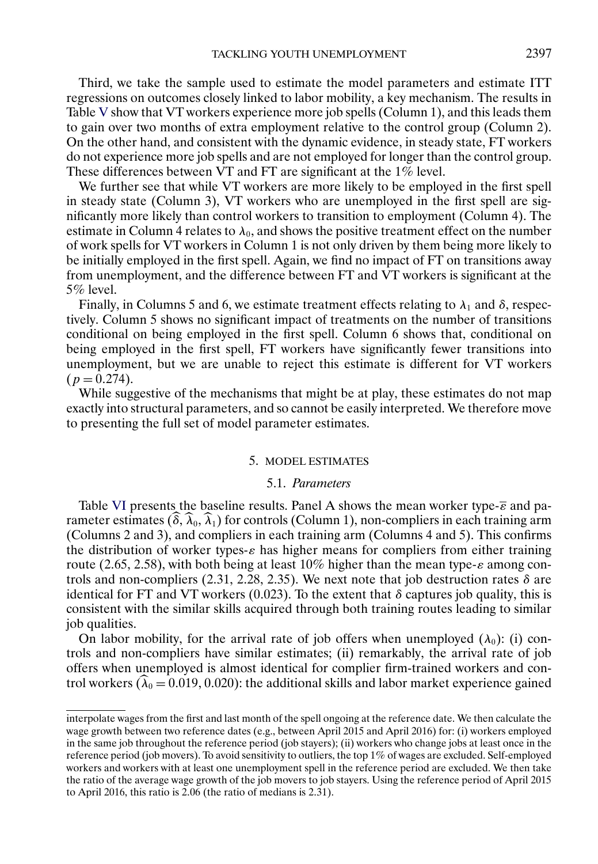<span id="page-28-0"></span>Third, we take the sample used to estimate the model parameters and estimate ITT regressions on outcomes closely linked to labor mobility, a key mechanism. The results in Table [V](#page-29-0) show that VT workers experience more job spells (Column 1), and this leads them to gain over two months of extra employment relative to the control group (Column 2). On the other hand, and consistent with the dynamic evidence, in steady state, FT workers do not experience more job spells and are not employed for longer than the control group. These differences between VT and FT are significant at the 1% level.

We further see that while VT workers are more likely to be employed in the first spell in steady state (Column 3), VT workers who are unemployed in the first spell are significantly more likely than control workers to transition to employment (Column 4). The estimate in Column 4 relates to  $\lambda_0$ , and shows the positive treatment effect on the number of work spells for VT workers in Column 1 is not only driven by them being more likely to be initially employed in the first spell. Again, we find no impact of FT on transitions away from unemployment, and the difference between FT and VT workers is significant at the 5% level.

Finally, in Columns 5 and 6, we estimate treatment effects relating to  $\lambda_1$  and  $\delta$ , respectively. Column 5 shows no significant impact of treatments on the number of transitions conditional on being employed in the first spell. Column 6 shows that, conditional on being employed in the first spell, FT workers have significantly fewer transitions into unemployment, but we are unable to reject this estimate is different for VT workers  $(p = 0.274)$ .

While suggestive of the mechanisms that might be at play, these estimates do not map exactly into structural parameters, and so cannot be easily interpreted. We therefore move to presenting the full set of model parameter estimates.

## 5. MODEL ESTIMATES

#### 5.1. *Parameters*

Table [VI](#page-30-0) presents the baseline results. Panel A shows the mean worker type- $\bar{\epsilon}$  and parameter estimates  $(\widehat{\delta}, \widehat{\lambda}_0, \widehat{\lambda}_1)$  for controls (Column 1), non-compliers in each training arm (Columns 2 and 3), and compliers in each training arm (Columns 4 and 5). This confirms the distribution of worker types- $\varepsilon$  has higher means for compliers from either training route (2.65, 2.58), with both being at least 10% higher than the mean type- $\varepsilon$  among controls and non-compliers  $(2.31, 2.28, 2.35)$ . We next note that job destruction rates  $\delta$  are identical for FT and VT workers (0.023). To the extent that  $\delta$  captures job quality, this is consistent with the similar skills acquired through both training routes leading to similar job qualities.

On labor mobility, for the arrival rate of job offers when unemployed  $(\lambda_0)$ : (i) controls and non-compliers have similar estimates; (ii) remarkably, the arrival rate of job offers when unemployed is almost identical for complier firm-trained workers and control workers ( $\hat{\lambda}_0 = 0.019, 0.020$ ): the additional skills and labor market experience gained

interpolate wages from the first and last month of the spell ongoing at the reference date. We then calculate the wage growth between two reference dates (e.g., between April 2015 and April 2016) for: (i) workers employed in the same job throughout the reference period (job stayers); (ii) workers who change jobs at least once in the reference period (job movers). To avoid sensitivity to outliers, the top 1% of wages are excluded. Self-employed workers and workers with at least one unemployment spell in the reference period are excluded. We then take the ratio of the average wage growth of the job movers to job stayers. Using the reference period of April 2015 to April 2016, this ratio is 2-06 (the ratio of medians is 2-31).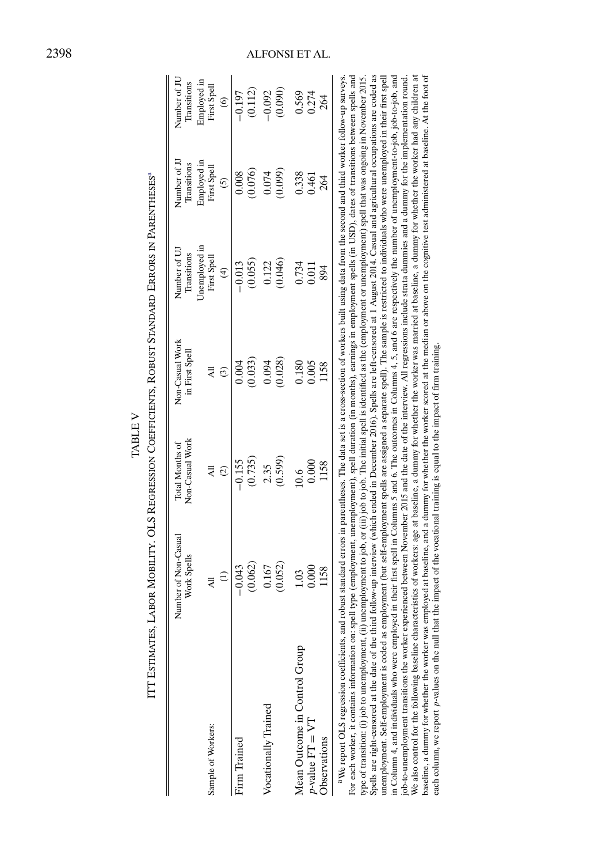|                               | Number of Non-Casual              | Non-Casual Work                 | Non-Casual Work | Number of UJ                             | Number of JJ                                | Number of JU                          |
|-------------------------------|-----------------------------------|---------------------------------|-----------------|------------------------------------------|---------------------------------------------|---------------------------------------|
|                               | Work Spells                       | Total Months of                 | in First Spell  | Transitions                              | Transitions                                 | Transitions                           |
| Sample of Workers:            | $\widehat{\Xi}$<br>$\overline{a}$ | $\overline{A}$<br>$\widehat{c}$ | ල               | Unemployed in<br>First Spell<br>$\oplus$ | Employed in<br>First Spell<br>$\widehat{c}$ | Employed in<br>First Spell<br>$\odot$ |
| Firm Trained                  | (0.062)                           | (0.735)                         | (0.033)         | (0.055)                                  | (0.076)                                     | (0.112)                               |
|                               | $-0.043$                          | $-0.155$                        | 0.004           | $-0.013$                                 | 0.008                                       | $-0.197$                              |
| Vocationally Trained          | (0.052)                           | (0.599)                         | (0.028)         | (0.046)                                  | (0.099)                                     | (0.090)                               |
|                               | 0.167                             | 2.35                            | 0.094           | 0.122                                    | 0.074                                       | $-0.092$                              |
| Mean Outcome in Control Group | 0.000                             | 0.000                           | 0.005           | 0.734                                    | 0.338                                       | 0.569                                 |
| $p$ -value $FT = VT$          | 1158                              | 1158                            | 0.180           | 0.011                                    | 0.461                                       | 0.274                                 |
| Observations                  | 1.03                              | 0.6                             | 1158            | 894                                      | 264                                         | 264                                   |

|                  | esterne Control de la partie de la control de la control de la control de la control de la control de la control de la control de la control de la control de la control de la control de la control de la control de la contr |
|------------------|--------------------------------------------------------------------------------------------------------------------------------------------------------------------------------------------------------------------------------|
| ,<br> <br> <br>Í | -<br>;                                                                                                                                                                                                                         |
|                  |                                                                                                                                                                                                                                |
|                  |                                                                                                                                                                                                                                |
|                  |                                                                                                                                                                                                                                |
|                  | $\frac{1}{2}$<br>֧֧֧ׅ֧֧֧֧֧ׅ֧֧֧֧֧֧֧֧֧֧֧֧֧֧֧֧֛֧֛֧֛֧֛֛֧֛֧֧֧֧֧֧֧֚֚֚֚֚֚֚֚֚֚֚֚֚֚֚֚֚֚֚֚֚֚֚֚֚֚֚֝֝֝֟֓֝֓֝֓֝֓֜֓֝֬֝֓֝֬֝֬֝֬֝֬֝֬֝֬֝֬֝֝֬֝֜֝֝֝<br>֧֧֧֧֛֛֧֛֛֛֛֛֛֛֛֚֚֜֜֜֜֜                                                                       |

Spells are right-censored at the date of the third follow-up interview (which ended in December 2016). Spells are left-censored at 1 August 2014. Casual and agricultural occupations are coded as unemployment. Self-employment is coded as employment (but self-employment spells are assigned a separate spell). The sample is restricted to individuals who were unemployed in their first spell in Column 4, and individuals who were employed in their first spell in Columns 5 and 6. The outcomes in Columns 4, 5, and 6 are respectively the number of unemployment-to-job, job-to-job, and job-to-unemployment transitions the worker experienced between November 2015 and the date of the interview. All regressions include strata dummies and a dummy for the implementation round.<br>We also control for the following asseline, a dummy for whether the worker was employed at baseline, and a dummy for whether the worker scored at the median or above on the cognitive test administered at baseline. At the foot of Spells are right-censored at the date of the third follow-up interview (which ended in December 2016). Spells are left-censored at 1 August 2014. Casual and agricultural occupations are coded as unemployment. Self-employment is coded as employment (but self-employment spells are assigned a separate spell). The sample is restricted to individuals who were unemployed in their first spell in Column 4, and individuals who were employed in their first spell in Columns 5 and 6. The outcomes in Columns 4, 5, and 6 are respectively the number of unemployment-to-job, job-to-job, and job-to-unemployment transitions the worker experienced between November 2015 and the date of the interview. All regressions include strata dummies and a dummy for the implementation round. We also control for the following baseline characteristics of workers: age at baseline, a dummy for whether the worker was married at baseline, a dummy for whether the worker had any children at baseline, a dummy for whether the worker was employed at baseline, and a dummy for whether the worker scored at the median or above on the cognitive test administered at baseline. At the foot of each column, we report p-values on the null that the impact of the vocational training is equal to the impact of firm training. each column, we report p-values on the null that the impact of the vocational training is equal to the impact of firm training.

## <span id="page-29-0"></span>ALFONSI ET AL.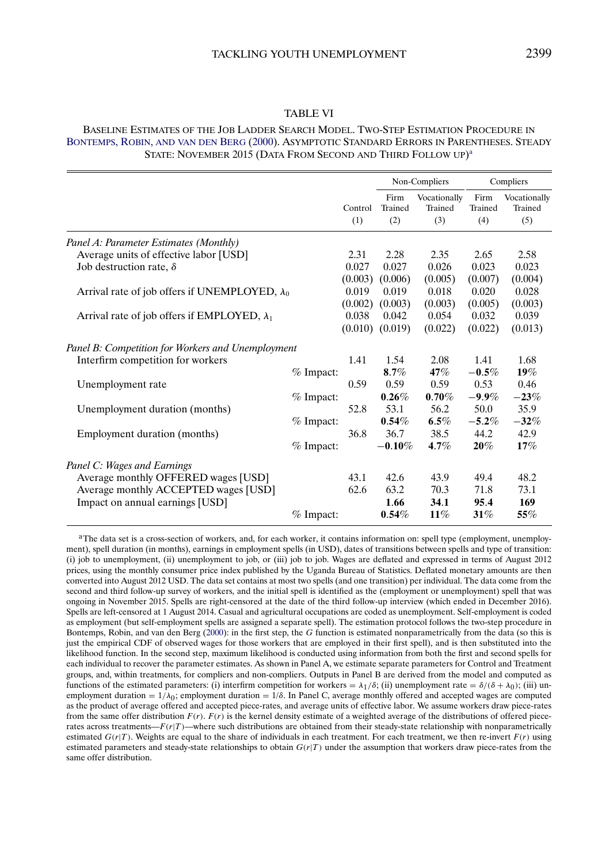## TABLE VI

#### <span id="page-30-0"></span>BASELINE ESTIMATES OF THE JOB LADDER SEARCH MODEL. TWO-STEP ESTIMATION PROCEDURE IN [BONTEMPS, ROBIN,](#page-44-0) AND VAN DEN BERG [\(2000\)](#page-44-0). ASYMPTOTIC STANDARD ERRORS IN PARENTHESES. STEADY STATE: NOVEMBER 2015 (DATA FROM SECOND AND THIRD FOLLOW UP)<sup>a</sup>

|                                                       |             |         |                     | Non-Compliers           |                 | Compliers               |
|-------------------------------------------------------|-------------|---------|---------------------|-------------------------|-----------------|-------------------------|
|                                                       |             | Control | Firm<br>Trained     | Vocationally<br>Trained | Firm<br>Trained | Vocationally<br>Trained |
|                                                       |             | (1)     | (2)                 | (3)                     | (4)             | (5)                     |
| Panel A: Parameter Estimates (Monthly)                |             |         |                     |                         |                 |                         |
| Average units of effective labor [USD]                |             | 2.31    | 2.28                | 2.35                    | 2.65            | 2.58                    |
| Job destruction rate, $\delta$                        |             | 0.027   | 0.027               | 0.026                   | 0.023           | 0.023                   |
|                                                       |             | (0.003) | (0.006)             | (0.005)                 | (0.007)         | (0.004)                 |
| Arrival rate of job offers if UNEMPLOYED, $\lambda_0$ |             | 0.019   | 0.019               | 0.018                   | 0.020           | 0.028                   |
|                                                       |             | (0.002) | (0.003)             | (0.003)                 | (0.005)         | (0.003)                 |
| Arrival rate of job offers if EMPLOYED, $\lambda_1$   |             | 0.038   | 0.042               | 0.054                   | 0.032           | 0.039                   |
|                                                       |             |         | $(0.010)$ $(0.019)$ | (0.022)                 | (0.022)         | (0.013)                 |
| Panel B: Competition for Workers and Unemployment     |             |         |                     |                         |                 |                         |
| Interfirm competition for workers                     |             | 1.41    | 1.54                | 2.08                    | 1.41            | 1.68                    |
|                                                       | $%$ Impact: |         | $8.7\%$             | 47%                     | $-0.5\%$        | $19\%$                  |
| Unemployment rate                                     |             | 0.59    | 0.59                | 0.59                    | 0.53            | 0.46                    |
|                                                       | $%$ Impact: |         | $0.26\%$            | $0.70\%$                | $-9.9\%$        | $-23%$                  |
| Unemployment duration (months)                        |             | 52.8    | 53.1                | 56.2                    | 50.0            | 35.9                    |
|                                                       | $%$ Impact: |         | $0.54\%$            | $6.5\%$                 | $-5.2\%$        | $-32%$                  |
| Employment duration (months)                          |             | 36.8    | 36.7                | 38.5                    | 44.2            | 42.9                    |
|                                                       | $%$ Impact: |         | $-0.10\%$           | $4.7\%$                 | $20\%$          | 17%                     |
| Panel C: Wages and Earnings                           |             |         |                     |                         |                 |                         |
| Average monthly OFFERED wages [USD]                   |             | 43.1    | 42.6                | 43.9                    | 49.4            | 48.2                    |
| Average monthly ACCEPTED wages [USD]                  |             | 62.6    | 63.2                | 70.3                    | 71.8            | 73.1                    |
| Impact on annual earnings [USD]                       |             |         | 1.66                | 34.1                    | 95.4            | 169                     |
|                                                       | $%$ Impact: |         | $0.54\%$            | $11\%$                  | 31%             | 55%                     |
|                                                       |             |         |                     |                         |                 |                         |

aThe data set is a cross-section of workers, and, for each worker, it contains information on: spell type (employment, unemployment), spell duration (in months), earnings in employment spells (in USD), dates of transitions between spells and type of transition: (i) job to unemployment, (ii) unemployment to job, or (iii) job to job. Wages are deflated and expressed in terms of August 2012 prices, using the monthly consumer price index published by the Uganda Bureau of Statistics. Deflated monetary amounts are then converted into August 2012 USD. The data set contains at most two spells (and one transition) per individual. The data come from the second and third follow-up survey of workers, and the initial spell is identified as the (employment or unemployment) spell that was ongoing in November 2015. Spells are right-censored at the date of the third follow-up interview (which ended in December 2016). Spells are left-censored at 1 August 2014. Casual and agricultural occupations are coded as unemployment. Self-employment is coded as employment (but self-employment spells are assigned a separate spell). The estimation protocol follows the two-step procedure in Bontemps, Robin, and van den Berg [\(2000\)](#page-44-0): in the first step, the G function is estimated nonparametrically from the data (so this is just the empirical CDF of observed wages for those workers that are employed in their first spell), and is then substituted into the likelihood function. In the second step, maximum likelihood is conducted using information from both the first and second spells for each individual to recover the parameter estimates. As shown in Panel A, we estimate separate parameters for Control and Treatment groups, and, within treatments, for compliers and non-compliers. Outputs in Panel B are derived from the model and computed as functions of the estimated parameters: (i) interfirm competition for workers =  $\lambda_1/\delta$ ; (ii) unemployment rate =  $\delta/(\delta + \lambda_0)$ ; (iii) unemployment duration =  $1/\lambda_0$ ; employment duration =  $1/\delta$ . In Panel C, average monthly offered and accepted wages are computed as the product of average offered and accepted piece-rates, and average units of effective labor. We assume workers draw piece-rates from the same offer distribution  $F(r)$ .  $F(r)$  is the kernel density estimate of a weighted average of the distributions of offered piecerates across treatments— $F(r|T)$ —where such distributions are obtained from their steady-state relationship with nonparametrically estimated  $G(r|T)$ . Weights are equal to the share of individuals in each treatment. For each treatment, we then re-invert  $F(r)$  using estimated parameters and steady-state relationships to obtain  $G(r|T)$  under the assumption that workers draw piece-rates from the same offer distribution.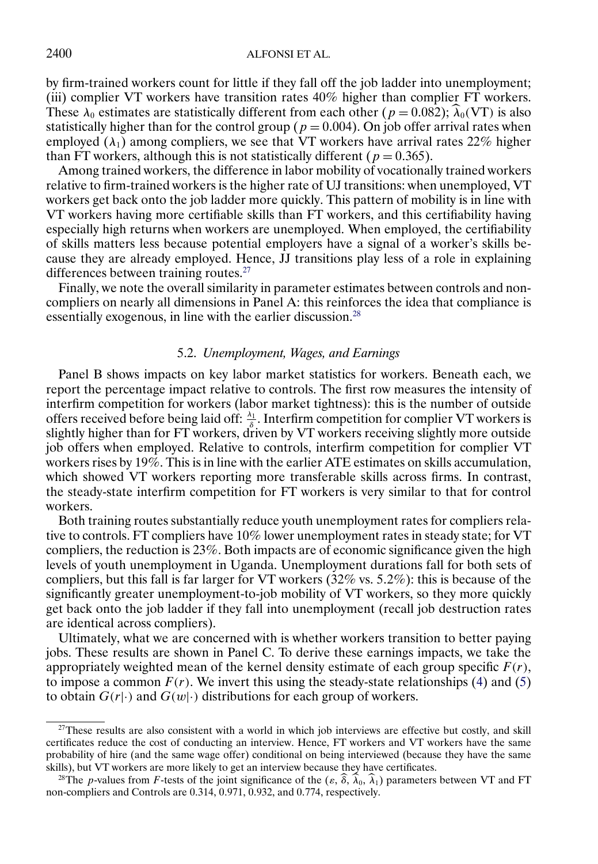by firm-trained workers count for little if they fall off the job ladder into unemployment; (iii) complier VT workers have transition rates 40% higher than complier FT workers. These  $\lambda_0$  estimates are statistically different from each other  $(p = 0.082)$ ;  $\lambda_0$ (VT) is also statistically higher than for the control group ( $p = 0.004$ ). On job offer arrival rates when employed  $(\lambda_1)$  among compliers, we see that VT workers have arrival rates 22% higher than FT workers, although this is not statistically different ( $p = 0.365$ ).

Among trained workers, the difference in labor mobility of vocationally trained workers relative to firm-trained workers is the higher rate of UJ transitions: when unemployed, VT workers get back onto the job ladder more quickly. This pattern of mobility is in line with VT workers having more certifiable skills than FT workers, and this certifiability having especially high returns when workers are unemployed. When employed, the certifiability of skills matters less because potential employers have a signal of a worker's skills because they are already employed. Hence, JJ transitions play less of a role in explaining differences between training routes.<sup>27</sup>

Finally, we note the overall similarity in parameter estimates between controls and noncompliers on nearly all dimensions in Panel A: this reinforces the idea that compliance is essentially exogenous, in line with the earlier discussion.<sup>28</sup>

## 5.2. *Unemployment, Wages, and Earnings*

Panel B shows impacts on key labor market statistics for workers. Beneath each, we report the percentage impact relative to controls. The first row measures the intensity of interfirm competition for workers (labor market tightness): this is the number of outside offers received before being laid off:  $\frac{\lambda_1}{\delta}$ . Interfirm competition for complier VT workers is slightly higher than for FT workers, driven by VT workers receiving slightly more outside job offers when employed. Relative to controls, interfirm competition for complier VT workers rises by 19%. This is in line with the earlier ATE estimates on skills accumulation, which showed VT workers reporting more transferable skills across firms. In contrast, the steady-state interfirm competition for FT workers is very similar to that for control workers.

Both training routes substantially reduce youth unemployment rates for compliers relative to controls. FT compliers have 10% lower unemployment rates in steady state; for VT compliers, the reduction is 23%. Both impacts are of economic significance given the high levels of youth unemployment in Uganda. Unemployment durations fall for both sets of compliers, but this fall is far larger for VT workers (32% vs. 5-2%): this is because of the significantly greater unemployment-to-job mobility of VT workers, so they more quickly get back onto the job ladder if they fall into unemployment (recall job destruction rates are identical across compliers).

Ultimately, what we are concerned with is whether workers transition to better paying jobs. These results are shown in Panel C. To derive these earnings impacts, we take the appropriately weighted mean of the kernel density estimate of each group specific  $F(r)$ , to impose a common  $F(r)$ . We invert this using the steady-state relationships [\(4\)](#page-26-0) and [\(5\)](#page-26-0) to obtain  $G(r|\cdot)$  and  $G(w|\cdot)$  distributions for each group of workers.

<sup>&</sup>lt;sup>27</sup>These results are also consistent with a world in which job interviews are effective but costly, and skill certificates reduce the cost of conducting an interview. Hence, FT workers and VT workers have the same probability of hire (and the same wage offer) conditional on being interviewed (because they have the same skills), but VT workers are more likely to get an interview because they have certificates.

<sup>&</sup>lt;sup>28</sup>The *p*-values from *F*-tests of the joint significance of the  $(\varepsilon, \hat{\delta}, \hat{\lambda}_0, \hat{\lambda}_1)$  parameters between VT and FT non-compliers and Controls are 0.314, 0.971, 0.932, and 0.774, respectively.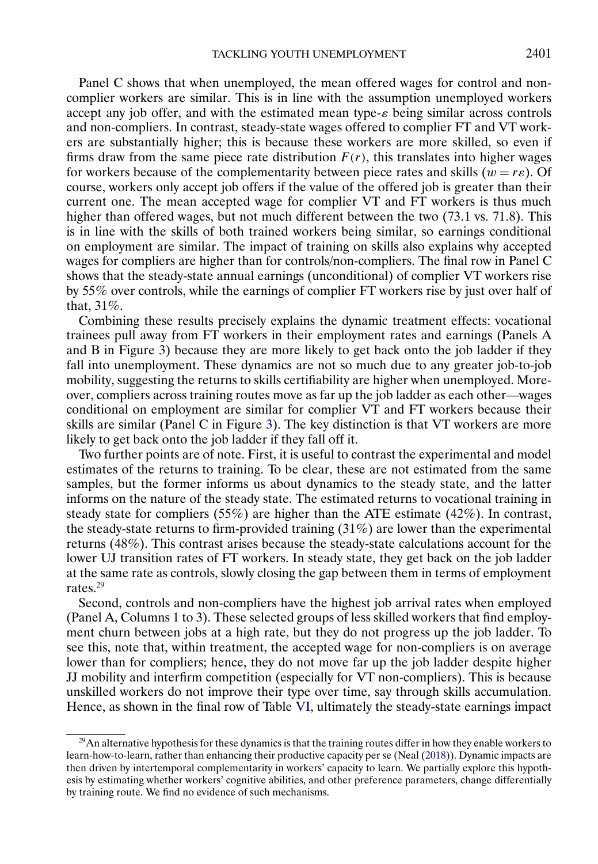<span id="page-32-0"></span>Panel C shows that when unemployed, the mean offered wages for control and noncomplier workers are similar. This is in line with the assumption unemployed workers accept any job offer, and with the estimated mean type-ε being similar across controls and non-compliers. In contrast, steady-state wages offered to complier FT and VT workers are substantially higher; this is because these workers are more skilled, so even if firms draw from the same piece rate distribution  $F(r)$ , this translates into higher wages for workers because of the complementarity between piece rates and skills  $(w = re)$ . Of course, workers only accept job offers if the value of the offered job is greater than their current one. The mean accepted wage for complier VT and FT workers is thus much higher than offered wages, but not much different between the two (73.1 vs. 71.8). This is in line with the skills of both trained workers being similar, so earnings conditional on employment are similar. The impact of training on skills also explains why accepted wages for compliers are higher than for controls/non-compliers. The final row in Panel C shows that the steady-state annual earnings (unconditional) of complier VT workers rise by 55% over controls, while the earnings of complier FT workers rise by just over half of that, 31%.

Combining these results precisely explains the dynamic treatment effects: vocational trainees pull away from FT workers in their employment rates and earnings (Panels A and B in Figure [3\)](#page-23-0) because they are more likely to get back onto the job ladder if they fall into unemployment. These dynamics are not so much due to any greater job-to-job mobility, suggesting the returns to skills certifiability are higher when unemployed. Moreover, compliers across training routes move as far up the job ladder as each other—wages conditional on employment are similar for complier VT and FT workers because their skills are similar (Panel C in Figure [3\)](#page-23-0). The key distinction is that VT workers are more likely to get back onto the job ladder if they fall off it.

Two further points are of note. First, it is useful to contrast the experimental and model estimates of the returns to training. To be clear, these are not estimated from the same samples, but the former informs us about dynamics to the steady state, and the latter informs on the nature of the steady state. The estimated returns to vocational training in steady state for compliers (55%) are higher than the ATE estimate (42%). In contrast, the steady-state returns to firm-provided training  $(31\%)$  are lower than the experimental returns (48%). This contrast arises because the steady-state calculations account for the lower UJ transition rates of FT workers. In steady state, they get back on the job ladder at the same rate as controls, slowly closing the gap between them in terms of employment rates.<sup>29</sup>

Second, controls and non-compliers have the highest job arrival rates when employed (Panel A, Columns 1 to 3). These selected groups of less skilled workers that find employment churn between jobs at a high rate, but they do not progress up the job ladder. To see this, note that, within treatment, the accepted wage for non-compliers is on average lower than for compliers; hence, they do not move far up the job ladder despite higher JJ mobility and interfirm competition (especially for VT non-compliers). This is because unskilled workers do not improve their type over time, say through skills accumulation. Hence, as shown in the final row of Table [VI,](#page-30-0) ultimately the steady-state earnings impact

 $29$ An alternative hypothesis for these dynamics is that the training routes differ in how they enable workers to learn-how-to-learn, rather than enhancing their productive capacity per se (Neal [\(2018\)](#page-45-0)). Dynamic impacts are then driven by intertemporal complementarity in workers' capacity to learn. We partially explore this hypothesis by estimating whether workers' cognitive abilities, and other preference parameters, change differentially by training route. We find no evidence of such mechanisms.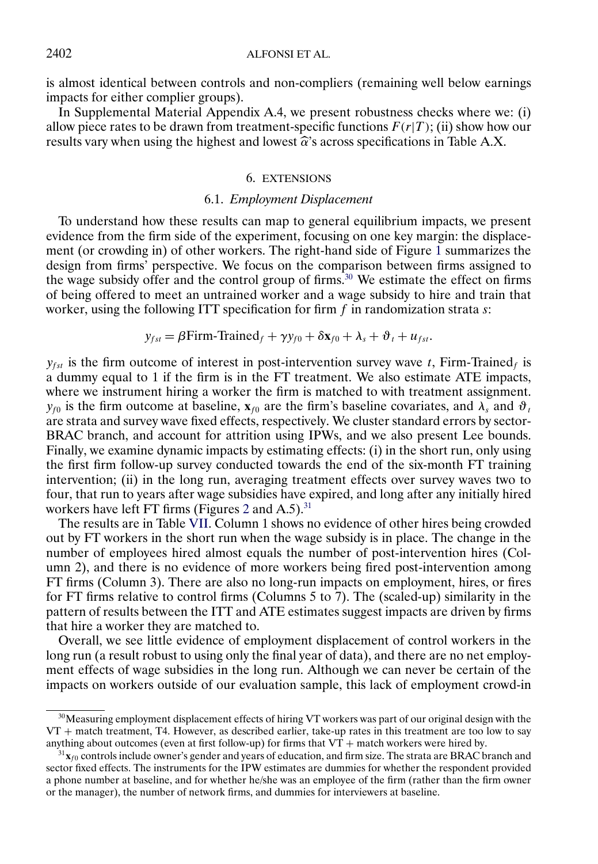<span id="page-33-0"></span>is almost identical between controls and non-compliers (remaining well below earnings impacts for either complier groups).

In Supplemental Material Appendix A.4, we present robustness checks where we: (i) allow piece rates to be drawn from treatment-specific functions  $F(r|T)$ ; (ii) show how our results vary when using the highest and lowest  $\hat{\alpha}$ 's across specifications in Table A.X.

## 6. EXTENSIONS

## 6.1. *Employment Displacement*

To understand how these results can map to general equilibrium impacts, we present evidence from the firm side of the experiment, focusing on one key margin: the displacement (or crowding in) of other workers. The right-hand side of Figure [1](#page-8-0) summarizes the design from firms' perspective. We focus on the comparison between firms assigned to the wage subsidy offer and the control group of firms.<sup>30</sup> We estimate the effect on firms of being offered to meet an untrained worker and a wage subsidy to hire and train that worker, using the following ITT specification for firm  $f$  in randomization strata  $s$ :

$$
y_{fst} = \beta \text{Firm-Triangle}_f + \gamma y_{f0} + \delta x_{f0} + \lambda_s + \vartheta_t + u_{fst}.
$$

 $y_{fst}$  is the firm outcome of interest in post-intervention survey wave t, Firm-Trained<sub>f</sub> is a dummy equal to 1 if the firm is in the FT treatment. We also estimate ATE impacts, where we instrument hiring a worker the firm is matched to with treatment assignment.  $y_{f0}$  is the firm outcome at baseline,  $\mathbf{x}_{f0}$  are the firm's baseline covariates, and  $\lambda_s$  and  $\vartheta_t$ are strata and survey wave fixed effects, respectively. We cluster standard errors by sector-BRAC branch, and account for attrition using IPWs, and we also present Lee bounds. Finally, we examine dynamic impacts by estimating effects: (i) in the short run, only using the first firm follow-up survey conducted towards the end of the six-month FT training intervention; (ii) in the long run, averaging treatment effects over survey waves two to four, that run to years after wage subsidies have expired, and long after any initially hired workers have left FT firms (Figures [2](#page-10-0) and  $A.5$ ).<sup>31</sup>

The results are in Table [VII.](#page-34-0) Column 1 shows no evidence of other hires being crowded out by FT workers in the short run when the wage subsidy is in place. The change in the number of employees hired almost equals the number of post-intervention hires (Column 2), and there is no evidence of more workers being fired post-intervention among FT firms (Column 3). There are also no long-run impacts on employment, hires, or fires for FT firms relative to control firms (Columns 5 to 7). The (scaled-up) similarity in the pattern of results between the ITT and ATE estimates suggest impacts are driven by firms that hire a worker they are matched to.

Overall, we see little evidence of employment displacement of control workers in the long run (a result robust to using only the final year of data), and there are no net employment effects of wage subsidies in the long run. Although we can never be certain of the impacts on workers outside of our evaluation sample, this lack of employment crowd-in

<sup>&</sup>lt;sup>30</sup>Measuring employment displacement effects of hiring VT workers was part of our original design with the VT + match treatment, T4. However, as described earlier, take-up rates in this treatment are too low to say anything about outcomes (even at first follow-up) for firms that  $VT +$  match workers were hired by.

 $31x_{f0}$  controls include owner's gender and years of education, and firm size. The strata are BRAC branch and sector fixed effects. The instruments for the IPW estimates are dummies for whether the respondent provided a phone number at baseline, and for whether he/she was an employee of the firm (rather than the firm owner or the manager), the number of network firms, and dummies for interviewers at baseline.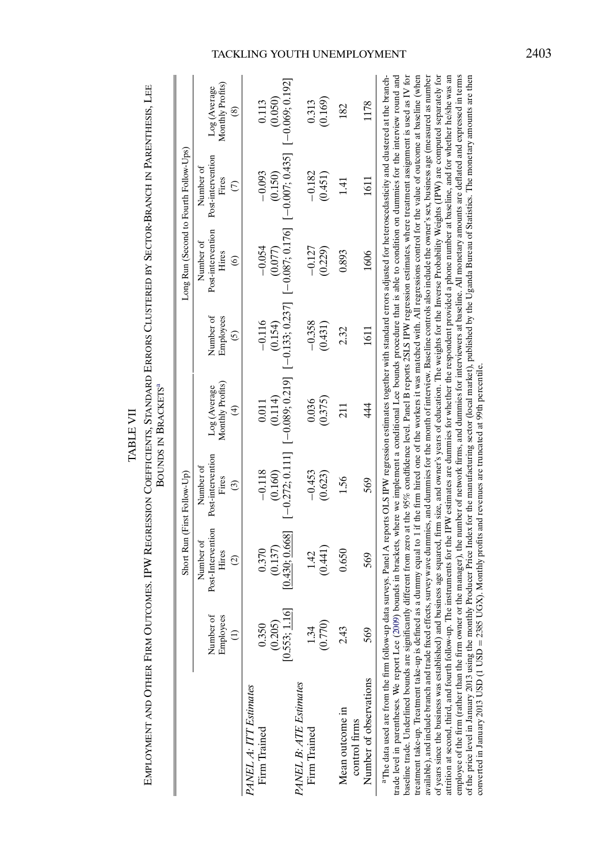| è |
|---|
|   |
| Ľ |
|   |
| ā |
|   |
|   |
| É |
|   |

<span id="page-34-0"></span>Employment and Other Firm Outcomes. IPW Regression Coefficients, Standard Errors Clustered by Sector-Branch in Parenthesis, Lee EMPLOYMENT AND OTHER FIRM OUTCOMES. IPW REGRESSION COEFFICIENTS, STANDARD ERRORS CLUSTERED BY SECTOR-BRANCH IN PARENTHESIS, LEE  $S^a$ 

| Ì |
|---|
|   |
|   |
|   |
|   |
|   |
|   |
| ć |
|   |
|   |
|   |
|   |

|                                                                                                                                                                                                                                                                                                                                                                                                                                                                                                                                                                                                                                                                                                                                                                                                                                                                                                                                                                                                                                                                                                                                                                                                                                                                           |                               |                                                          | Short Run (First Follow-Up)                        |                                                   |                                                   |                                                              | Long Run (Second to Fourth Follow-Ups)                                                                                                                |                                                 |
|---------------------------------------------------------------------------------------------------------------------------------------------------------------------------------------------------------------------------------------------------------------------------------------------------------------------------------------------------------------------------------------------------------------------------------------------------------------------------------------------------------------------------------------------------------------------------------------------------------------------------------------------------------------------------------------------------------------------------------------------------------------------------------------------------------------------------------------------------------------------------------------------------------------------------------------------------------------------------------------------------------------------------------------------------------------------------------------------------------------------------------------------------------------------------------------------------------------------------------------------------------------------------|-------------------------------|----------------------------------------------------------|----------------------------------------------------|---------------------------------------------------|---------------------------------------------------|--------------------------------------------------------------|-------------------------------------------------------------------------------------------------------------------------------------------------------|-------------------------------------------------|
|                                                                                                                                                                                                                                                                                                                                                                                                                                                                                                                                                                                                                                                                                                                                                                                                                                                                                                                                                                                                                                                                                                                                                                                                                                                                           | Number of<br>Employees        | Post-Intervention<br>Number of<br>Hires<br>$\widehat{c}$ | Post-intervention<br>Number of<br>Fires<br>$\odot$ | Monthly Profits)<br>Log (Average<br>$\widehat{E}$ | Number of<br>Employees<br>$\widehat{\mathcal{O}}$ | Post-intervention<br>Number of<br>Hires<br>$\widehat{\circ}$ | Post-intervention<br>Number of<br>Fires<br>$\widehat{C}$                                                                                              | Monthly Profits)<br>Log (Average<br>$\circledS$ |
| PANEL A: ITT Estimates<br>Firm Trained                                                                                                                                                                                                                                                                                                                                                                                                                                                                                                                                                                                                                                                                                                                                                                                                                                                                                                                                                                                                                                                                                                                                                                                                                                    | 0.350<br>(0.205<br>[0.553; 1] | 0.430;0.668]<br>(0.137)<br>0.370                         | $[-0.272; 0.111]$<br>$-0.118$<br>(0.160)           | $-0.089; 0.219$<br>(0.114)<br>0.011               | $[-0.133; 0.237]$<br>$-0.116$<br>(0.154)          | $[-0.087; 0.176]$<br>$-0.054$<br>(0.077)                     | $[-0.007; 0.435]$<br>$-0.093$<br>(0.150)                                                                                                              | $[-0.069; 0.192]$<br>(0.050)<br>0.113           |
| PANEL B: ATE Estimates<br>Firm Trained                                                                                                                                                                                                                                                                                                                                                                                                                                                                                                                                                                                                                                                                                                                                                                                                                                                                                                                                                                                                                                                                                                                                                                                                                                    | (0.770)<br>1.34               | (0.441)<br>1.42                                          | $-0.453$<br>(0.623)                                | (0.375)<br>0.036                                  | $-0.358$<br>(0.431)                               | $-0.127$<br>(0.229)                                          | $-0.182$<br>(0.451)                                                                                                                                   | (0.169)<br>0.313                                |
| Number of observations<br>Mean outcome in<br>control firms                                                                                                                                                                                                                                                                                                                                                                                                                                                                                                                                                                                                                                                                                                                                                                                                                                                                                                                                                                                                                                                                                                                                                                                                                | 2.43<br>569                   | 0.650<br>569                                             | 1.56<br>569                                        | 44<br>211                                         | 2.32<br>1611                                      | 0.893<br>1606                                                | 1611<br>$\overline{14}$                                                                                                                               | 1178<br>182                                     |
| available), and include branch and trade fixed effects, survey wave dummies, and dummies for the month of interview. Baseline controls also include the owner's sex, business age (measured as number<br>baseline trade. Underlined bounds are significantly different from zero at the 95% condidence level. Panel B reports 2SLS IPW regression estimates, where treatment assignment is used as IV for<br>treatment take-up. Treatment take-up is defined as a dummy equal to 1 if the firm hired one of the workers it was matched with. All regressions control for the value of outcome at baseline (when<br>of years since the business was established) and business age squared, firm size, and owner's years of education. The weights for the Inverse Probability Weights (IPW) are computed separately for<br>trade level in parentheses. We report Lee (2009) bounds in brackets, where we implement a conditional Lee bounds procedure that is able to condition on dummies for the interview round and<br>attrition at second, third, and fourth follow-up. The instruments for the IPW estimates are dummies for whether the respondent provided a phone number at baseline, and for whether he/she was an<br>a The data used are from the firm follow-up |                               |                                                          |                                                    |                                                   |                                                   |                                                              | data surveys. Panel A reports OLS IPW regression estimates together with standard errors adjusted for heteroscedasticity and clustered at the branch- |                                                 |

attrition at second, third, and fourth follow-up. The instruments for the IPW estimates are dummies for whether the respondent provided a phone number at baseline, and for whether he/she was an employee of the firm (rather than the firm owner or the manager), the number of network firms, and dummies for interviewers at baseline. All monetary amounts are deflated and expressed in terms of the price level in January 2013 using the monthly Producer Price Index for the manufacturing sector (local market), published by the Uganda Bureau of Statistics. The monetary amounts are then

employee of the firm (rather than the firm owner or the manager), the number of network firms, and dummies for interviewers at baseline. All monetary amounts are deflated and expressed in terms<br>of the price level in Januar

converted in January 2013 USD (1 USD = 2385 UGX). Monthly profits and revenues are truncated at 99th percentile.

## TACKLING YOUTH UNEMPLOYMENT 2403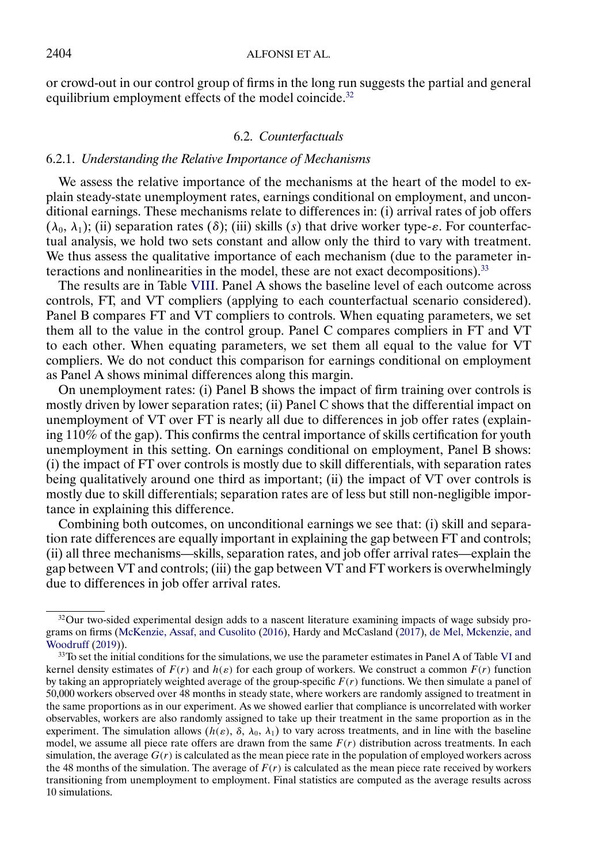<span id="page-35-0"></span>or crowd-out in our control group of firms in the long run suggests the partial and general equilibrium employment effects of the model coincide.<sup>32</sup>

## 6.2. *Counterfactuals*

## 6.2.1. *Understanding the Relative Importance of Mechanisms*

We assess the relative importance of the mechanisms at the heart of the model to explain steady-state unemployment rates, earnings conditional on employment, and unconditional earnings. These mechanisms relate to differences in: (i) arrival rates of job offers  $(\lambda_0, \lambda_1)$ ; (ii) separation rates (δ); (iii) skills (s) that drive worker type- $\varepsilon$ . For counterfactual analysis, we hold two sets constant and allow only the third to vary with treatment. We thus assess the qualitative importance of each mechanism (due to the parameter interactions and nonlinearities in the model, these are not exact decompositions).33

The results are in Table [VIII.](#page-36-0) Panel A shows the baseline level of each outcome across controls, FT, and VT compliers (applying to each counterfactual scenario considered). Panel B compares FT and VT compliers to controls. When equating parameters, we set them all to the value in the control group. Panel C compares compliers in FT and VT to each other. When equating parameters, we set them all equal to the value for VT compliers. We do not conduct this comparison for earnings conditional on employment as Panel A shows minimal differences along this margin.

On unemployment rates: (i) Panel B shows the impact of firm training over controls is mostly driven by lower separation rates; (ii) Panel C shows that the differential impact on unemployment of VT over FT is nearly all due to differences in job offer rates (explaining 110% of the gap). This confirms the central importance of skills certification for youth unemployment in this setting. On earnings conditional on employment, Panel B shows: (i) the impact of FT over controls is mostly due to skill differentials, with separation rates being qualitatively around one third as important; (ii) the impact of VT over controls is mostly due to skill differentials; separation rates are of less but still non-negligible importance in explaining this difference.

Combining both outcomes, on unconditional earnings we see that: (i) skill and separation rate differences are equally important in explaining the gap between FT and controls; (ii) all three mechanisms—skills, separation rates, and job offer arrival rates—explain the gap between VT and controls; (iii) the gap between VT and FT workers is overwhelmingly due to differences in job offer arrival rates.

 $32$ Our two-sided experimental design adds to a nascent literature examining impacts of wage subsidy programs on firms [\(McKenzie, Assaf, and Cusolito](#page-45-0) [\(2016\)](#page-45-0), Hardy and McCasland [\(2017\)](#page-45-0), [de Mel, Mckenzie, and](#page-44-0) [Woodruff](#page-44-0) [\(2019\)](#page-44-0)).

<sup>33</sup>To set the initial conditions for the simulations, we use the parameter estimates in Panel A of Table [VI](#page-30-0) and kernel density estimates of  $F(r)$  and  $h(\varepsilon)$  for each group of workers. We construct a common  $F(r)$  function by taking an appropriately weighted average of the group-specific  $F(r)$  functions. We then simulate a panel of 50,000 workers observed over 48 months in steady state, where workers are randomly assigned to treatment in the same proportions as in our experiment. As we showed earlier that compliance is uncorrelated with worker observables, workers are also randomly assigned to take up their treatment in the same proportion as in the experiment. The simulation allows  $(h(\varepsilon), \delta, \lambda_0, \lambda_1)$  to vary across treatments, and in line with the baseline model, we assume all piece rate offers are drawn from the same  $F(r)$  distribution across treatments. In each simulation, the average  $G(r)$  is calculated as the mean piece rate in the population of employed workers across the 48 months of the simulation. The average of  $F(r)$  is calculated as the mean piece rate received by workers transitioning from unemployment to employment. Final statistics are computed as the average results across 10 simulations.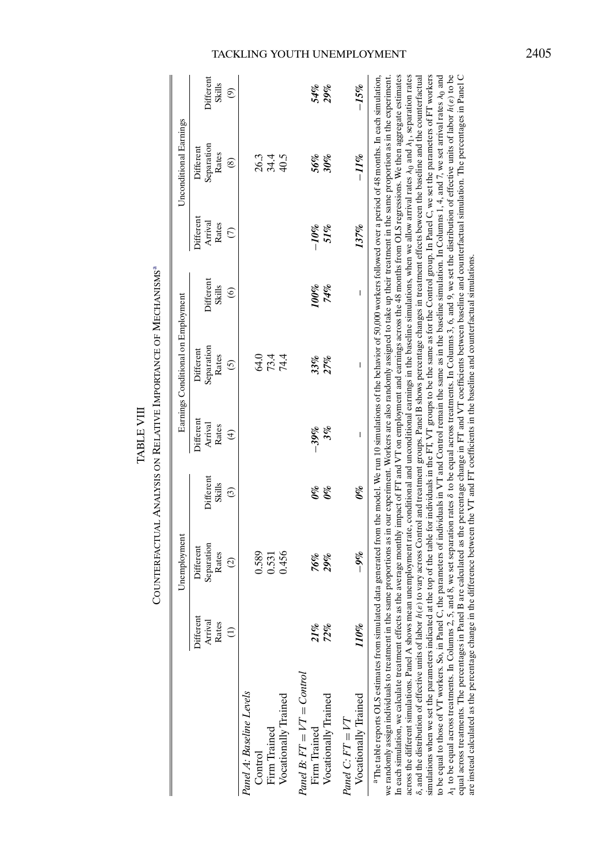<span id="page-36-0"></span>

|                                                                                                                                                                                                                                                                                                                                                                                                                                                                                                                                                                                                                                                                                                                                                                                                                                                                                                                                                                                                                                                                                                                                                                                                                                                                                                                                                                                                                                                                                                                                                                                                                                                         |                               | Counterfactual Analysis on Relative Importance of Mechanisms®                                                                                                                                                                                                                                                                                                                                                                       |                                |                                                |                                             |                                                 |                                                |                                       |                                             |
|---------------------------------------------------------------------------------------------------------------------------------------------------------------------------------------------------------------------------------------------------------------------------------------------------------------------------------------------------------------------------------------------------------------------------------------------------------------------------------------------------------------------------------------------------------------------------------------------------------------------------------------------------------------------------------------------------------------------------------------------------------------------------------------------------------------------------------------------------------------------------------------------------------------------------------------------------------------------------------------------------------------------------------------------------------------------------------------------------------------------------------------------------------------------------------------------------------------------------------------------------------------------------------------------------------------------------------------------------------------------------------------------------------------------------------------------------------------------------------------------------------------------------------------------------------------------------------------------------------------------------------------------------------|-------------------------------|-------------------------------------------------------------------------------------------------------------------------------------------------------------------------------------------------------------------------------------------------------------------------------------------------------------------------------------------------------------------------------------------------------------------------------------|--------------------------------|------------------------------------------------|---------------------------------------------|-------------------------------------------------|------------------------------------------------|---------------------------------------|---------------------------------------------|
|                                                                                                                                                                                                                                                                                                                                                                                                                                                                                                                                                                                                                                                                                                                                                                                                                                                                                                                                                                                                                                                                                                                                                                                                                                                                                                                                                                                                                                                                                                                                                                                                                                                         |                               | Unemployment                                                                                                                                                                                                                                                                                                                                                                                                                        |                                |                                                | Earnings Conditional on Employment          |                                                 |                                                | Unconditional Earnings                |                                             |
|                                                                                                                                                                                                                                                                                                                                                                                                                                                                                                                                                                                                                                                                                                                                                                                                                                                                                                                                                                                                                                                                                                                                                                                                                                                                                                                                                                                                                                                                                                                                                                                                                                                         | Different<br>Arrival<br>Rates | Separation<br>Different<br>Rates<br>$\widehat{c}$                                                                                                                                                                                                                                                                                                                                                                                   | Different<br>Skills<br>$\odot$ | Different<br>Arrival<br>Rates<br>$\widehat{f}$ | Separation<br>Different<br>Rates<br>$\odot$ | Different<br><b>Skills</b><br>$\widehat{\circ}$ | Different<br>Arrival<br>Rates<br>$\widehat{C}$ | Separation<br>Different<br>Rates<br>⊛ | Different<br><b>Skills</b><br>$\widehat{e}$ |
| Panel A: Baseline Levels<br>Vocationally Trained<br>Firm Trained<br>Control                                                                                                                                                                                                                                                                                                                                                                                                                                                                                                                                                                                                                                                                                                                                                                                                                                                                                                                                                                                                                                                                                                                                                                                                                                                                                                                                                                                                                                                                                                                                                                             |                               | 0.589<br>0.456<br>0.531                                                                                                                                                                                                                                                                                                                                                                                                             |                                |                                                | 9 द द<br>अ<br>१ द द                         |                                                 |                                                | 34.4<br>40.5<br>26.3                  |                                             |
| $Pand B: FT = VT = Control$<br>Vocationally Trained<br>Firm Trained                                                                                                                                                                                                                                                                                                                                                                                                                                                                                                                                                                                                                                                                                                                                                                                                                                                                                                                                                                                                                                                                                                                                                                                                                                                                                                                                                                                                                                                                                                                                                                                     | 21%<br>72%                    | 76%<br>29%                                                                                                                                                                                                                                                                                                                                                                                                                          | $\theta\%$<br>$\theta\%$       | 3%<br>$-39\%$                                  | 33%<br>27%                                  | $100\%$<br>74%                                  | $-10\%$<br>51%                                 | 56%<br>30%                            | 54%<br>29%                                  |
| Vocationally Trained<br>$Pand C: FT = VT$                                                                                                                                                                                                                                                                                                                                                                                                                                                                                                                                                                                                                                                                                                                                                                                                                                                                                                                                                                                                                                                                                                                                                                                                                                                                                                                                                                                                                                                                                                                                                                                                               | 110%                          | $-9\%$                                                                                                                                                                                                                                                                                                                                                                                                                              | $\theta\%$                     | $\mathsf I$                                    | $\overline{\phantom{a}}$                    | $\overline{\phantom{a}}$                        | 137%                                           | $-11\%$                               | $-15\%$                                     |
| equal across treatments. The percentages in Panel B are calculated as the percentage change in FT and VT coefficients between baseline and counterfactual simulation. The percentages in Panel C<br><sup>a</sup> The table reports OLS estimates from simulated data generated from the model. We run 10 simulations of the behavior of 50,000 workers followed over a period of 48 months. In each simulation,<br>In each simulation, we calculate treatment effects as the average monthly impact of FT and VT on employment and earnings across the 48 months from OLS regressions. We then aggregate estimates<br>across the different simulations. Panel A shows mean unemployment rate, conditional and unconditional earnings in the baseline simulations, when we allow arrival rates $\lambda_0$ and $\lambda_1$ , separation rates<br>simulations when we set the parameters indicated at the top of the table for individuals in the FT, VT groups to be the same as for the Control group. In Panel C, we set the parameters of FT workers<br>to be equal to those of VT workers. So, in Panel C, the parameters of individuals in VT and Control remain the same as in the baseline simulation. In Columns 1, 4, and 7, we set arrival rates $\lambda_0$ and<br>we randomly assign individuals to treatment in the same proportions as in our experiment. Workers are also randomly assigned to take up their treatment in the same proportion as in the experiment.<br>8, and the distribution of effective units of labor<br>$\lambda_1$ to be equal across treatments. In Columns 2,<br>are instead calculated as the percentage change |                               | 5, and 8, we set separation rates 8 to be equal across treatments. In Columns 3, 6, and 9, we set the distribution of effective units of labor $h(\varepsilon)$ to be<br>h(e) to vary across Control and treatment groups. Panel B shows percentage changes in treatment effects beween the baseline and the counterfactual<br>in the difference between the VT and FT coefficients in the baseline and counterfactual simulations. |                                |                                                |                                             |                                                 |                                                |                                       |                                             |

# $\label{eq:tausim} \texttt{TABLE VIII}$ TABLE VIII

# TACKLING YOUTH UNEMPLOYMENT 2405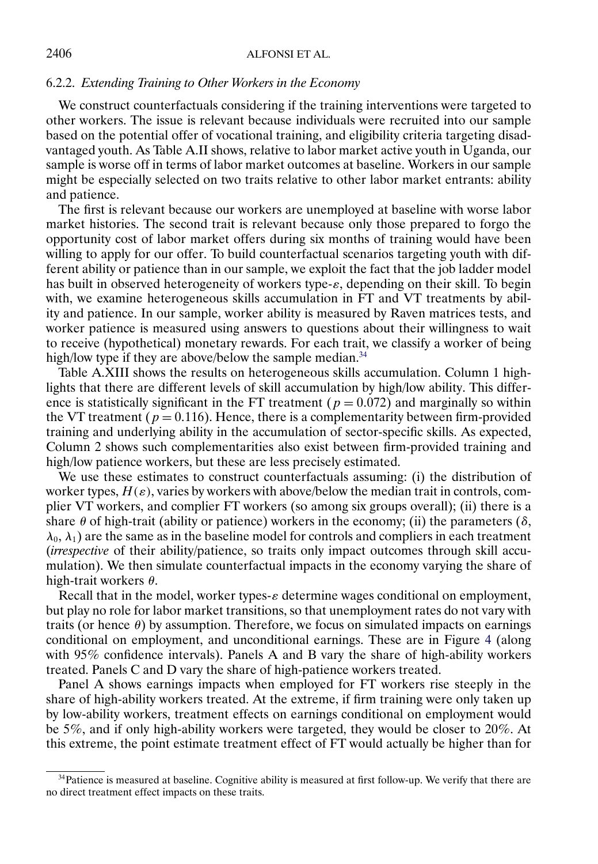## 6.2.2. *Extending Training to Other Workers in the Economy*

We construct counterfactuals considering if the training interventions were targeted to other workers. The issue is relevant because individuals were recruited into our sample based on the potential offer of vocational training, and eligibility criteria targeting disadvantaged youth. As Table A.II shows, relative to labor market active youth in Uganda, our sample is worse off in terms of labor market outcomes at baseline. Workers in our sample might be especially selected on two traits relative to other labor market entrants: ability and patience.

The first is relevant because our workers are unemployed at baseline with worse labor market histories. The second trait is relevant because only those prepared to forgo the opportunity cost of labor market offers during six months of training would have been willing to apply for our offer. To build counterfactual scenarios targeting youth with different ability or patience than in our sample, we exploit the fact that the job ladder model has built in observed heterogeneity of workers type- $\varepsilon$ , depending on their skill. To begin with, we examine heterogeneous skills accumulation in FT and VT treatments by ability and patience. In our sample, worker ability is measured by Raven matrices tests, and worker patience is measured using answers to questions about their willingness to wait to receive (hypothetical) monetary rewards. For each trait, we classify a worker of being high/low type if they are above/below the sample median.<sup>34</sup>

Table A.XIII shows the results on heterogeneous skills accumulation. Column 1 highlights that there are different levels of skill accumulation by high/low ability. This difference is statistically significant in the FT treatment ( $p = 0.072$ ) and marginally so within the VT treatment ( $p = 0.116$ ). Hence, there is a complementarity between firm-provided training and underlying ability in the accumulation of sector-specific skills. As expected, Column 2 shows such complementarities also exist between firm-provided training and high/low patience workers, but these are less precisely estimated.

We use these estimates to construct counterfactuals assuming: (i) the distribution of worker types,  $H(\varepsilon)$ , varies by workers with above/below the median trait in controls, complier VT workers, and complier FT workers (so among six groups overall); (ii) there is a share  $\theta$  of high-trait (ability or patience) workers in the economy; (ii) the parameters ( $\delta$ ,  $\lambda_0$ ,  $\lambda_1$ ) are the same as in the baseline model for controls and compliers in each treatment (*irrespective* of their ability/patience, so traits only impact outcomes through skill accumulation). We then simulate counterfactual impacts in the economy varying the share of high-trait workers θ.

Recall that in the model, worker types- $\varepsilon$  determine wages conditional on employment, but play no role for labor market transitions, so that unemployment rates do not vary with traits (or hence  $\theta$ ) by assumption. Therefore, we focus on simulated impacts on earnings conditional on employment, and unconditional earnings. These are in Figure [4](#page-38-0) (along with 95% confidence intervals). Panels A and B vary the share of high-ability workers treated. Panels C and D vary the share of high-patience workers treated.

Panel A shows earnings impacts when employed for FT workers rise steeply in the share of high-ability workers treated. At the extreme, if firm training were only taken up by low-ability workers, treatment effects on earnings conditional on employment would be 5%, and if only high-ability workers were targeted, they would be closer to 20%. At this extreme, the point estimate treatment effect of FT would actually be higher than for

<sup>34</sup>Patience is measured at baseline. Cognitive ability is measured at first follow-up. We verify that there are no direct treatment effect impacts on these traits.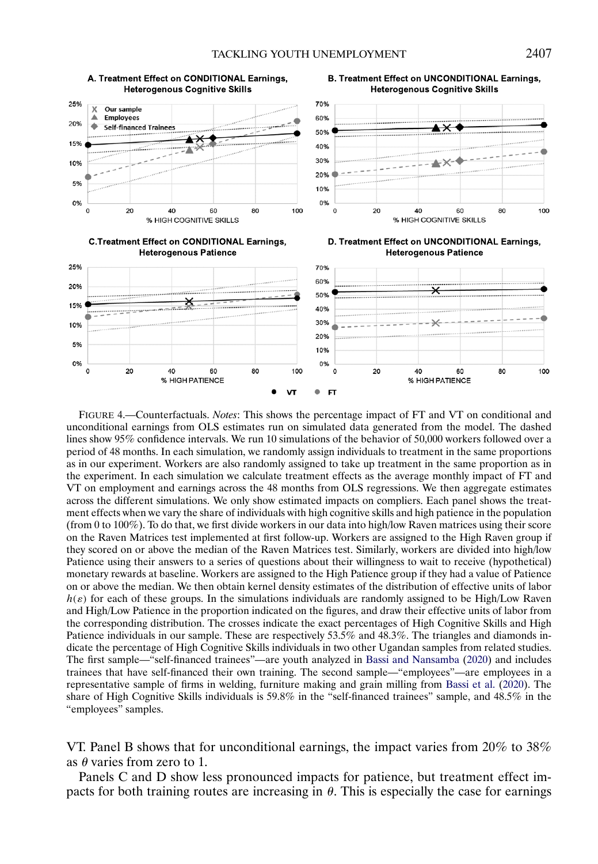<span id="page-38-0"></span>

FIGURE 4.—Counterfactuals. *Notes*: This shows the percentage impact of FT and VT on conditional and unconditional earnings from OLS estimates run on simulated data generated from the model. The dashed lines show 95% confidence intervals. We run 10 simulations of the behavior of 50,000 workers followed over a period of 48 months. In each simulation, we randomly assign individuals to treatment in the same proportions as in our experiment. Workers are also randomly assigned to take up treatment in the same proportion as in the experiment. In each simulation we calculate treatment effects as the average monthly impact of FT and VT on employment and earnings across the 48 months from OLS regressions. We then aggregate estimates across the different simulations. We only show estimated impacts on compliers. Each panel shows the treatment effects when we vary the share of individuals with high cognitive skills and high patience in the population (from 0 to 100%). To do that, we first divide workers in our data into high/low Raven matrices using their score on the Raven Matrices test implemented at first follow-up. Workers are assigned to the High Raven group if they scored on or above the median of the Raven Matrices test. Similarly, workers are divided into high/low Patience using their answers to a series of questions about their willingness to wait to receive (hypothetical) monetary rewards at baseline. Workers are assigned to the High Patience group if they had a value of Patience on or above the median. We then obtain kernel density estimates of the distribution of effective units of labor  $h(\varepsilon)$  for each of these groups. In the simulations individuals are randomly assigned to be High/Low Raven and High/Low Patience in the proportion indicated on the figures, and draw their effective units of labor from the corresponding distribution. The crosses indicate the exact percentages of High Cognitive Skills and High Patience individuals in our sample. These are respectively 53.5% and 48.3%. The triangles and diamonds indicate the percentage of High Cognitive Skills individuals in two other Ugandan samples from related studies. The first sample—"self-financed trainees"—are youth analyzed in [Bassi and Nansamba](#page-44-0) [\(2020\)](#page-44-0) and includes trainees that have self-financed their own training. The second sample—"employees"—are employees in a representative sample of firms in welding, furniture making and grain milling from [Bassi et al.](#page-44-0) [\(2020\)](#page-44-0). The share of High Cognitive Skills individuals is 59.8% in the "self-financed trainees" sample, and 48.5% in the "employees" samples.

VT. Panel B shows that for unconditional earnings, the impact varies from 20% to 38% as  $\theta$  varies from zero to 1.

Panels C and D show less pronounced impacts for patience, but treatment effect impacts for both training routes are increasing in  $\theta$ . This is especially the case for earnings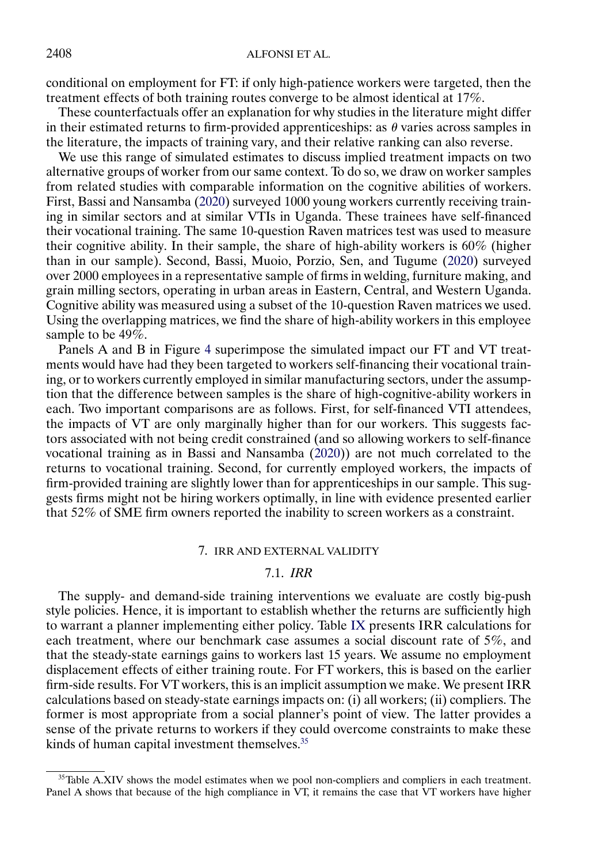<span id="page-39-0"></span>conditional on employment for FT: if only high-patience workers were targeted, then the treatment effects of both training routes converge to be almost identical at 17%.

These counterfactuals offer an explanation for why studies in the literature might differ in their estimated returns to firm-provided apprenticeships: as  $\theta$  varies across samples in the literature, the impacts of training vary, and their relative ranking can also reverse.

We use this range of simulated estimates to discuss implied treatment impacts on two alternative groups of worker from our same context. To do so, we draw on worker samples from related studies with comparable information on the cognitive abilities of workers. First, Bassi and Nansamba [\(2020\)](#page-44-0) surveyed 1000 young workers currently receiving training in similar sectors and at similar VTIs in Uganda. These trainees have self-financed their vocational training. The same 10-question Raven matrices test was used to measure their cognitive ability. In their sample, the share of high-ability workers is 60% (higher than in our sample). Second, Bassi, Muoio, Porzio, Sen, and Tugume [\(2020\)](#page-44-0) surveyed over 2000 employees in a representative sample of firms in welding, furniture making, and grain milling sectors, operating in urban areas in Eastern, Central, and Western Uganda. Cognitive ability was measured using a subset of the 10-question Raven matrices we used. Using the overlapping matrices, we find the share of high-ability workers in this employee sample to be 49\%.

Panels A and B in Figure [4](#page-38-0) superimpose the simulated impact our FT and VT treatments would have had they been targeted to workers self-financing their vocational training, or to workers currently employed in similar manufacturing sectors, under the assumption that the difference between samples is the share of high-cognitive-ability workers in each. Two important comparisons are as follows. First, for self-financed VTI attendees, the impacts of VT are only marginally higher than for our workers. This suggests factors associated with not being credit constrained (and so allowing workers to self-finance vocational training as in Bassi and Nansamba [\(2020\)](#page-44-0)) are not much correlated to the returns to vocational training. Second, for currently employed workers, the impacts of firm-provided training are slightly lower than for apprenticeships in our sample. This suggests firms might not be hiring workers optimally, in line with evidence presented earlier that 52% of SME firm owners reported the inability to screen workers as a constraint.

#### 7. IRR AND EXTERNAL VALIDITY

#### 7.1. *IRR*

The supply- and demand-side training interventions we evaluate are costly big-push style policies. Hence, it is important to establish whether the returns are sufficiently high to warrant a planner implementing either policy. Table [IX](#page-40-0) presents IRR calculations for each treatment, where our benchmark case assumes a social discount rate of 5%, and that the steady-state earnings gains to workers last 15 years. We assume no employment displacement effects of either training route. For FT workers, this is based on the earlier firm-side results. For VT workers, this is an implicit assumption we make. We present IRR calculations based on steady-state earnings impacts on: (i) all workers; (ii) compliers. The former is most appropriate from a social planner's point of view. The latter provides a sense of the private returns to workers if they could overcome constraints to make these kinds of human capital investment themselves.<sup>35</sup>

<sup>&</sup>lt;sup>35</sup>Table A.XIV shows the model estimates when we pool non-compliers and compliers in each treatment. Panel A shows that because of the high compliance in VT, it remains the case that VT workers have higher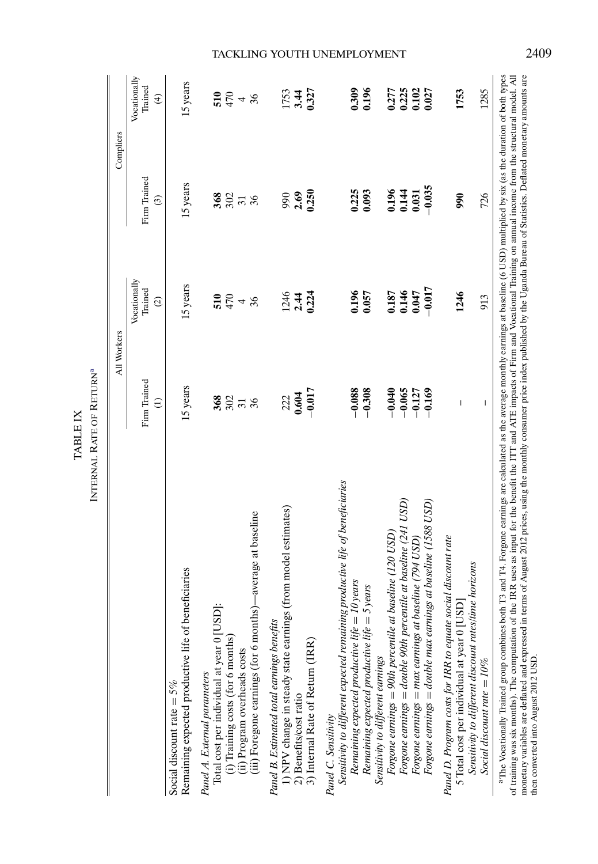<span id="page-40-0"></span>

|                                                                                                                                                                                                                                                                                                                                                                                                                                                                                                                                                                                                                                                             | All Workers                                             |                                              | Compliers                                               |                                                    |
|-------------------------------------------------------------------------------------------------------------------------------------------------------------------------------------------------------------------------------------------------------------------------------------------------------------------------------------------------------------------------------------------------------------------------------------------------------------------------------------------------------------------------------------------------------------------------------------------------------------------------------------------------------------|---------------------------------------------------------|----------------------------------------------|---------------------------------------------------------|----------------------------------------------------|
|                                                                                                                                                                                                                                                                                                                                                                                                                                                                                                                                                                                                                                                             | Firm Trained<br>$\widehat{\epsilon}$                    | Vocationally<br>Trained<br>$\widehat{c}$     | Firm Trained<br>$\widehat{c}$                           | Vocationally<br>Trained<br>$\widehat{\mathcal{F}}$ |
| Remaining expected productive life of beneficiaries<br>Social discount rate = $5\%$                                                                                                                                                                                                                                                                                                                                                                                                                                                                                                                                                                         | 15 years                                                | 15 years                                     | 15 years                                                | 15 years                                           |
| (iii) Foregone earnings (for 6 months)—average at baseline<br>Total cost per individual at year 0 [USD]:<br>(i) Training costs (for 6 months)<br>(ii) Program overheads costs<br>Panel A. External parameters                                                                                                                                                                                                                                                                                                                                                                                                                                               | $\frac{2}{3}$ $\frac{2}{3}$ $\frac{1}{3}$ $\frac{2}{3}$ | $\frac{1}{25}$ $\frac{1}{25}$ $\frac{1}{25}$ | $\frac{2}{3}$ $\frac{2}{3}$ $\frac{1}{3}$ $\frac{2}{3}$ | $364 + 36$                                         |
| 1) NPV change in steady state earnings (from model estimates)<br>Panel B. Estimated total earnings benefits<br>3) Internal Rate of Return (IRR)<br>2) Benefits/cost ratio                                                                                                                                                                                                                                                                                                                                                                                                                                                                                   | $\frac{222}{0.604}$                                     | $\frac{24}{124}$                             | 990<br>2.69<br>0.250                                    | 1753<br>3.44<br>0.327                              |
| Sensitivity to different expected remaining productive life of beneficiaries<br>Remaining expected productive life = 10 years<br>5 years<br>Remaining expected productive life $=$<br>Panel C. Sensitivity                                                                                                                                                                                                                                                                                                                                                                                                                                                  | $-0.308$<br>$-0.088$                                    | 0.196<br>0.057                               | 0.225                                                   | 0.309<br>0.196                                     |
| Forgone earnings = double 90th percentile at baseline (241 USD)<br>Forgone earnings = double max earnings at baseline (1588 USD)<br>Forgone earnings = 90th percentile at baseline (120 $\text{USD}$ )<br>Forgone earnings = $max$ earnings at baseline (794 $USD$ )<br>Sensitivity to different earnings                                                                                                                                                                                                                                                                                                                                                   | $-0.065$<br>$-0.040$<br>$-0.127$<br>$-0.169$            | $-0.017$<br>0.146<br>0.047<br>0.187          | $-0.035$<br>0.196<br>0.144                              | 0.225<br>0.102<br>0.027<br>0.277                   |
| Panel D. Program costs for IRR to equate social discount rate<br>Sensitivity to different discount rates/time horizons<br>5 Total cost per individual at year 0 [USD]<br>Social discount rate = $10\%$                                                                                                                                                                                                                                                                                                                                                                                                                                                      | $\overline{1}$<br>$\begin{array}{c} \hline \end{array}$ | 1246<br>913                                  | 726<br>90                                               | 1285<br>1753                                       |
| <sup>a</sup> The Vocationally Trained group combines both T3 and T4. Forgone earnings are calculated as the average monthly earnings at baseline (6 USD) multiplied by six (as the duration of both types<br>terms of August 2012 prices, using the monthly consumer price index published by the Uganda Bureau of Statistics. Deflated monetary amounts are<br>the IRR uses as input for the benefit the ITT and ATE impacts of Firm and Vocational Training on annual income from the structural model. All<br>of training was six months). The computation of<br>monetary variables are deflated and expressed in<br>then converted into August 2012 USD |                                                         |                                              |                                                         |                                                    |

INTERNAL RATE OF RETURN<sup>ª</sup> INTERNAL RATE OF RETURNa TABLE IX TABLE IX

# TACKLING YOUTH UNEMPLOYMENT 2409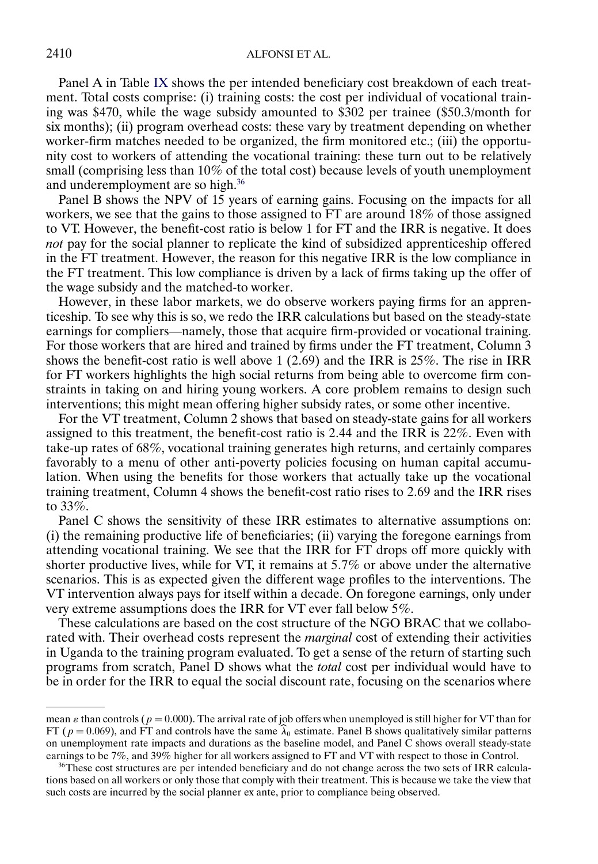Panel A in Table [IX](#page-40-0) shows the per intended beneficiary cost breakdown of each treatment. Total costs comprise: (i) training costs: the cost per individual of vocational training was \$470, while the wage subsidy amounted to \$302 per trainee (\$50-3/month for six months); (ii) program overhead costs: these vary by treatment depending on whether worker-firm matches needed to be organized, the firm monitored etc.; (iii) the opportunity cost to workers of attending the vocational training: these turn out to be relatively small (comprising less than 10% of the total cost) because levels of youth unemployment and underemployment are so high.36

Panel B shows the NPV of 15 years of earning gains. Focusing on the impacts for all workers, we see that the gains to those assigned to FT are around 18% of those assigned to VT. However, the benefit-cost ratio is below 1 for FT and the IRR is negative. It does *not* pay for the social planner to replicate the kind of subsidized apprenticeship offered in the FT treatment. However, the reason for this negative IRR is the low compliance in the FT treatment. This low compliance is driven by a lack of firms taking up the offer of the wage subsidy and the matched-to worker.

However, in these labor markets, we do observe workers paying firms for an apprenticeship. To see why this is so, we redo the IRR calculations but based on the steady-state earnings for compliers—namely, those that acquire firm-provided or vocational training. For those workers that are hired and trained by firms under the FT treatment, Column 3 shows the benefit-cost ratio is well above  $1(2.69)$  and the IRR is  $25\%$ . The rise in IRR for FT workers highlights the high social returns from being able to overcome firm constraints in taking on and hiring young workers. A core problem remains to design such interventions; this might mean offering higher subsidy rates, or some other incentive.

For the VT treatment, Column 2 shows that based on steady-state gains for all workers assigned to this treatment, the benefit-cost ratio is 2-44 and the IRR is 22%. Even with take-up rates of 68%, vocational training generates high returns, and certainly compares favorably to a menu of other anti-poverty policies focusing on human capital accumulation. When using the benefits for those workers that actually take up the vocational training treatment, Column 4 shows the benefit-cost ratio rises to 2-69 and the IRR rises to 33%.

Panel C shows the sensitivity of these IRR estimates to alternative assumptions on: (i) the remaining productive life of beneficiaries; (ii) varying the foregone earnings from attending vocational training. We see that the IRR for FT drops off more quickly with shorter productive lives, while for VT, it remains at 5-7% or above under the alternative scenarios. This is as expected given the different wage profiles to the interventions. The VT intervention always pays for itself within a decade. On foregone earnings, only under very extreme assumptions does the IRR for VT ever fall below 5%.

These calculations are based on the cost structure of the NGO BRAC that we collaborated with. Their overhead costs represent the *marginal* cost of extending their activities in Uganda to the training program evaluated. To get a sense of the return of starting such programs from scratch, Panel D shows what the *total* cost per individual would have to be in order for the IRR to equal the social discount rate, focusing on the scenarios where

mean  $\varepsilon$  than controls ( $p = 0.000$ ). The arrival rate of job offers when unemployed is still higher for VT than for FT ( $p = 0.069$ ), and FT and controls have the same  $\lambda_0$  estimate. Panel B shows qualitatively similar patterns on unemployment rate impacts and durations as the baseline model, and Panel C shows overall steady-state earnings to be 7%, and 39% higher for all workers assigned to FT and VT with respect to those in Control.

<sup>&</sup>lt;sup>36</sup>These cost structures are per intended beneficiary and do not change across the two sets of IRR calculations based on all workers or only those that comply with their treatment. This is because we take the view that such costs are incurred by the social planner ex ante, prior to compliance being observed.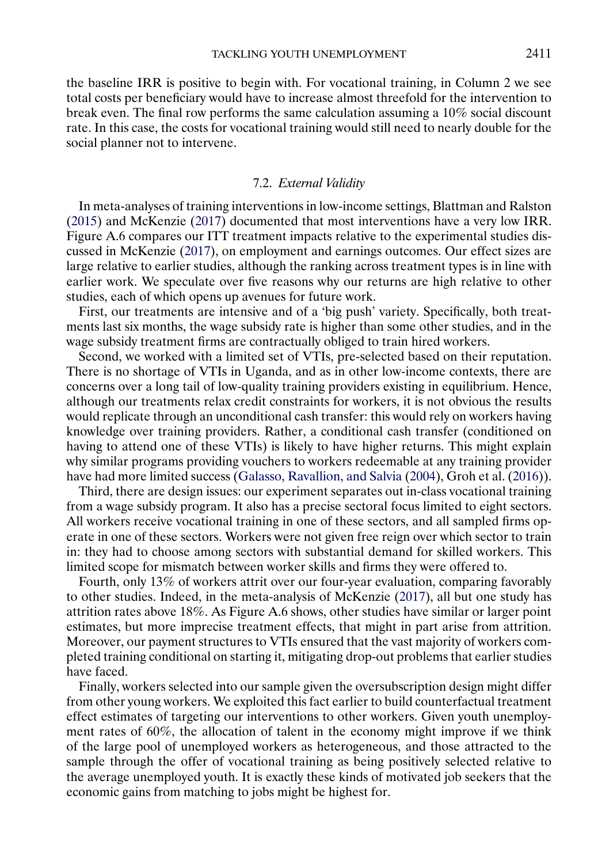<span id="page-42-0"></span>the baseline IRR is positive to begin with. For vocational training, in Column 2 we see total costs per beneficiary would have to increase almost threefold for the intervention to break even. The final row performs the same calculation assuming a 10% social discount rate. In this case, the costs for vocational training would still need to nearly double for the social planner not to intervene.

## 7.2. *External Validity*

In meta-analyses of training interventions in low-income settings, Blattman and Ralston [\(2015\)](#page-44-0) and McKenzie [\(2017\)](#page-45-0) documented that most interventions have a very low IRR. Figure A.6 compares our ITT treatment impacts relative to the experimental studies discussed in McKenzie [\(2017\)](#page-45-0), on employment and earnings outcomes. Our effect sizes are large relative to earlier studies, although the ranking across treatment types is in line with earlier work. We speculate over five reasons why our returns are high relative to other studies, each of which opens up avenues for future work.

First, our treatments are intensive and of a 'big push' variety. Specifically, both treatments last six months, the wage subsidy rate is higher than some other studies, and in the wage subsidy treatment firms are contractually obliged to train hired workers.

Second, we worked with a limited set of VTIs, pre-selected based on their reputation. There is no shortage of VTIs in Uganda, and as in other low-income contexts, there are concerns over a long tail of low-quality training providers existing in equilibrium. Hence, although our treatments relax credit constraints for workers, it is not obvious the results would replicate through an unconditional cash transfer: this would rely on workers having knowledge over training providers. Rather, a conditional cash transfer (conditioned on having to attend one of these VTIs) is likely to have higher returns. This might explain why similar programs providing vouchers to workers redeemable at any training provider have had more limited success [\(Galasso, Ravallion, and Salvia](#page-44-0) [\(2004\)](#page-44-0), Groh et al. [\(2016\)](#page-45-0)).

Third, there are design issues: our experiment separates out in-class vocational training from a wage subsidy program. It also has a precise sectoral focus limited to eight sectors. All workers receive vocational training in one of these sectors, and all sampled firms operate in one of these sectors. Workers were not given free reign over which sector to train in: they had to choose among sectors with substantial demand for skilled workers. This limited scope for mismatch between worker skills and firms they were offered to.

Fourth, only 13% of workers attrit over our four-year evaluation, comparing favorably to other studies. Indeed, in the meta-analysis of McKenzie [\(2017\)](#page-45-0), all but one study has attrition rates above 18%. As Figure A.6 shows, other studies have similar or larger point estimates, but more imprecise treatment effects, that might in part arise from attrition. Moreover, our payment structures to VTIs ensured that the vast majority of workers completed training conditional on starting it, mitigating drop-out problems that earlier studies have faced.

Finally, workers selected into our sample given the oversubscription design might differ from other young workers. We exploited this fact earlier to build counterfactual treatment effect estimates of targeting our interventions to other workers. Given youth unemployment rates of 60%, the allocation of talent in the economy might improve if we think of the large pool of unemployed workers as heterogeneous, and those attracted to the sample through the offer of vocational training as being positively selected relative to the average unemployed youth. It is exactly these kinds of motivated job seekers that the economic gains from matching to jobs might be highest for.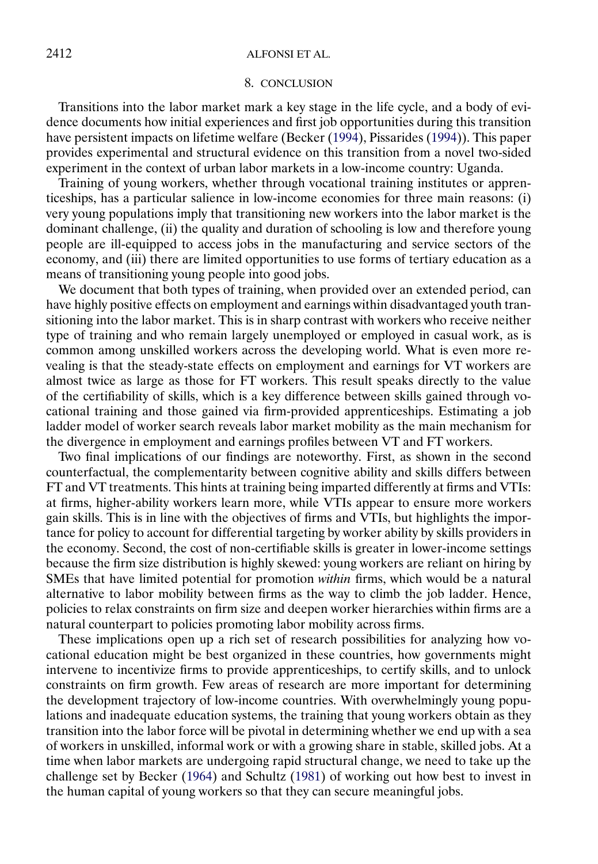#### 8. CONCLUSION

<span id="page-43-0"></span>Transitions into the labor market mark a key stage in the life cycle, and a body of evidence documents how initial experiences and first job opportunities during this transition have persistent impacts on lifetime welfare (Becker [\(1994\)](#page-44-0), Pissarides [\(1994\)](#page-45-0)). This paper provides experimental and structural evidence on this transition from a novel two-sided experiment in the context of urban labor markets in a low-income country: Uganda.

Training of young workers, whether through vocational training institutes or apprenticeships, has a particular salience in low-income economies for three main reasons: (i) very young populations imply that transitioning new workers into the labor market is the dominant challenge, (ii) the quality and duration of schooling is low and therefore young people are ill-equipped to access jobs in the manufacturing and service sectors of the economy, and (iii) there are limited opportunities to use forms of tertiary education as a means of transitioning young people into good jobs.

We document that both types of training, when provided over an extended period, can have highly positive effects on employment and earnings within disadvantaged youth transitioning into the labor market. This is in sharp contrast with workers who receive neither type of training and who remain largely unemployed or employed in casual work, as is common among unskilled workers across the developing world. What is even more revealing is that the steady-state effects on employment and earnings for VT workers are almost twice as large as those for FT workers. This result speaks directly to the value of the certifiability of skills, which is a key difference between skills gained through vocational training and those gained via firm-provided apprenticeships. Estimating a job ladder model of worker search reveals labor market mobility as the main mechanism for the divergence in employment and earnings profiles between VT and FT workers.

Two final implications of our findings are noteworthy. First, as shown in the second counterfactual, the complementarity between cognitive ability and skills differs between FT and VT treatments. This hints at training being imparted differently at firms and VTIs: at firms, higher-ability workers learn more, while VTIs appear to ensure more workers gain skills. This is in line with the objectives of firms and VTIs, but highlights the importance for policy to account for differential targeting by worker ability by skills providers in the economy. Second, the cost of non-certifiable skills is greater in lower-income settings because the firm size distribution is highly skewed: young workers are reliant on hiring by SMEs that have limited potential for promotion *within* firms, which would be a natural alternative to labor mobility between firms as the way to climb the job ladder. Hence, policies to relax constraints on firm size and deepen worker hierarchies within firms are a natural counterpart to policies promoting labor mobility across firms.

These implications open up a rich set of research possibilities for analyzing how vocational education might be best organized in these countries, how governments might intervene to incentivize firms to provide apprenticeships, to certify skills, and to unlock constraints on firm growth. Few areas of research are more important for determining the development trajectory of low-income countries. With overwhelmingly young populations and inadequate education systems, the training that young workers obtain as they transition into the labor force will be pivotal in determining whether we end up with a sea of workers in unskilled, informal work or with a growing share in stable, skilled jobs. At a time when labor markets are undergoing rapid structural change, we need to take up the challenge set by Becker [\(1964\)](#page-44-0) and Schultz [\(1981\)](#page-45-0) of working out how best to invest in the human capital of young workers so that they can secure meaningful jobs.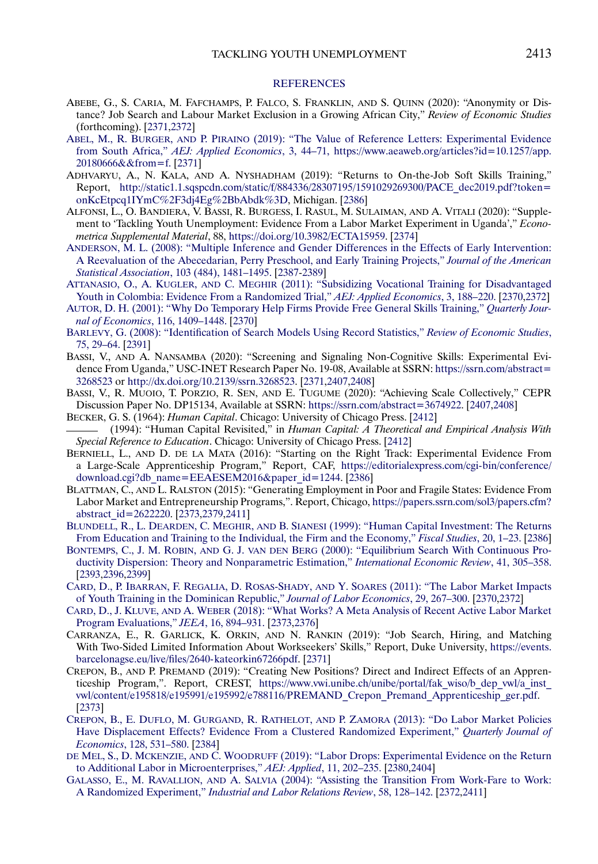#### **[REFERENCES](http://www.e-publications.org/srv/ecta/linkserver/setprefs?rfe_id=urn:sici%2F0012-9682%282020%2988%3A6%3C2369%3ATYUEFA%3E2.0.CO%3B2-5)**

- <span id="page-44-0"></span>ABEBE, G., S. CARIA, M. FAFCHAMPS, P. FALCO, S. FRANKLIN, AND S. QUINN (2020): "Anonymity or Distance? Job Search and Labour Market Exclusion in a Growing African City," *Review of Economic Studies* (forthcoming). [\[2371,](#page-2-0)[2372\]](#page-3-0)
- ABEL, M., R. BURGER, AND P. PIRAINO [\(2019\): "The Value of Reference Letters: Experimental Evidence](http://www.e-publications.org/srv/ecta/linkserver/openurl?rft_dat=bib:2/Abeetal2019&rfe_id=urn:sici%2F0012-9682%282020%2988%3A6%3C2369%3ATYUEFA%3E2.0.CO%3B2-5) from South Africa," *[AEJ: Applied Economics](http://www.e-publications.org/srv/ecta/linkserver/openurl?rft_dat=bib:2/Abeetal2019&rfe_id=urn:sici%2F0012-9682%282020%2988%3A6%3C2369%3ATYUEFA%3E2.0.CO%3B2-5)*, 3, 44–71, [https://www.aeaweb.org/articles?id=10.1257/app.](https://www.aeaweb.org/articles?id=10.1257/app.20180666&&from=f) [20180666&&from=f](https://www.aeaweb.org/articles?id=10.1257/app.20180666&&from=f). [\[2371\]](#page-2-0)
- ADHVARYU, A., N. KALA, AND A. NYSHADHAM (2019): "Returns to On-the-Job Soft Skills Training," Report, [http://static1.1.sqspcdn.com/static/f/884336/28307195/1591029269300/PACE\\_dec2019.pdf?token=](http://static1.1.sqspcdn.com/static/f/884336/28307195/1591029269300/PACE_dec2019.pdf?token=onKcEtpcq1IYmC%2F3dj4Eg%2BbAbdk%3D) [onKcEtpcq1IYmC%2F3dj4Eg%2BbAbdk%3D](http://static1.1.sqspcdn.com/static/f/884336/28307195/1591029269300/PACE_dec2019.pdf?token=onKcEtpcq1IYmC%2F3dj4Eg%2BbAbdk%3D), Michigan. [\[2386\]](#page-17-0)
- ALFONSI, L., O. BANDIERA, V. BASSI, R. BURGESS, I. RASUL, M. SULAIMAN, AND A. VITALI (2020): "Supplement to 'Tackling Youth Unemployment: Evidence From a Labor Market Experiment in Uganda'," *Econometrica Supplemental Material*, 88, <https://doi.org/10.3982/ECTA15959>. [\[2374\]](#page-5-0)
- [ANDERSON, M. L. \(2008\): "Multiple Inference and Gender Differences in the Effects of Early Intervention:](http://www.e-publications.org/srv/ecta/linkserver/openurl?rft_dat=bib:5/And2008&rfe_id=urn:sici%2F0012-9682%282020%2988%3A6%3C2369%3ATYUEFA%3E2.0.CO%3B2-5) [A Reevaluation of the Abecedarian, Perry Preschool, and Early Training Projects,"](http://www.e-publications.org/srv/ecta/linkserver/openurl?rft_dat=bib:5/And2008&rfe_id=urn:sici%2F0012-9682%282020%2988%3A6%3C2369%3ATYUEFA%3E2.0.CO%3B2-5) *Journal of the American Statistical Association*[, 103 \(484\), 1481–1495.](http://www.e-publications.org/srv/ecta/linkserver/openurl?rft_dat=bib:5/And2008&rfe_id=urn:sici%2F0012-9682%282020%2988%3A6%3C2369%3ATYUEFA%3E2.0.CO%3B2-5) [\[2387-](#page-18-0)[2389\]](#page-20-0)
- ATTANASIO, O., A. KUGLER, AND C. MEGHIR [\(2011\): "Subsidizing Vocational Training for Disadvantaged](http://www.e-publications.org/srv/ecta/linkserver/openurl?rft_dat=bib:6/Attetal2011&rfe_id=urn:sici%2F0012-9682%282020%2988%3A6%3C2369%3ATYUEFA%3E2.0.CO%3B2-5) [Youth in Colombia: Evidence From a Randomized Trial,"](http://www.e-publications.org/srv/ecta/linkserver/openurl?rft_dat=bib:6/Attetal2011&rfe_id=urn:sici%2F0012-9682%282020%2988%3A6%3C2369%3ATYUEFA%3E2.0.CO%3B2-5) *AEJ: Applied Economics*, 3, 188–220. [\[2370](#page-1-0)[,2372\]](#page-3-0)
- [AUTOR, D. H. \(2001\): "Why Do Temporary Help Firms Provide Free General Skills Training,"](http://www.e-publications.org/srv/ecta/linkserver/openurl?rft_dat=bib:7/Aut2001&rfe_id=urn:sici%2F0012-9682%282020%2988%3A6%3C2369%3ATYUEFA%3E2.0.CO%3B2-5) *Quarterly Journal of Economics*[, 116, 1409–1448.](http://www.e-publications.org/srv/ecta/linkserver/openurl?rft_dat=bib:7/Aut2001&rfe_id=urn:sici%2F0012-9682%282020%2988%3A6%3C2369%3ATYUEFA%3E2.0.CO%3B2-5) [\[2370\]](#page-1-0)
- [BARLEVY, G. \(2008\): "Identification of Search Models Using Record Statistics,"](http://www.e-publications.org/srv/ecta/linkserver/openurl?rft_dat=bib:8/Bar2008&rfe_id=urn:sici%2F0012-9682%282020%2988%3A6%3C2369%3ATYUEFA%3E2.0.CO%3B2-5) *Review of Economic Studies*, [75, 29–64.](http://www.e-publications.org/srv/ecta/linkserver/openurl?rft_dat=bib:8/Bar2008&rfe_id=urn:sici%2F0012-9682%282020%2988%3A6%3C2369%3ATYUEFA%3E2.0.CO%3B2-5) [\[2391\]](#page-22-0)
- BASSI, V., AND A. NANSAMBA (2020): "Screening and Signaling Non-Cognitive Skills: Experimental Evidence From Uganda," USC-INET Research Paper No. 19-08, Available at SSRN: [https://ssrn.com/abstract=](https://ssrn.com/abstract=3268523) [3268523](https://ssrn.com/abstract=3268523) or [http://dx.doi.org/10.2139/ssrn.3268523.](http://dx.doi.org/10.2139/ssrn.3268523) [\[2371,](#page-2-0)[2407,](#page-38-0)[2408\]](#page-39-0)
- BASSI, V., R. MUOIO, T. PORZIO, R. SEN, AND E. TUGUME (2020): "Achieving Scale Collectively," CEPR Discussion Paper No. DP15134, Available at SSRN: <https://ssrn.com/abstract=3674922>. [\[2407](#page-38-0)[,2408\]](#page-39-0)
- BECKER, G. S. (1964): *Human Capital*. Chicago: University of Chicago Press. [\[2412\]](#page-43-0) (1994): "Human Capital Revisited," in *Human Capital: A Theoretical and Empirical Analysis With Special Reference to Education*. Chicago: University of Chicago Press. [\[2412\]](#page-43-0)
- BERNIELL, L., AND D. DE LA MATA (2016): "Starting on the Right Track: Experimental Evidence From a Large-Scale Apprenticeship Program," Report, CAF, [https://editorialexpress.com/cgi-bin/conference/](https://editorialexpress.com/cgi-bin/conference/download.cgi?db_name=EEAESEM2016&paper_id=1244) [download.cgi?db\\_name=EEAESEM2016&paper\\_id=1244.](https://editorialexpress.com/cgi-bin/conference/download.cgi?db_name=EEAESEM2016&paper_id=1244) [\[2386\]](#page-17-0)
- BLATTMAN, C., AND L. RALSTON (2015): "Generating Employment in Poor and Fragile States: Evidence From Labor Market and Entrepreneurship Programs,". Report, Chicago, [https://papers.ssrn.com/sol3/papers.cfm?](https://papers.ssrn.com/sol3/papers.cfm?abstract_id=2622220) [abstract\\_id=2622220](https://papers.ssrn.com/sol3/papers.cfm?abstract_id=2622220). [\[2373](#page-4-0)[,2379,](#page-10-0)[2411\]](#page-42-0)
- BLUNDELL, R., L. DEARDEN, C. MEGHIR, AND B. SIANESI [\(1999\): "Human Capital Investment: The Returns](http://www.e-publications.org/srv/ecta/linkserver/openurl?rft_dat=bib:15/Bluetal1999&rfe_id=urn:sici%2F0012-9682%282020%2988%3A6%3C2369%3ATYUEFA%3E2.0.CO%3B2-5) [From Education and Training to the Individual, the Firm and the Economy,"](http://www.e-publications.org/srv/ecta/linkserver/openurl?rft_dat=bib:15/Bluetal1999&rfe_id=urn:sici%2F0012-9682%282020%2988%3A6%3C2369%3ATYUEFA%3E2.0.CO%3B2-5) *Fiscal Studies*, 20, 1–23. [\[2386\]](#page-17-0)
- BONTEMPS, C., J. M. ROBIN, AND G. J. VAN DEN BERG [\(2000\): "Equilibrium Search With Continuous Pro](http://www.e-publications.org/srv/ecta/linkserver/openurl?rft_dat=bib:16/Bonetal2000&rfe_id=urn:sici%2F0012-9682%282020%2988%3A6%3C2369%3ATYUEFA%3E2.0.CO%3B2-5)[ductivity Dispersion: Theory and Nonparametric Estimation,"](http://www.e-publications.org/srv/ecta/linkserver/openurl?rft_dat=bib:16/Bonetal2000&rfe_id=urn:sici%2F0012-9682%282020%2988%3A6%3C2369%3ATYUEFA%3E2.0.CO%3B2-5) *International Economic Review*, 41, 305–358. [\[2393,](#page-24-0)[2396,](#page-27-0)[2399\]](#page-30-0)
- [CARD, D., P. IBARRAN, F. REGALIA, D. ROSAS-SHADY,](http://www.e-publications.org/srv/ecta/linkserver/openurl?rft_dat=bib:17/Caretal2011&rfe_id=urn:sici%2F0012-9682%282020%2988%3A6%3C2369%3ATYUEFA%3E2.0.CO%3B2-5) AND Y. SOARES (2011): "The Labor Market Impacts [of Youth Training in the Dominican Republic,"](http://www.e-publications.org/srv/ecta/linkserver/openurl?rft_dat=bib:17/Caretal2011&rfe_id=urn:sici%2F0012-9682%282020%2988%3A6%3C2369%3ATYUEFA%3E2.0.CO%3B2-5) *Journal of Labor Economics*, 29, 267–300. [\[2370](#page-1-0)[,2372\]](#page-3-0)
- CARD, D., J. KLUVE, AND A. WEBER [\(2018\): "What Works? A Meta Analysis of Recent Active Labor Market](http://www.e-publications.org/srv/ecta/linkserver/openurl?rft_dat=bib:18/Caretal2018&rfe_id=urn:sici%2F0012-9682%282020%2988%3A6%3C2369%3ATYUEFA%3E2.0.CO%3B2-5) [Program Evaluations,"](http://www.e-publications.org/srv/ecta/linkserver/openurl?rft_dat=bib:18/Caretal2018&rfe_id=urn:sici%2F0012-9682%282020%2988%3A6%3C2369%3ATYUEFA%3E2.0.CO%3B2-5) *JEEA*, 16, 894–931. [\[2373](#page-4-0)[,2376\]](#page-7-0)
- CARRANZA, E., R. GARLICK, K. ORKIN, AND N. RANKIN (2019): "Job Search, Hiring, and Matching With Two-Sided Limited Information About Workseekers' Skills," Report, Duke University, [https://events.](https://events.barcelonagse.eu/live/files/2640-kateorkin67266pdf) [barcelonagse.eu/live/files/2640-kateorkin67266pdf](https://events.barcelonagse.eu/live/files/2640-kateorkin67266pdf). [\[2371\]](#page-2-0)
- CREPON, B., AND P. PREMAND (2019): "Creating New Positions? Direct and Indirect Effects of an Apprenticeship Program,". Report, CREST, [https://www.vwi.unibe.ch/unibe/portal/fak\\_wiso/b\\_dep\\_vwl/a\\_inst\\_](https://www.vwi.unibe.ch/unibe/portal/fak_wiso/b_dep_vwl/a_inst_vwl/content/e195818/e195991/e195992/e788116/PREMAND_Crepon_Premand_Apprenticeship_ger.pdf) [vwl/content/e195818/e195991/e195992/e788116/PREMAND\\_Crepon\\_Premand\\_Apprenticeship\\_ger.pdf.](https://www.vwi.unibe.ch/unibe/portal/fak_wiso/b_dep_vwl/a_inst_vwl/content/e195818/e195991/e195992/e788116/PREMAND_Crepon_Premand_Apprenticeship_ger.pdf) [\[2373\]](#page-4-0)
- [CREPON, B., E. DUFLO, M. GURGAND, R. RATHELOT,](http://www.e-publications.org/srv/ecta/linkserver/openurl?rft_dat=bib:21/Creetal2013&rfe_id=urn:sici%2F0012-9682%282020%2988%3A6%3C2369%3ATYUEFA%3E2.0.CO%3B2-5) AND P. ZAMORA (2013): "Do Labor Market Policies [Have Displacement Effects? Evidence From a Clustered Randomized Experiment,"](http://www.e-publications.org/srv/ecta/linkserver/openurl?rft_dat=bib:21/Creetal2013&rfe_id=urn:sici%2F0012-9682%282020%2988%3A6%3C2369%3ATYUEFA%3E2.0.CO%3B2-5) *Quarterly Journal of Economics*[, 128, 531–580.](http://www.e-publications.org/srv/ecta/linkserver/openurl?rft_dat=bib:21/Creetal2013&rfe_id=urn:sici%2F0012-9682%282020%2988%3A6%3C2369%3ATYUEFA%3E2.0.CO%3B2-5) [\[2384\]](#page-15-0)
- DE MEL, S., D. MCKENZIE, AND C. WOODRUFF [\(2019\): "Labor Drops: Experimental Evidence on the Return](http://www.e-publications.org/srv/ecta/linkserver/openurl?rft_dat=bib:22/Meletal2019&rfe_id=urn:sici%2F0012-9682%282020%2988%3A6%3C2369%3ATYUEFA%3E2.0.CO%3B2-5) [to Additional Labor in Microenterprises,"](http://www.e-publications.org/srv/ecta/linkserver/openurl?rft_dat=bib:22/Meletal2019&rfe_id=urn:sici%2F0012-9682%282020%2988%3A6%3C2369%3ATYUEFA%3E2.0.CO%3B2-5) *AEJ: Applied*, 11, 202–235. [\[2380](#page-11-0)[,2404\]](#page-35-0)
- GALASSO, E., M. RAVALLION, AND A. SALVIA [\(2004\): "Assisting the Transition From Work-Fare to Work:](http://www.e-publications.org/srv/ecta/linkserver/openurl?rft_dat=bib:23/Galetal2004&rfe_id=urn:sici%2F0012-9682%282020%2988%3A6%3C2369%3ATYUEFA%3E2.0.CO%3B2-5) A Randomized Experiment," *[Industrial and Labor Relations Review](http://www.e-publications.org/srv/ecta/linkserver/openurl?rft_dat=bib:23/Galetal2004&rfe_id=urn:sici%2F0012-9682%282020%2988%3A6%3C2369%3ATYUEFA%3E2.0.CO%3B2-5)*, 58, 128–142. [\[2372](#page-3-0)[,2411\]](#page-42-0)